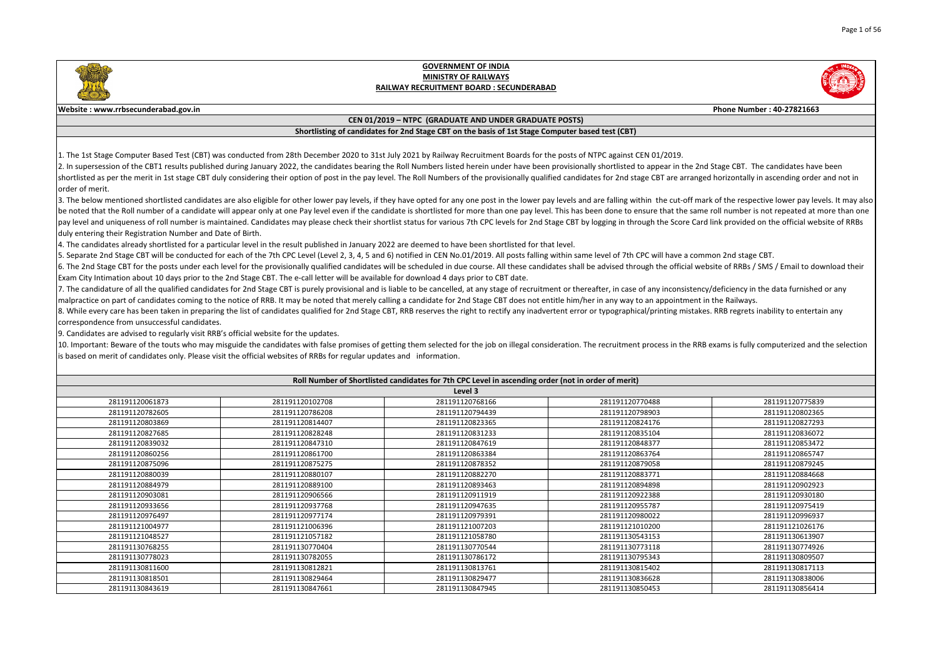|                                                  | Phone Number: 40-27821663                                                                                                                                                                                   |
|--------------------------------------------------|-------------------------------------------------------------------------------------------------------------------------------------------------------------------------------------------------------------|
|                                                  |                                                                                                                                                                                                             |
|                                                  |                                                                                                                                                                                                             |
|                                                  |                                                                                                                                                                                                             |
| EN 01/2019.                                      | appear in the 2nd Stage CBT. The candidates have been<br>ge CBT are arranged horizontally in ascending order and not in                                                                                     |
|                                                  | nin the cut-off mark of the respective lower pay levels. It may also<br>sure that the same roll number is not repeated at more than one<br>ugh the Score Card link provided on the official website of RRBs |
| <sup>2</sup> C will have a common 2nd stage CBT. | ugh the official website of RRBs / SMS / Email to download their                                                                                                                                            |
| an appointment in the Railways.                  | f any inconsistency/deficiency in the data furnished or any<br>al/printing mistakes. RRB regrets inability to entertain any                                                                                 |
|                                                  | process in the RRB exams is fully computerized and the selection                                                                                                                                            |
|                                                  |                                                                                                                                                                                                             |
|                                                  |                                                                                                                                                                                                             |
| 70488                                            | 281191120775839                                                                                                                                                                                             |
| 8903                                             | 281191120802365                                                                                                                                                                                             |
| 24176                                            | 281191120827293                                                                                                                                                                                             |
| 35104                                            | 281191120836072                                                                                                                                                                                             |
| 18377                                            | 281191120853472                                                                                                                                                                                             |
| 3764                                             | 281191120865747                                                                                                                                                                                             |
| 79058                                            | 281191120879245                                                                                                                                                                                             |
| 33771                                            | 281191120884668                                                                                                                                                                                             |
| 94898                                            | 281191120902923                                                                                                                                                                                             |
| 22388                                            | 281191120930180                                                                                                                                                                                             |
| 55787                                            | 281191120975419                                                                                                                                                                                             |
| 30022                                            | 281191120996937                                                                                                                                                                                             |
| 10200                                            | 281191121026176                                                                                                                                                                                             |
| 13153                                            | 281191130613907                                                                                                                                                                                             |
| 3118                                             | 281191130774926                                                                                                                                                                                             |
| 95343                                            | 281191130809507                                                                                                                                                                                             |
| 15402                                            | 281191130817113                                                                                                                                                                                             |
| 36628                                            | 281191130838006                                                                                                                                                                                             |
| <b>SANG3</b>                                     | 281191130856414                                                                                                                                                                                             |

3. The below mentioned shortlisted candidates are also eligible for other lower pay levels, if they have opted for any one post in the lower pay levels and are falling with be noted that the Roll number of a candidate will appear only at one Pay level even if the candidate is shortlisted for more than one pay level. This has been done to ens pay level and uniqueness of roll number is maintained. Candidates may please check their shortlist status for various 7th CPC levels for 2nd Stage CBT by logging in throu duly entering their Registration Number and Date of Birth.

4. The candidates already shortlisted for a particular level in the result published in January 2022 are deemed to have been shortlisted for that level.

5. Separate 2nd Stage CBT will be conducted for each of the 7th CPC Level (Level 2, 3, 4, 5 and 6) notified in CEN No.01/2019. All posts falling within same level of 7th CP 6. The 2nd Stage CBT for the posts under each level for the provisionally qualified candidates will be scheduled in due course. All these candidates shall be advised throu Exam City Intimation about 10 days prior to the 2nd Stage CBT. The e-call letter will be available for download 4 days prior to CBT date.

7. The candidature of all the qualified candidates for 2nd Stage CBT is purely provisional and is liable to be cancelled, at any stage of recruitment or thereafter, in case of  $\vert$ malpractice on part of candidates coming to the notice of RRB. It may be noted that merely calling a candidate for 2nd Stage CBT does not entitle him/her in any way to 8. While every care has been taken in preparing the list of candidates qualified for 2nd Stage CBT, RRB reserves the right to rectify any inadvertent error or typographica correspondence from unsuccessful candidates.

10. Important: Beware of the touts who may misguide the candidates with false promises of getting them selected for the job on illegal consideration. The recruitment is based on merit of candidates only. Please visit the official websites of RRBs for regular updates and information.

| Roll Number of Shortlisted candidates for 7th CPC Level in ascending order (not in order of merit) |                 |                 |                 |                 |
|----------------------------------------------------------------------------------------------------|-----------------|-----------------|-----------------|-----------------|
|                                                                                                    |                 | Level 3         |                 |                 |
| 281191120061873                                                                                    | 281191120102708 | 281191120768166 | 281191120770488 | 281191120775839 |
| 281191120782605                                                                                    | 281191120786208 | 281191120794439 | 281191120798903 | 281191120802365 |
| 281191120803869                                                                                    | 281191120814407 | 281191120823365 | 281191120824176 | 281191120827293 |
| 281191120827685                                                                                    | 281191120828248 | 281191120831233 | 281191120835104 | 281191120836072 |
| 281191120839032                                                                                    | 281191120847310 | 281191120847619 | 281191120848377 | 281191120853472 |
| 281191120860256                                                                                    | 281191120861700 | 281191120863384 | 281191120863764 | 281191120865747 |
| 281191120875096                                                                                    | 281191120875275 | 281191120878352 | 281191120879058 | 281191120879245 |
| 281191120880039                                                                                    | 281191120880107 | 281191120882270 | 281191120883771 | 281191120884668 |
| 281191120884979                                                                                    | 281191120889100 | 281191120893463 | 281191120894898 | 281191120902923 |
| 281191120903081                                                                                    | 281191120906566 | 281191120911919 | 281191120922388 | 281191120930180 |
| 281191120933656                                                                                    | 281191120937768 | 281191120947635 | 281191120955787 | 281191120975419 |
| 281191120976497                                                                                    | 281191120977174 | 281191120979391 | 281191120980022 | 281191120996937 |
| 281191121004977                                                                                    | 281191121006396 | 281191121007203 | 281191121010200 | 281191121026176 |
| 281191121048527                                                                                    | 281191121057182 | 281191121058780 | 281191130543153 | 281191130613907 |
| 281191130768255                                                                                    | 281191130770404 | 281191130770544 | 281191130773118 | 281191130774926 |
| 281191130778023                                                                                    | 281191130782055 | 281191130786172 | 281191130795343 | 281191130809507 |
| 281191130811600                                                                                    | 281191130812821 | 281191130813761 | 281191130815402 | 281191130817113 |
| 281191130818501                                                                                    | 281191130829464 | 281191130829477 | 281191130836628 | 281191130838006 |
| 281191130843619                                                                                    | 281191130847661 | 281191130847945 | 281191130850453 | 281191130856414 |

9. Candidates are advised to regularly visit RRB's official website for the updates.



#### **GOVERNMENT OF INDIA MINISTRY OF RAILWAYS RAILWAY RECRUITMENT BOARD : SECUNDERABAD**

#### **Website : www.rrbsecunderabad.gov.in**

#### **CEN 01/2019 – NTPC (GRADUATE AND UNDER GRADUATE POSTS)**

#### **Shortlisting of candidates for 2nd Stage CBT on the basis of 1st Stage Computer based test (CBT)**

1. The 1st Stage Computer Based Test (CBT) was conducted from 28th December 2020 to 31st July 2021 by Railway Recruitment Boards for the posts of NTPC against CE 2. In supersession of the CBT1 results published during January 2022, the candidates bearing the Roll Numbers listed herein under have been provisionally shortlisted to shortlisted as per the merit in 1st stage CBT duly considering their option of post in the pay level. The Roll Numbers of the provisionally qualified candidates for 2nd stag lorder of merit.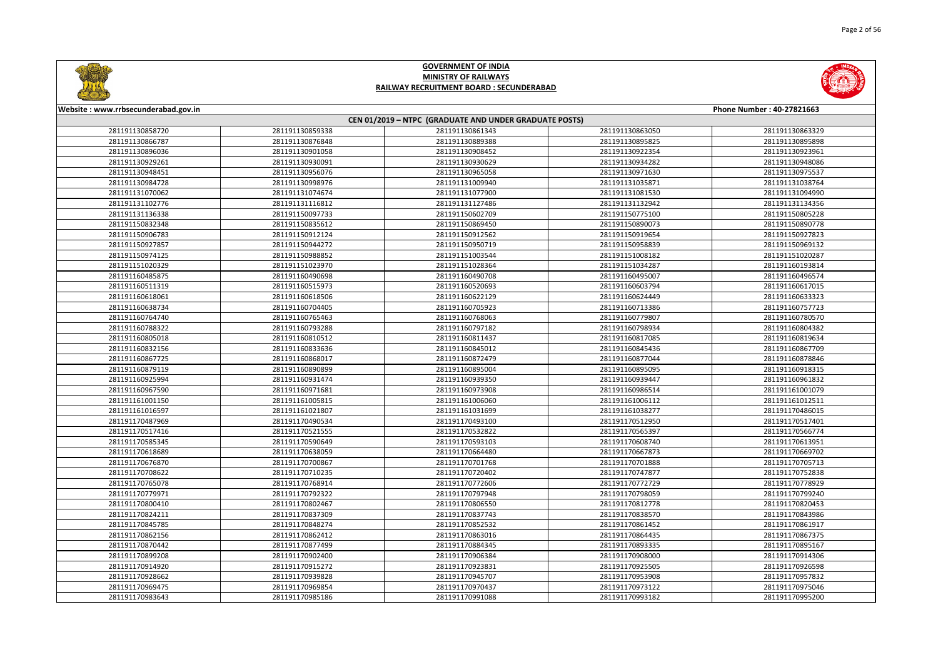



| Website: www.rrbsecunderabad.gov.in |                 |                                                        |                 | Phone Number: 40-27821663 |
|-------------------------------------|-----------------|--------------------------------------------------------|-----------------|---------------------------|
|                                     |                 | CEN 01/2019 - NTPC (GRADUATE AND UNDER GRADUATE POSTS) |                 |                           |
| 281191130858720                     | 281191130859338 | 281191130861343                                        | 281191130863050 | 281191130863329           |
| 281191130866787                     | 281191130876848 | 281191130889388                                        | 281191130895825 | 281191130895898           |
| 281191130896036                     | 281191130901058 | 281191130908452                                        | 281191130922354 | 281191130923961           |
| 281191130929261                     | 281191130930091 | 281191130930629                                        | 281191130934282 | 281191130948086           |
| 281191130948451                     | 281191130956076 | 281191130965058                                        | 281191130971630 | 281191130975537           |
| 281191130984728                     | 281191130998976 | 281191131009940                                        | 281191131035871 | 281191131038764           |
| 281191131070062                     | 281191131074674 | 281191131077900                                        | 281191131081530 | 281191131094990           |
| 281191131102776                     | 281191131116812 | 281191131127486                                        | 281191131132942 | 281191131134356           |
| 281191131136338                     | 281191150097733 | 281191150602709                                        | 281191150775100 | 281191150805228           |
| 281191150832348                     | 281191150835612 | 281191150869450                                        | 281191150890073 | 281191150890778           |
| 281191150906783                     | 281191150912124 | 281191150912562                                        | 281191150919654 | 281191150927823           |
| 281191150927857                     | 281191150944272 | 281191150950719                                        | 281191150958839 | 281191150969132           |
| 281191150974125                     | 281191150988852 | 281191151003544                                        | 281191151008182 | 281191151020287           |
| 281191151020329                     | 281191151023970 | 281191151028364                                        | 281191151034287 | 281191160193814           |
| 281191160485875                     | 281191160490698 | 281191160490708                                        | 281191160495007 | 281191160496574           |
| 281191160511319                     | 281191160515973 | 281191160520693                                        | 281191160603794 | 281191160617015           |
| 281191160618061                     | 281191160618506 | 281191160622129                                        | 281191160624449 | 281191160633323           |
| 281191160638734                     | 281191160704405 | 281191160705923                                        | 281191160713386 | 281191160757723           |
| 281191160764740                     | 281191160765463 | 281191160768063                                        | 281191160779807 | 281191160780570           |
| 281191160788322                     | 281191160793288 | 281191160797182                                        | 281191160798934 | 281191160804382           |
| 281191160805018                     | 281191160810512 | 281191160811437                                        | 281191160817085 | 281191160819634           |
| 281191160832156                     | 281191160833636 | 281191160845012                                        | 281191160845436 | 281191160867709           |
| 281191160867725                     | 281191160868017 | 281191160872479                                        | 281191160877044 | 281191160878846           |
| 281191160879119                     | 281191160890899 | 281191160895004                                        | 281191160895095 | 281191160918315           |
| 281191160925994                     | 281191160931474 | 281191160939350                                        | 281191160939447 | 281191160961832           |
| 281191160967590                     | 281191160971681 | 281191160973908                                        | 281191160986514 | 281191161001079           |
| 281191161001150                     | 281191161005815 | 281191161006060                                        | 281191161006112 | 281191161012511           |
| 281191161016597                     | 281191161021807 | 281191161031699                                        | 281191161038277 | 281191170486015           |
| 281191170487969                     | 281191170490534 | 281191170493100                                        | 281191170512950 | 281191170517401           |
| 281191170517416                     | 281191170521555 | 281191170532822                                        | 281191170565397 | 281191170566774           |
| 281191170585345                     | 281191170590649 | 281191170593103                                        | 281191170608740 | 281191170613951           |
| 281191170618689                     | 281191170638059 | 281191170664480                                        | 281191170667873 | 281191170669702           |
| 281191170676870                     | 281191170700867 | 281191170701768                                        | 281191170701888 | 281191170705713           |
| 281191170708622                     | 281191170710235 | 281191170720402                                        | 281191170747877 | 281191170752838           |
| 281191170765078                     | 281191170768914 | 281191170772606                                        | 281191170772729 | 281191170778929           |
| 281191170779971                     | 281191170792322 | 281191170797948                                        | 281191170798059 | 281191170799240           |
| 281191170800410                     | 281191170802467 | 281191170806550                                        | 281191170812778 | 281191170820453           |
| 281191170824211                     | 281191170837309 | 281191170837743                                        | 281191170838570 | 281191170843986           |
| 281191170845785                     | 281191170848274 | 281191170852532                                        | 281191170861452 | 281191170861917           |
| 281191170862156                     | 281191170862412 | 281191170863016                                        | 281191170864435 | 281191170867375           |
| 281191170870442                     | 281191170877499 | 281191170884345                                        | 281191170893335 | 281191170895167           |
| 281191170899208                     | 281191170902400 | 281191170906384                                        | 281191170908000 | 281191170914306           |
| 281191170914920                     | 281191170915272 | 281191170923831                                        | 281191170925505 | 281191170926598           |
| 281191170928662                     | 281191170939828 | 281191170945707                                        | 281191170953908 | 281191170957832           |
| 281191170969475                     | 281191170969854 | 281191170970437                                        | 281191170973122 | 281191170975046           |
| 281191170983643                     | 281191170985186 | 281191170991088                                        | 281191170993182 | 281191170995200           |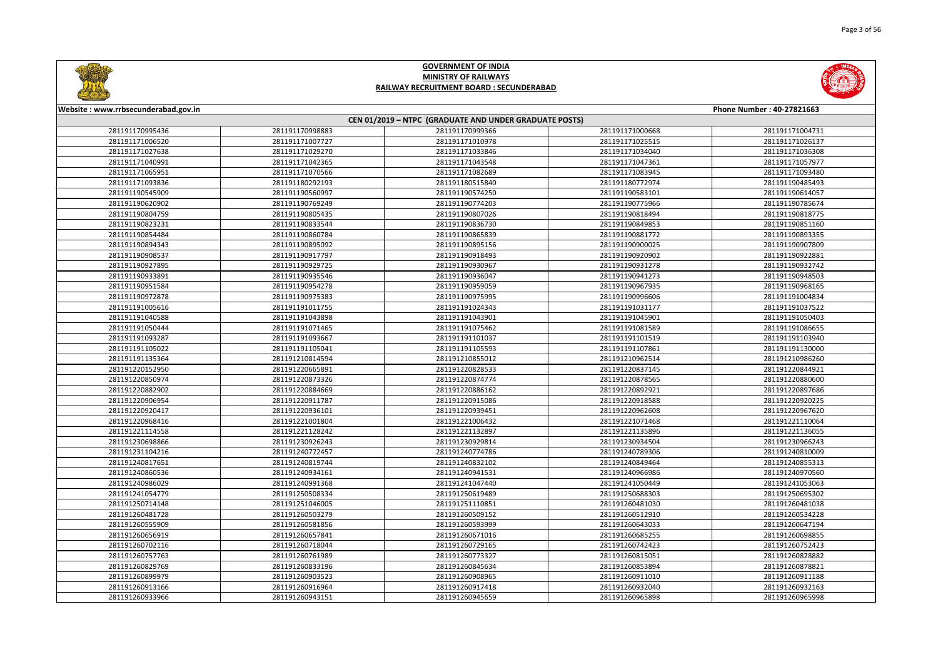



| Website: www.rrbsecunderabad.gov.in |                                                        |                 |                 | Phone Number: 40-27821663 |
|-------------------------------------|--------------------------------------------------------|-----------------|-----------------|---------------------------|
|                                     | CEN 01/2019 - NTPC (GRADUATE AND UNDER GRADUATE POSTS) |                 |                 |                           |
| 281191170995436                     | 281191170998883                                        | 281191170999366 | 281191171000668 | 281191171004731           |
| 281191171006520                     | 281191171007727                                        | 281191171010978 | 281191171025515 | 281191171026137           |
| 281191171027638                     | 281191171029270                                        | 281191171033846 | 281191171034040 | 281191171036308           |
| 281191171040991                     | 281191171042365                                        | 281191171043548 | 281191171047361 | 281191171057977           |
| 281191171065951                     | 281191171070566                                        | 281191171082689 | 281191171083945 | 281191171093480           |
| 281191171093836                     | 281191180292193                                        | 281191180515840 | 281191180772974 | 281191190485493           |
| 281191190545909                     | 281191190560997                                        | 281191190574250 | 281191190583101 | 281191190614057           |
| 281191190620902                     | 281191190769249                                        | 281191190774203 | 281191190775966 | 281191190785674           |
| 281191190804759                     | 281191190805435                                        | 281191190807026 | 281191190818494 | 281191190818775           |
| 281191190823231                     | 281191190833544                                        | 281191190836730 | 281191190849853 | 281191190851160           |
| 281191190854484                     | 281191190860784                                        | 281191190865839 | 281191190881772 | 281191190893355           |
| 281191190894343                     | 281191190895092                                        | 281191190895156 | 281191190900025 | 281191190907809           |
| 281191190908537                     | 281191190917797                                        | 281191190918493 | 281191190920902 | 281191190922881           |
| 281191190927895                     | 281191190929725                                        | 281191190930967 | 281191190931278 | 281191190932742           |
| 281191190933891                     | 281191190935546                                        | 281191190936047 | 281191190941273 | 281191190948503           |
| 281191190951584                     | 281191190954278                                        | 281191190959059 | 281191190967935 | 281191190968165           |
| 281191190972878                     | 281191190975383                                        | 281191190975995 | 281191190996606 | 281191191004834           |
| 281191191005616                     | 281191191011755                                        | 281191191024343 | 281191191031177 | 281191191037522           |
| 281191191040588                     | 281191191043898                                        | 281191191043901 | 281191191045901 | 281191191050403           |
| 281191191050444                     | 281191191071465                                        | 281191191075462 | 281191191081589 | 281191191086655           |
| 281191191093287                     | 281191191093667                                        | 281191191101037 | 281191191101519 | 281191191103940           |
| 281191191105022                     | 281191191105041                                        | 281191191105593 | 281191191107861 | 281191191130000           |
| 281191191135364                     | 281191210814594                                        | 281191210855012 | 281191210962514 | 281191210986260           |
| 281191220152950                     | 281191220665891                                        | 281191220828533 | 281191220837145 | 281191220844921           |
| 281191220850974                     | 281191220873326                                        | 281191220874774 | 281191220878565 | 281191220880600           |
| 281191220882902                     | 281191220884669                                        | 281191220886162 | 281191220892921 | 281191220897686           |
| 281191220906954                     | 281191220911787                                        | 281191220915086 | 281191220918588 | 281191220920225           |
| 281191220920417                     | 281191220936101                                        | 281191220939451 | 281191220962608 | 281191220967620           |
| 281191220968416                     | 281191221001804                                        | 281191221006432 | 281191221071468 | 281191221110064           |
| 281191221114558                     | 281191221128242                                        | 281191221132897 | 281191221135896 | 281191221136055           |
| 281191230698866                     | 281191230926243                                        | 281191230929814 | 281191230934504 | 281191230966243           |
| 281191231104216                     | 281191240772457                                        | 281191240774786 | 281191240789306 | 281191240810009           |
| 281191240817651                     | 281191240819744                                        | 281191240832102 | 281191240849464 | 281191240855313           |
| 281191240860536                     | 281191240934161                                        | 281191240941531 | 281191240966986 | 281191240970560           |
| 281191240986029                     | 281191240991368                                        | 281191241047440 | 281191241050449 | 281191241053063           |
| 281191241054779                     | 281191250508334                                        | 281191250619489 | 281191250688303 | 281191250695302           |
| 281191250714148                     | 281191251046005                                        | 281191251110851 | 281191260481030 | 281191260481038           |
| 281191260481728                     | 281191260503279                                        | 281191260509152 | 281191260512910 | 281191260534228           |
| 281191260555909                     | 281191260581856                                        | 281191260593999 | 281191260643033 | 281191260647194           |
| 281191260656919                     | 281191260657841                                        | 281191260671016 | 281191260685255 | 281191260698855           |
| 281191260702116                     | 281191260718044                                        | 281191260729165 | 281191260742423 | 281191260752423           |
| 281191260757763                     | 281191260761989                                        | 281191260773327 | 281191260815051 | 281191260828882           |
| 281191260829769                     | 281191260833196                                        | 281191260845634 | 281191260853894 | 281191260878821           |
| 281191260899979                     | 281191260903523                                        | 281191260908965 | 281191260911010 | 281191260911188           |
| 281191260913166                     | 281191260916964                                        | 281191260917418 | 281191260932040 | 281191260932163           |
| 281191260933966                     | 281191260943151                                        | 281191260945659 | 281191260965898 | 281191260965998           |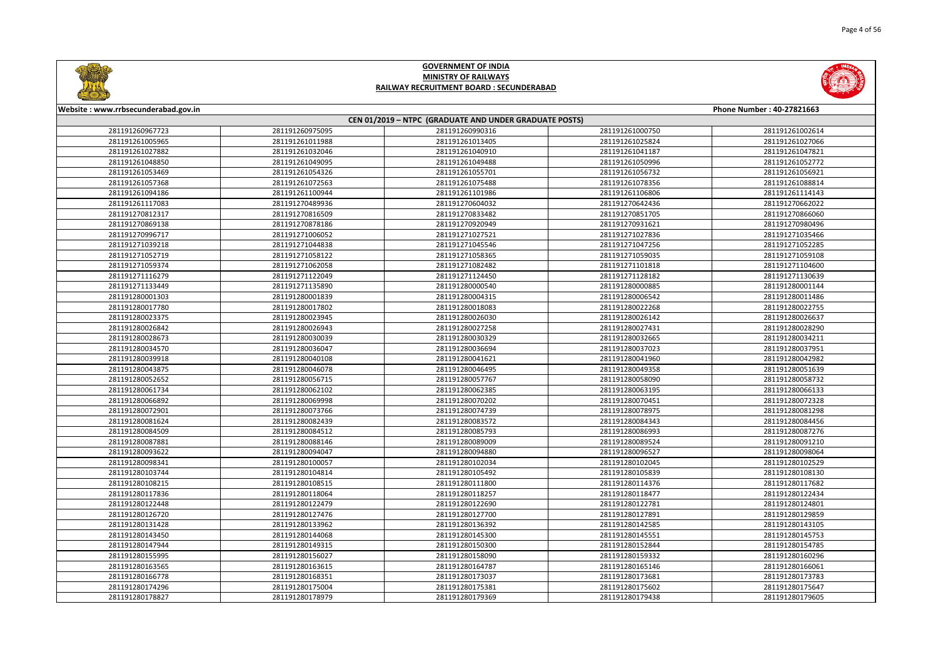

|       | <b>Phone Number: 40-27821663</b> |
|-------|----------------------------------|
|       |                                  |
| 00750 | 281191261002614                  |
| 25824 | 281191261027066                  |
| 41187 | 281191261047821                  |
| 50996 | 281191261052772                  |
| 56732 | 281191261056921                  |
| 78356 | 281191261088814                  |
| 06806 | 281191261114143                  |
| 42436 | 281191270662022                  |
| 51705 | 281191270866060                  |
| 31621 | 281191270980496                  |
| 27836 | 281191271035466                  |
| 47256 | 281191271052285                  |
| 59035 | 281191271059108                  |
| 01818 | 281191271104600                  |
| 28182 | 281191271130639                  |
| 00885 | 281191280001144                  |
| 06542 | 281191280011486                  |
| 22268 | 281191280022755                  |
| 26142 | 281191280026637                  |
| 27431 | 281191280028290                  |
| 32665 | 281191280034211                  |
| 37023 | 281191280037951                  |
| 41960 | 281191280042982                  |
| 49358 | 281191280051639                  |
| 58090 | 281191280058732                  |
| 53195 | 281191280066133                  |
| 70451 | 281191280072328                  |
| 78975 | 281191280081298                  |
| 34343 | 281191280084456                  |
| 86993 | 281191280087276                  |
| 39524 | 281191280091210                  |
| 96527 | 281191280098064                  |
| 02045 | 281191280102529                  |
| 05839 | 281191280108130                  |
| 14376 | 281191280117682                  |
| 18477 | 281191280122434                  |
| 22781 | 281191280124801                  |
| 27891 | 281191280129859                  |
| 42585 | 281191280143105                  |
| 45551 | 281191280145753                  |
| 52844 | 281191280154785                  |
| 59332 | 281191280160296                  |
| 55146 | 281191280166061                  |
| 73681 | 281191280173783                  |
| 75602 | 281191280175647                  |
| 79438 | 281191280179605                  |



#### **Website : www.rrbsecunderabad.gov.in CEN 01/2019 – NTPC (GRADUATE AND UNDER GRADUATE POSTS)** 281191260975095 281191260990316 281191261000750 281191261002614 281191261011988 281191261013405 281191261025824 281191261027066 281191261032046 281191261040910 281191261041187 281191261047821 281191261049095 281191261049488 281191261050996 281191261052772 281191261054326 281191261055701 281191261056732 281191261056921 281191261072563 281191261075488 281191261078356 281191261088814 281191261100944 281191261101986 281191261106806 281191261114143 281191270489936 281191270604032 281191270642436 281191270662022 281191270816509 281191270833482 281191270851705 281191270866060 281191270878186 281191270920949 281191270931621 281191270980496 281191271006052 281191271027521 281191271027836 281191271035466 281191271044838 281191271045546 281191271047256 281191271052285 281191271058122 281191271058365 281191271059035 281191271059108 281191271062058 281191271082482 281191271101818 281191271104600 281191271122049 281191271124450 281191271128182 281191271130639 281191271135890 281191280000540 281191280000885 281191280001144 281191280001839 281191280004315 281191280006542 281191280011486 281191280017802 281191280018083 281191280022268 281191280022755 281191280023945 281191280026030 281191280026142 281191280026637 281191280026943 281191280027258 281191280027431 281191280028290 281191280030039 281191280030329 281191280032665 281191280034211 281191280036047 281191280036694 281191280037023 281191280037951 281191280040108 281191280041621 281191280041960 281191280042982 281191280046078 281191280046495 281191280049358 281191280051639 281191280056715 281191280057767 281191280058090 281191280058732 281191280062102 281191280062385 281191280063195 281191280066133 281191280069998 281191280070202 281191280070451 281191280072328 281191280073766 281191280074739 281191280078975 281191280081298 281191280082439 281191280083572 281191280084343 281191280084456 281191280084512 281191280085793 281191280086993 281191280087276 281191280088146 281191280089009 281191280089524 281191280091210 281191280094047 281191280094880 281191280096527 281191280098064 281191280100057 281191280102034 281191280102045 281191280102529 281191280104814 281191280105492 281191280105839 281191280108130 281191280108515 281191280111800 281191280114376 281191280117682 281191280118064 281191280118257 281191280118477 281191280122434 281191280122479 281191280122690 281191280122781 281191280124801 281191280127476 281191280127700 281191280127891 281191280129859 281191280133962 281191280136392 281191280142585 281191280143105 281191280144068 281191280145300 281191280145551 281191280145753 281191280149315 281191280150300 281191280152844 281191280154785 281191280156027 281191280158090 281191280159332 281191280160296 281191280163615 281191280164787 281191280165146 281191280166061 281191280168351 281191280173037 281191280173681 281191280173783 281191280175004 281191280175381 281191280175602 281191280175647 281191280178979 281191280179369 281191280179438 281191280179605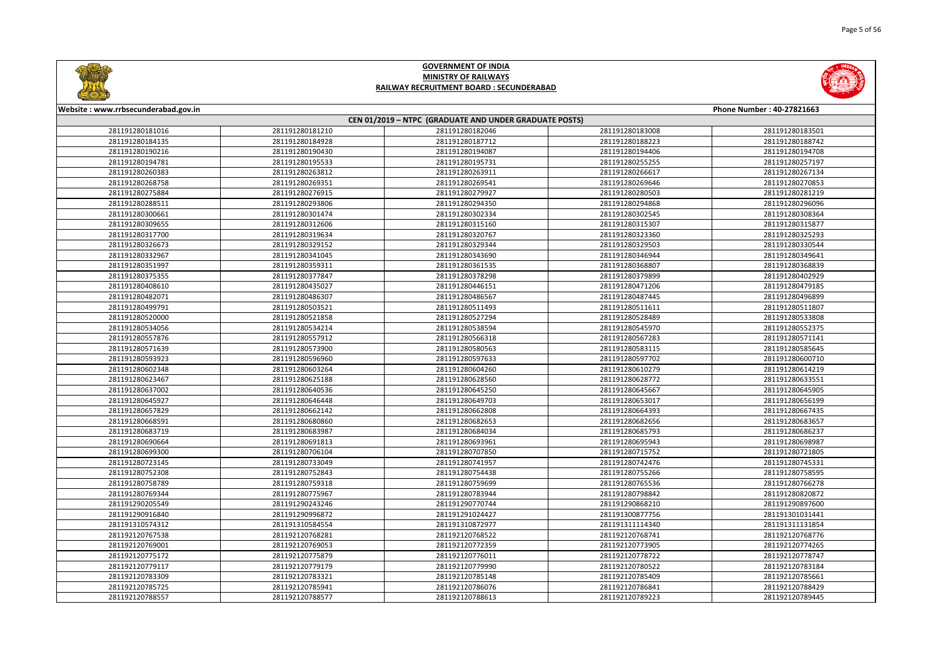



| Website: www.rrbsecunderabad.gov.in |                 |                                                        |                 | Phone Number: 40-27821663 |
|-------------------------------------|-----------------|--------------------------------------------------------|-----------------|---------------------------|
|                                     |                 | CEN 01/2019 - NTPC (GRADUATE AND UNDER GRADUATE POSTS) |                 |                           |
| 281191280181016                     | 281191280181210 | 281191280182046                                        | 281191280183008 | 281191280183501           |
| 281191280184135                     | 281191280184928 | 281191280187712                                        | 281191280188223 | 281191280188742           |
| 281191280190216                     | 281191280190430 | 281191280194087                                        | 281191280194406 | 281191280194708           |
| 281191280194781                     | 281191280195533 | 281191280195731                                        | 281191280255255 | 281191280257197           |
| 281191280260383                     | 281191280263812 | 281191280263911                                        | 281191280266617 | 281191280267134           |
| 281191280268758                     | 281191280269351 | 281191280269541                                        | 281191280269646 | 281191280270853           |
| 281191280275884                     | 281191280276915 | 281191280279927                                        | 281191280280503 | 281191280281219           |
| 281191280288511                     | 281191280293806 | 281191280294350                                        | 281191280294868 | 281191280296096           |
| 281191280300661                     | 281191280301474 | 281191280302334                                        | 281191280302545 | 281191280308364           |
| 281191280309655                     | 281191280312606 | 281191280315160                                        | 281191280315307 | 281191280315877           |
| 281191280317700                     | 281191280319634 | 281191280320767                                        | 281191280323360 | 281191280325293           |
| 281191280326673                     | 281191280329152 | 281191280329344                                        | 281191280329503 | 281191280330544           |
| 281191280332967                     | 281191280341045 | 281191280343690                                        | 281191280346944 | 281191280349641           |
| 281191280351997                     | 281191280359311 | 281191280361535                                        | 281191280368807 | 281191280368839           |
| 281191280375355                     | 281191280377847 | 281191280378298                                        | 281191280379899 | 281191280402929           |
| 281191280408610                     | 281191280435027 | 281191280446151                                        | 281191280471206 | 281191280479185           |
| 281191280482071                     | 281191280486307 | 281191280486567                                        | 281191280487445 | 281191280496899           |
| 281191280499791                     | 281191280503521 | 281191280511493                                        | 281191280511611 | 281191280511807           |
| 281191280520000                     | 281191280521858 | 281191280527294                                        | 281191280528489 | 281191280533808           |
| 281191280534056                     | 281191280534214 | 281191280538594                                        | 281191280545970 | 281191280552375           |
| 281191280557876                     | 281191280557912 | 281191280566318                                        | 281191280567283 | 281191280571141           |
| 281191280571639                     | 281191280573900 | 281191280580563                                        | 281191280583115 | 281191280585645           |
| 281191280593923                     | 281191280596960 | 281191280597633                                        | 281191280597702 | 281191280600710           |
| 281191280602348                     | 281191280603264 | 281191280604260                                        | 281191280610279 | 281191280614219           |
| 281191280623467                     | 281191280625188 | 281191280628560                                        | 281191280628772 | 281191280633551           |
| 281191280637002                     | 281191280640536 | 281191280645250                                        | 281191280645667 | 281191280645905           |
| 281191280645927                     | 281191280646448 | 281191280649703                                        | 281191280653017 | 281191280656199           |
| 281191280657829                     | 281191280662142 | 281191280662808                                        | 281191280664393 | 281191280667435           |
| 281191280668591                     | 281191280680860 | 281191280682653                                        | 281191280682656 | 281191280683657           |
| 281191280683719                     | 281191280683987 | 281191280684034                                        | 281191280685793 | 281191280686237           |
| 281191280690664                     | 281191280691813 | 281191280693961                                        | 281191280695943 | 281191280698987           |
| 281191280699300                     | 281191280706104 | 281191280707850                                        | 281191280715752 | 281191280721805           |
| 281191280723145                     | 281191280733049 | 281191280741957                                        | 281191280742476 | 281191280745331           |
| 281191280752308                     | 281191280752843 | 281191280754438                                        | 281191280755266 | 281191280758595           |
| 281191280758789                     | 281191280759318 | 281191280759699                                        | 281191280765536 | 281191280766278           |
| 281191280769344                     | 281191280775967 | 281191280783944                                        | 281191280798842 | 281191280820872           |
| 281191290205549                     | 281191290243246 | 281191290770744                                        | 281191290868210 | 281191290897600           |
| 281191290916840                     | 281191290996872 | 281191291024427                                        | 281191300877756 | 281191301031441           |
| 281191310574312                     | 281191310584554 | 281191310872977                                        | 281191311114340 | 281191311131854           |
| 281192120767538                     | 281192120768281 | 281192120768522                                        | 281192120768741 | 281192120768776           |
| 281192120769001                     | 281192120769053 | 281192120772359                                        | 281192120773905 | 281192120774265           |
| 281192120775172                     | 281192120775879 | 281192120776011                                        | 281192120778722 | 281192120778747           |
| 281192120779117                     | 281192120779179 | 281192120779990                                        | 281192120780522 | 281192120783184           |
| 281192120783309                     | 281192120783321 | 281192120785148                                        | 281192120785409 | 281192120785661           |
| 281192120785725                     | 281192120785941 | 281192120786076                                        | 281192120786841 | 281192120788429           |
| 281192120788557                     | 281192120788577 | 281192120788613                                        | 281192120789223 | 281192120789445           |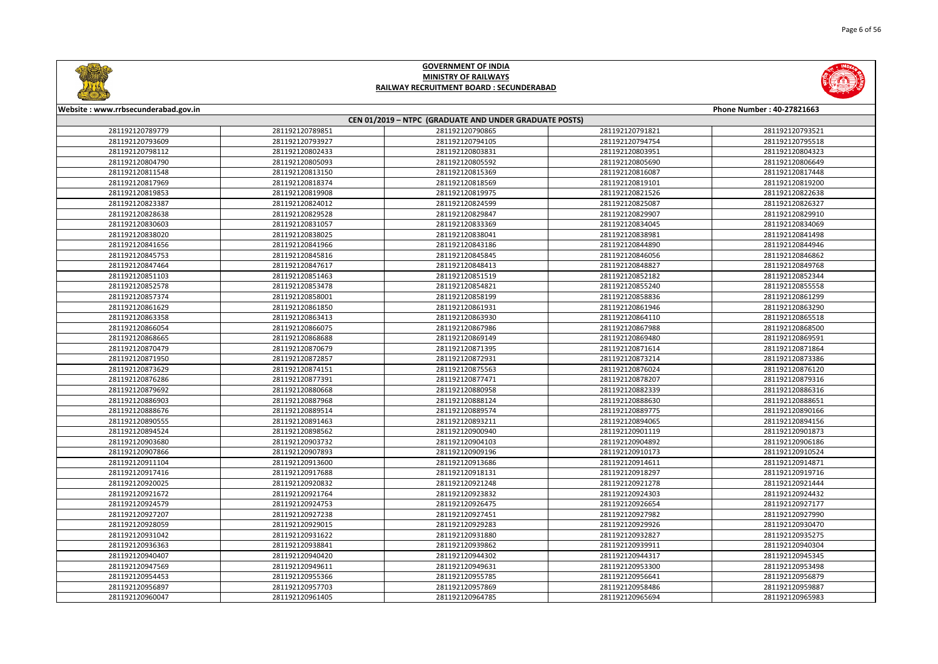



| Website: www.rrbsecunderabad.gov.in |                                                        |                 |                 | Phone Number: 40-27821663 |  |
|-------------------------------------|--------------------------------------------------------|-----------------|-----------------|---------------------------|--|
|                                     | CEN 01/2019 - NTPC (GRADUATE AND UNDER GRADUATE POSTS) |                 |                 |                           |  |
| 281192120789779                     | 281192120789851                                        | 281192120790865 | 281192120791821 | 281192120793521           |  |
| 281192120793609                     | 281192120793927                                        | 281192120794105 | 281192120794754 | 281192120795518           |  |
| 281192120798112                     | 281192120802433                                        | 281192120803831 | 281192120803951 | 281192120804323           |  |
| 281192120804790                     | 281192120805093                                        | 281192120805592 | 281192120805690 | 281192120806649           |  |
| 281192120811548                     | 281192120813150                                        | 281192120815369 | 281192120816087 | 281192120817448           |  |
| 281192120817969                     | 281192120818374                                        | 281192120818569 | 281192120819101 | 281192120819200           |  |
| 281192120819853                     | 281192120819908                                        | 281192120819975 | 281192120821526 | 281192120822638           |  |
| 281192120823387                     | 281192120824012                                        | 281192120824599 | 281192120825087 | 281192120826327           |  |
| 281192120828638                     | 281192120829528                                        | 281192120829847 | 281192120829907 | 281192120829910           |  |
| 281192120830603                     | 281192120831057                                        | 281192120833369 | 281192120834045 | 281192120834069           |  |
| 281192120838020                     | 281192120838025                                        | 281192120838041 | 281192120838981 | 281192120841498           |  |
| 281192120841656                     | 281192120841966                                        | 281192120843186 | 281192120844890 | 281192120844946           |  |
| 281192120845753                     | 281192120845816                                        | 281192120845845 | 281192120846056 | 281192120846862           |  |
| 281192120847464                     | 281192120847617                                        | 281192120848413 | 281192120848827 | 281192120849768           |  |
| 281192120851103                     | 281192120851463                                        | 281192120851519 | 281192120852182 | 281192120852344           |  |
| 281192120852578                     | 281192120853478                                        | 281192120854821 | 281192120855240 | 281192120855558           |  |
| 281192120857374                     | 281192120858001                                        | 281192120858199 | 281192120858836 | 281192120861299           |  |
| 281192120861629                     | 281192120861850                                        | 281192120861931 | 281192120861946 | 281192120863290           |  |
| 281192120863358                     | 281192120863413                                        | 281192120863930 | 281192120864110 | 281192120865518           |  |
| 281192120866054                     | 281192120866075                                        | 281192120867986 | 281192120867988 | 281192120868500           |  |
| 281192120868665                     | 281192120868688                                        | 281192120869149 | 281192120869480 | 281192120869591           |  |
| 281192120870479                     | 281192120870679                                        | 281192120871395 | 281192120871614 | 281192120871864           |  |
| 281192120871950                     | 281192120872857                                        | 281192120872931 | 281192120873214 | 281192120873386           |  |
| 281192120873629                     | 281192120874151                                        | 281192120875563 | 281192120876024 | 281192120876120           |  |
| 281192120876286                     | 281192120877391                                        | 281192120877471 | 281192120878207 | 281192120879316           |  |
| 281192120879692                     | 281192120880668                                        | 281192120880958 | 281192120882339 | 281192120886316           |  |
| 281192120886903                     | 281192120887968                                        | 281192120888124 | 281192120888630 | 281192120888651           |  |
| 281192120888676                     | 281192120889514                                        | 281192120889574 | 281192120889775 | 281192120890166           |  |
| 281192120890555                     | 281192120891463                                        | 281192120893211 | 281192120894065 | 281192120894156           |  |
| 281192120894524                     | 281192120898562                                        | 281192120900940 | 281192120901119 | 281192120901873           |  |
| 281192120903680                     | 281192120903732                                        | 281192120904103 | 281192120904892 | 281192120906186           |  |
| 281192120907866                     | 281192120907893                                        | 281192120909196 | 281192120910173 | 281192120910524           |  |
| 281192120911104                     | 281192120913600                                        | 281192120913686 | 281192120914611 | 281192120914871           |  |
| 281192120917416                     | 281192120917688                                        | 281192120918131 | 281192120918297 | 281192120919716           |  |
| 281192120920025                     | 281192120920832                                        | 281192120921248 | 281192120921278 | 281192120921444           |  |
| 281192120921672                     | 281192120921764                                        | 281192120923832 | 281192120924303 | 281192120924432           |  |
| 281192120924579                     | 281192120924753                                        | 281192120926475 | 281192120926654 | 281192120927177           |  |
| 281192120927207                     | 281192120927238                                        | 281192120927451 | 281192120927982 | 281192120927990           |  |
| 281192120928059                     | 281192120929015                                        | 281192120929283 | 281192120929926 | 281192120930470           |  |
| 281192120931042                     | 281192120931622                                        | 281192120931880 | 281192120932827 | 281192120935275           |  |
| 281192120936363                     | 281192120938841                                        | 281192120939862 | 281192120939911 | 281192120940304           |  |
| 281192120940407                     | 281192120940420                                        | 281192120944302 | 281192120944317 | 281192120945345           |  |
| 281192120947569                     | 281192120949611                                        | 281192120949631 | 281192120953300 | 281192120953498           |  |
| 281192120954453                     | 281192120955366                                        | 281192120955785 | 281192120956641 | 281192120956879           |  |
| 281192120956897                     | 281192120957703                                        | 281192120957869 | 281192120958486 | 281192120959887           |  |
| 281192120960047                     | 281192120961405                                        | 281192120964785 | 281192120965694 | 281192120965983           |  |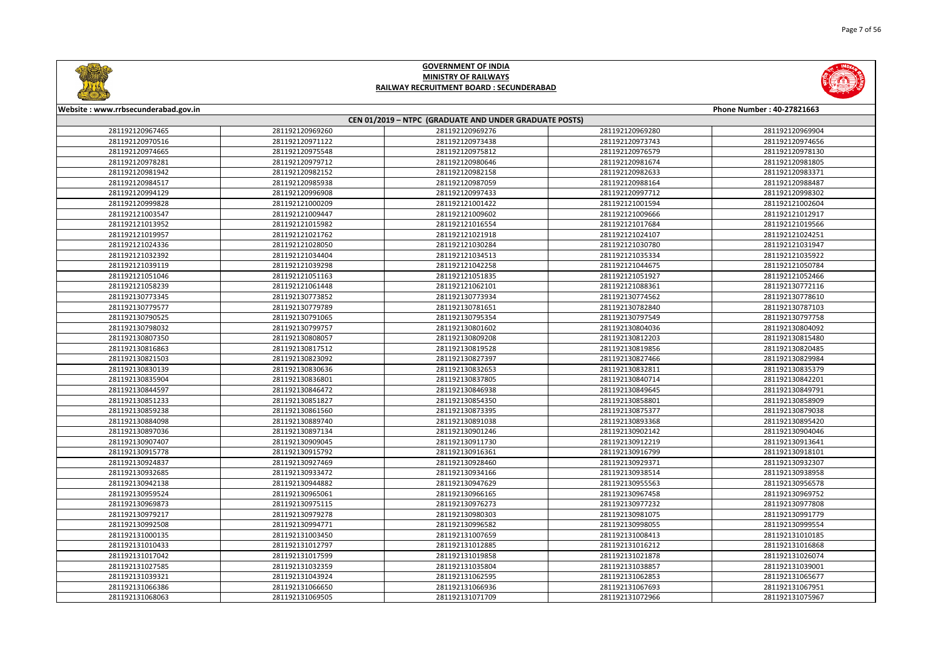



| Website: www.rrbsecunderabad.gov.in |                 |                                                        |                 | Phone Number: 40-27821663 |
|-------------------------------------|-----------------|--------------------------------------------------------|-----------------|---------------------------|
|                                     |                 | CEN 01/2019 - NTPC (GRADUATE AND UNDER GRADUATE POSTS) |                 |                           |
| 281192120967465                     | 281192120969260 | 281192120969276                                        | 281192120969280 | 281192120969904           |
| 281192120970516                     | 281192120971122 | 281192120973438                                        | 281192120973743 | 281192120974656           |
| 281192120974665                     | 281192120975548 | 281192120975812                                        | 281192120976579 | 281192120978130           |
| 281192120978281                     | 281192120979712 | 281192120980646                                        | 281192120981674 | 281192120981805           |
| 281192120981942                     | 281192120982152 | 281192120982158                                        | 281192120982633 | 281192120983371           |
| 281192120984517                     | 281192120985938 | 281192120987059                                        | 281192120988164 | 281192120988487           |
| 281192120994129                     | 281192120996908 | 281192120997433                                        | 281192120997712 | 281192120998302           |
| 281192120999828                     | 281192121000209 | 281192121001422                                        | 281192121001594 | 281192121002604           |
| 281192121003547                     | 281192121009447 | 281192121009602                                        | 281192121009666 | 281192121012917           |
| 281192121013952                     | 281192121015982 | 281192121016554                                        | 281192121017684 | 281192121019566           |
| 281192121019957                     | 281192121021762 | 281192121021918                                        | 281192121024107 | 281192121024251           |
| 281192121024336                     | 281192121028050 | 281192121030284                                        | 281192121030780 | 281192121031947           |
| 281192121032392                     | 281192121034404 | 281192121034513                                        | 281192121035334 | 281192121035922           |
| 281192121039119                     | 281192121039298 | 281192121042258                                        | 281192121044675 | 281192121050784           |
| 281192121051046                     | 281192121051163 | 281192121051835                                        | 281192121051927 | 281192121052466           |
| 281192121058239                     | 281192121061448 | 281192121062101                                        | 281192121088361 | 281192130772116           |
| 281192130773345                     | 281192130773852 | 281192130773934                                        | 281192130774562 | 281192130778610           |
| 281192130779577                     | 281192130779789 | 281192130781651                                        | 281192130782840 | 281192130787103           |
| 281192130790525                     | 281192130791065 | 281192130795354                                        | 281192130797549 | 281192130797758           |
| 281192130798032                     | 281192130799757 | 281192130801602                                        | 281192130804036 | 281192130804092           |
| 281192130807350                     | 281192130808057 | 281192130809208                                        | 281192130812203 | 281192130815480           |
| 281192130816863                     | 281192130817512 | 281192130819528                                        | 281192130819856 | 281192130820485           |
| 281192130821503                     | 281192130823092 | 281192130827397                                        | 281192130827466 | 281192130829984           |
| 281192130830139                     | 281192130830636 | 281192130832653                                        | 281192130832811 | 281192130835379           |
| 281192130835904                     | 281192130836801 | 281192130837805                                        | 281192130840714 | 281192130842201           |
| 281192130844597                     | 281192130846472 | 281192130846938                                        | 281192130849645 | 281192130849791           |
| 281192130851233                     | 281192130851827 | 281192130854350                                        | 281192130858801 | 281192130858909           |
| 281192130859238                     | 281192130861560 | 281192130873395                                        | 281192130875377 | 281192130879038           |
| 281192130884098                     | 281192130889740 | 281192130891038                                        | 281192130893368 | 281192130895420           |
| 281192130897036                     | 281192130897134 | 281192130901246                                        | 281192130902142 | 281192130904046           |
| 281192130907407                     | 281192130909045 | 281192130911730                                        | 281192130912219 | 281192130913641           |
| 281192130915778                     | 281192130915792 | 281192130916361                                        | 281192130916799 | 281192130918101           |
| 281192130924837                     | 281192130927469 | 281192130928460                                        | 281192130929371 | 281192130932307           |
| 281192130932685                     | 281192130933472 | 281192130934166                                        | 281192130938514 | 281192130938958           |
| 281192130942138                     | 281192130944882 | 281192130947629                                        | 281192130955563 | 281192130956578           |
| 281192130959524                     | 281192130965061 | 281192130966165                                        | 281192130967458 | 281192130969752           |
| 281192130969873                     | 281192130975115 | 281192130976273                                        | 281192130977232 | 281192130977808           |
| 281192130979217                     | 281192130979278 | 281192130980303                                        | 281192130981075 | 281192130991779           |
| 281192130992508                     | 281192130994771 | 281192130996582                                        | 281192130998055 | 281192130999554           |
| 281192131000135                     | 281192131003450 | 281192131007659                                        | 281192131008413 | 281192131010185           |
| 281192131010433                     | 281192131012797 | 281192131012885                                        | 281192131016212 | 281192131016868           |
| 281192131017042                     | 281192131017599 | 281192131019858                                        | 281192131021878 | 281192131026074           |
| 281192131027585                     | 281192131032359 | 281192131035804                                        | 281192131038857 | 281192131039001           |
| 281192131039321                     | 281192131043924 | 281192131062595                                        | 281192131062853 | 281192131065677           |
| 281192131066386                     | 281192131066650 | 281192131066936                                        | 281192131067693 | 281192131067951           |
|                                     |                 |                                                        |                 |                           |
| 281192131068063                     | 281192131069505 | 281192131071709                                        | 281192131072966 | 281192131075967           |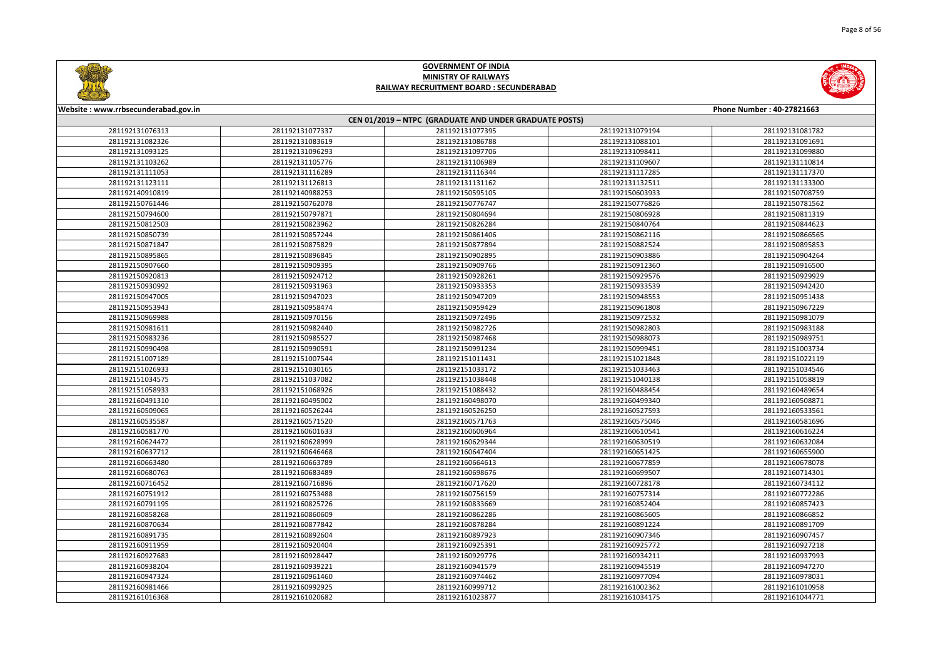



| Website: www.rrbsecunderabad.gov.in |                                    |                                                        |                                    | Phone Number: 40-27821663 |
|-------------------------------------|------------------------------------|--------------------------------------------------------|------------------------------------|---------------------------|
|                                     |                                    | CEN 01/2019 - NTPC (GRADUATE AND UNDER GRADUATE POSTS) |                                    |                           |
| 281192131076313<br>281192131082326  | 281192131077337<br>281192131083619 | 281192131077395                                        | 281192131079194                    | 281192131081782           |
|                                     |                                    | 281192131086788                                        | 281192131088101                    | 281192131091691           |
| 281192131093125                     | 281192131096293                    | 281192131097706                                        | 281192131098411                    | 281192131099880           |
| 281192131103262                     | 281192131105776                    | 281192131106989                                        | 281192131109607                    | 281192131110814           |
| 281192131111053                     | 281192131116289                    | 281192131116344                                        | 281192131117285<br>281192131132511 | 281192131117370           |
| 281192131123111                     | 281192131126813                    | 281192131131162                                        |                                    | 281192131133300           |
| 281192140910819                     | 281192140988253                    | 281192150595105                                        | 281192150603933                    | 281192150708759           |
| 281192150761446                     | 281192150762078                    | 281192150776747                                        | 281192150776826                    | 281192150781562           |
| 281192150794600                     | 281192150797871                    | 281192150804694                                        | 281192150806928                    | 281192150811319           |
| 281192150812503                     | 281192150823962                    | 281192150826284                                        | 281192150840764                    | 281192150844623           |
| 281192150850739                     | 281192150857244                    | 281192150861406                                        | 281192150862116                    | 281192150866565           |
| 281192150871847                     | 281192150875829                    | 281192150877894                                        | 281192150882524                    | 281192150895853           |
| 281192150895865                     | 281192150896845                    | 281192150902895                                        | 281192150903886                    | 281192150904264           |
| 281192150907660                     | 281192150909395                    | 281192150909766                                        | 281192150912360                    | 281192150916500           |
| 281192150920813                     | 281192150924712                    | 281192150928261                                        | 281192150929576                    | 281192150929929           |
| 281192150930992                     | 281192150931963                    | 281192150933353                                        | 281192150933539                    | 281192150942420           |
| 281192150947005                     | 281192150947023                    | 281192150947209                                        | 281192150948553                    | 281192150951438           |
| 281192150953943                     | 281192150958474                    | 281192150959429                                        | 281192150961808                    | 281192150967229           |
| 281192150969988                     | 281192150970156                    | 281192150972496                                        | 281192150972532                    | 281192150981079           |
| 281192150981611                     | 281192150982440                    | 281192150982726                                        | 281192150982803                    | 281192150983188           |
| 281192150983236                     | 281192150985527                    | 281192150987468                                        | 281192150988073                    | 281192150989751           |
| 281192150990498                     | 281192150990591                    | 281192150991234                                        | 281192150999451                    | 281192151003734           |
| 281192151007189                     | 281192151007544                    | 281192151011431                                        | 281192151021848                    | 281192151022119           |
| 281192151026933                     | 281192151030165                    | 281192151033172                                        | 281192151033463                    | 281192151034546           |
| 281192151034575                     | 281192151037082                    | 281192151038448                                        | 281192151040138                    | 281192151058819           |
| 281192151058933                     | 281192151068926                    | 281192151088432                                        | 281192160488454                    | 281192160489654           |
| 281192160491310                     | 281192160495002                    | 281192160498070                                        | 281192160499340                    | 281192160508871           |
| 281192160509065                     | 281192160526244                    | 281192160526250                                        | 281192160527593                    | 281192160533561           |
| 281192160535587                     | 281192160571520                    | 281192160571763                                        | 281192160575046                    | 281192160581696           |
| 281192160581770                     | 281192160601633                    | 281192160606964                                        | 281192160610541                    | 281192160616224           |
| 281192160624472                     | 281192160628999                    | 281192160629344                                        | 281192160630519                    | 281192160632084           |
| 281192160637712                     | 281192160646468                    | 281192160647404                                        | 281192160651425                    | 281192160655900           |
| 281192160663480                     | 281192160663789                    | 281192160664613                                        | 281192160677859                    | 281192160678078           |
| 281192160680763                     | 281192160683489                    | 281192160698676                                        | 281192160699507                    | 281192160714301           |
| 281192160716452                     | 281192160716896                    | 281192160717620                                        | 281192160728178                    | 281192160734112           |
| 281192160751912                     | 281192160753488                    | 281192160756159                                        | 281192160757314                    | 281192160772286           |
| 281192160791195                     | 281192160825726                    | 281192160833669                                        | 281192160852404                    | 281192160857423           |
| 281192160858268                     | 281192160860609                    | 281192160862286                                        | 281192160865605                    | 281192160866852           |
| 281192160870634                     | 281192160877842                    | 281192160878284                                        | 281192160891224                    | 281192160891709           |
| 281192160891735                     | 281192160892604                    | 281192160897923                                        | 281192160907346                    | 281192160907457           |
| 281192160911959                     | 281192160920404                    | 281192160925391                                        | 281192160925772                    | 281192160927218           |
| 281192160927683                     | 281192160928447                    | 281192160929776                                        | 281192160934211                    | 281192160937993           |
| 281192160938204                     | 281192160939221                    | 281192160941579                                        | 281192160945519                    | 281192160947270           |
| 281192160947324                     | 281192160961460                    | 281192160974462                                        | 281192160977094                    | 281192160978031           |
| 281192160981466                     | 281192160992925                    | 281192160999712                                        | 281192161002362                    | 281192161010958           |
| 281192161016368                     | 281192161020682                    | 281192161023877                                        | 281192161034175                    | 281192161044771           |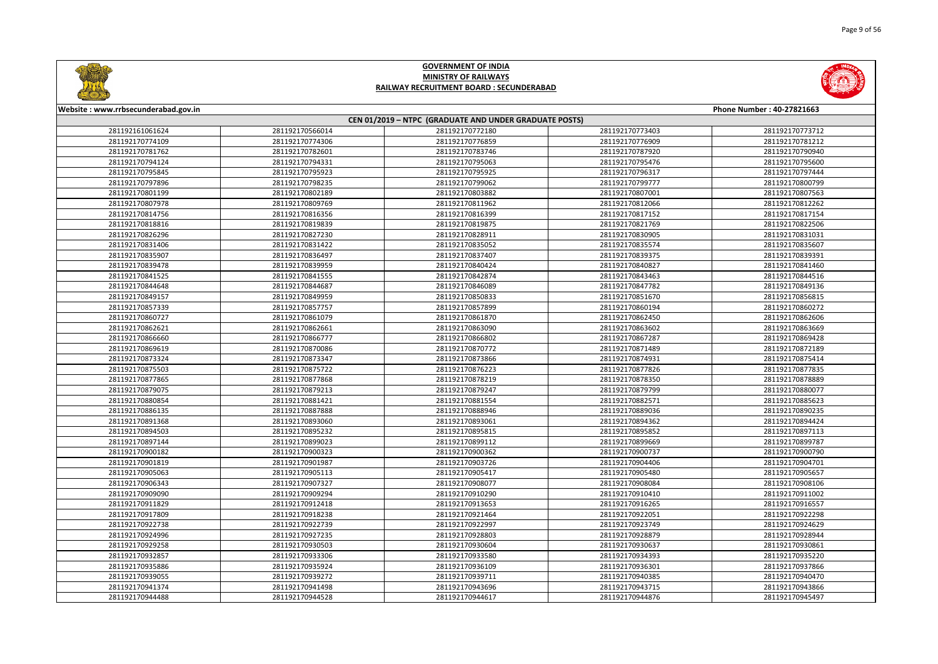

|       | <b>Phone Number: 40-27821663</b> |
|-------|----------------------------------|
|       |                                  |
| 73403 | 281192170773712                  |
| 76909 | 281192170781212                  |
| 37920 | 281192170790940                  |
| 95476 | 281192170795600                  |
| 96317 | 281192170797444                  |
| 99777 | 281192170800799                  |
| 07001 | 281192170807563                  |
| 12066 | 281192170812262                  |
| 17152 | 281192170817154                  |
| 21769 | 281192170822506                  |
| 30905 | 281192170831031                  |
| 35574 | 281192170835607                  |
| 39375 | 281192170839391                  |
| 10827 | 281192170841460                  |
| 43463 | 281192170844516                  |
| 47782 | 281192170849136                  |
| 51670 | 281192170856815                  |
| 50194 | 281192170860272                  |
| 52450 | 281192170862606                  |
| 53602 | 281192170863669                  |
| 57287 | 281192170869428                  |
| 71489 | 281192170872189                  |
| 74931 | 281192170875414                  |
| 77826 | 281192170877835                  |
| 78350 | 281192170878889                  |
| 79799 | 281192170880077                  |
| 32571 | 281192170885623                  |
| 39036 | 281192170890235                  |
| 94362 | 281192170894424                  |
| 95852 | 281192170897113                  |
| 99669 | 281192170899787                  |
| 00737 | 281192170900790                  |
| 04406 | 281192170904701                  |
| 05480 | 281192170905657                  |
| 08084 | 281192170908106                  |
| 10410 | 281192170911002                  |
| 16265 | 281192170916557                  |
| 22051 | 281192170922298                  |
| 23749 | 281192170924629                  |
| 28879 | 281192170928944                  |
| 30637 | 281192170930861                  |
| 34393 | 281192170935220                  |
| 36301 | 281192170937866                  |
| 40385 | 281192170940470                  |
| 43715 | 281192170943866                  |
| 14876 | 281192170945497                  |
|       |                                  |



#### **Website : www.rrbsecunderabad.gov.in CEN 01/2019 – NTPC (GRADUATE AND UNDER GRADUATE POSTS)** 281192170566014 281192170772180 281192170773403 281192170773712 281192170774306 281192170776859 281192170776909 281192170781212 281192170782601 281192170783746 281192170787920 281192170790940 281192170794331 281192170795063 281192170795476 281192170795600 281192170795923 281192170795925 281192170796317 281192170797444 281192170798235 281192170799062 281192170799777 281192170800799 281192170802189 281192170803882 281192170807001 281192170807563 281192170809769 281192170811962 281192170812066 281192170812262 281192170816356 281192170816399 281192170817152 281192170817154 281192170819839 281192170819875 281192170821769 281192170822506 281192170827230 281192170828911 281192170830905 281192170831031 281192170831422 281192170835052 281192170835574 281192170835607 281192170836497 281192170837407 281192170839375 281192170839391 281192170839959 281192170840424 281192170840827 281192170841460 281192170841555 281192170842874 281192170843463 281192170844516 281192170844687 281192170846089 281192170847782 281192170849136 281192170849959 281192170850833 281192170851670 281192170856815 281192170857757 281192170857899 281192170860194 281192170860272 281192170861079 281192170861870 281192170862450 281192170862606 281192170862661 281192170863090 281192170863602 281192170863669 281192170866777 281192170866802 281192170867287 281192170869428 281192170870086 281192170870772 281192170871489 281192170872189 281192170873347 281192170873866 281192170874931 281192170875414 281192170875722 281192170876223 281192170877826 281192170877835 281192170877868 281192170878219 281192170878350 281192170878889 281192170879213 281192170879247 281192170879799 281192170880077 281192170881421 281192170881554 281192170882571 281192170885623 281192170887888 281192170888946 281192170889036 281192170890235 281192170893060 281192170893061 281192170894362 281192170894424 281192170895232 281192170895815 281192170895852 281192170897113 281192170899023 281192170899112 281192170899669 281192170899787 281192170900323 281192170900362 281192170900737 281192170900790 281192170901987 281192170903726 281192170904406 281192170904701 281192170905113 281192170905417 281192170905480 281192170905657 281192170907327 281192170908077 281192170908084 281192170908106 281192170909294 281192170910290 281192170910410 281192170911002 281192170912418 281192170913653 281192170916265 281192170916557 281192170918238 281192170921464 281192170922051 281192170922298 281192170922739 281192170922997 281192170923749 281192170924629 281192170927235 281192170928803 281192170928879 281192170928944 281192170930503 281192170930604 281192170930637 281192170930861 281192170933306 281192170933580 281192170934393 281192170935220 281192170935924 281192170936109 281192170936301 281192170937866 281192170939272 281192170939711 281192170940385 281192170940470 281192170941498 281192170943696 281192170943715 281192170943866 281192170944528 281192170944617 281192170944876 281192170945497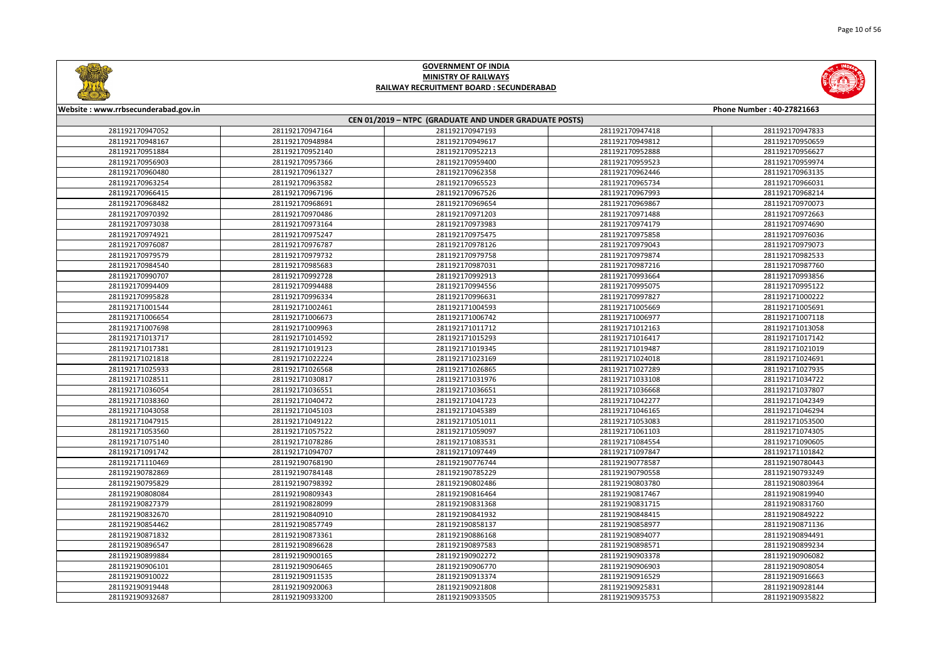

|                | <b>Phone Number: 40-27821663</b>   |
|----------------|------------------------------------|
|                |                                    |
| 47418<br>19812 | 281192170947833<br>281192170950659 |
|                |                                    |
| 52888          | 281192170956627                    |
| 59523          | 281192170959974                    |
| 52446          | 281192170963135                    |
| 55734<br>57993 | 281192170966031                    |
|                | 281192170968214                    |
| 59867<br>71488 | 281192170970073                    |
| 74179          | 281192170972663                    |
| 75858          | 281192170974690                    |
|                | 281192170976036<br>281192170979073 |
| 79043          |                                    |
| 79874          | 281192170982533                    |
| 37216          | 281192170987760                    |
| 93664          | 281192170993856                    |
| 95075          | 281192170995122                    |
| 97827          | 281192171000222                    |
| 05669          | 281192171005691                    |
| 06977          | 281192171007118                    |
| 12163          | 281192171013058                    |
| 16417          | 281192171017142                    |
| 19487          | 281192171021019                    |
| 24018          | 281192171024691                    |
| 27289          | 281192171027935                    |
| 33108          | 281192171034722                    |
| 36668          | 281192171037807                    |
| 42277          | 281192171042349                    |
| 46165          | 281192171046294                    |
| 53083          | 281192171053500                    |
| 51103          | 281192171074305                    |
| 34554          | 281192171090605                    |
| 97847          | 281192171101842                    |
| 78587          | 281192190780443                    |
| 90558          | 281192190793249                    |
| 03780          | 281192190803964                    |
| 17467          | 281192190819940                    |
| 31715          | 281192190831760                    |
| 18415          | 281192190849222                    |
| 58977          | 281192190871136                    |
| 94077          | 281192190894491                    |
| 98571          | 281192190899234                    |
| 03378          | 281192190906082                    |
| 06903          | 281192190908054                    |
| 16529          | 281192190916663                    |
| 25831          | 281192190928144                    |
| 35753          | 281192190935822                    |



#### **Website : www.rrbsecunderabad.gov.in CEN 01/2019 – NTPC (GRADUATE AND UNDER GRADUATE POSTS)** 281192170947164 281192170947193 281192170947418 281192170947833 281192170948984 281192170949617 281192170949812 281192170950659 281192170952140 281192170952213 281192170952888 281192170956627 281192170957366 281192170959400 281192170959523 281192170959974 281192170961327 281192170962358 281192170962446 281192170963135 281192170963582 281192170965523 281192170965734 281192170966031 281192170967196 281192170967526 281192170967993 281192170968214 281192170968691 281192170969654 281192170969867 281192170970073 281192170970486 281192170971203 281192170971488 281192170972663 281192170973164 281192170973983 281192170974179 281192170974690 281192170975247 281192170975475 281192170975858 281192170976036 281192170976787 281192170978126 281192170979043 281192170979073 281192170979732 281192170979758 281192170979874 281192170982533 281192170985683 281192170987031 281192170987216 281192170987760 281192170992728 281192170992913 281192170993664 281192170993856 281192170994488 281192170994556 281192170995075 281192170995122 281192170996334 281192170996631 281192170997827 281192171000222 281192171002461 281192171004593 281192171005669 281192171005691 281192171006673 281192171006742 281192171006977 281192171007118 281192171009963 281192171011712 281192171012163 281192171013058 281192171014592 281192171015293 281192171016417 281192171017142 281192171019123 281192171019345 281192171019487 281192171021019 281192171022224 281192171023169 281192171024018 281192171024691 281192171026568 281192171026865 281192171027289 281192171027935 281192171030817 281192171031976 281192171033108 281192171034722 281192171036551 281192171036651 281192171036668 281192171037807 281192171040472 281192171041723 281192171042277 281192171042349 281192171045103 281192171045389 281192171046165 281192171046294 281192171049122 281192171051011 281192171053083 281192171053500 281192171057522 281192171059097 281192171061103 281192171074305 281192171078286 281192171083531 281192171084554 281192171090605 281192171094707 281192171097449 281192171097847 281192171101842 281192190768190 281192190776744 281192190778587 281192190780443 281192190784148 281192190785229 281192190790558 281192190793249 281192190798392 281192190802486 281192190803780 281192190803964 281192190809343 281192190816464 281192190817467 281192190819940 281192190828099 281192190831368 281192190831715 281192190831760 281192190840910 281192190841932 281192190848415 281192190849222 281192190857749 281192190858137 281192190858977 281192190871136 281192190873361 281192190886168 281192190894077 281192190894491 281192190896628 281192190897583 281192190898571 281192190899234 281192190900165 281192190902272 281192190903378 281192190906082 281192190906465 281192190906770 281192190906903 281192190908054 281192190911535 281192190913374 281192190916529 281192190916663 281192190920063 281192190921808 281192190925831 281192190928144 281192190933200 281192190933505 281192190935753 281192190935822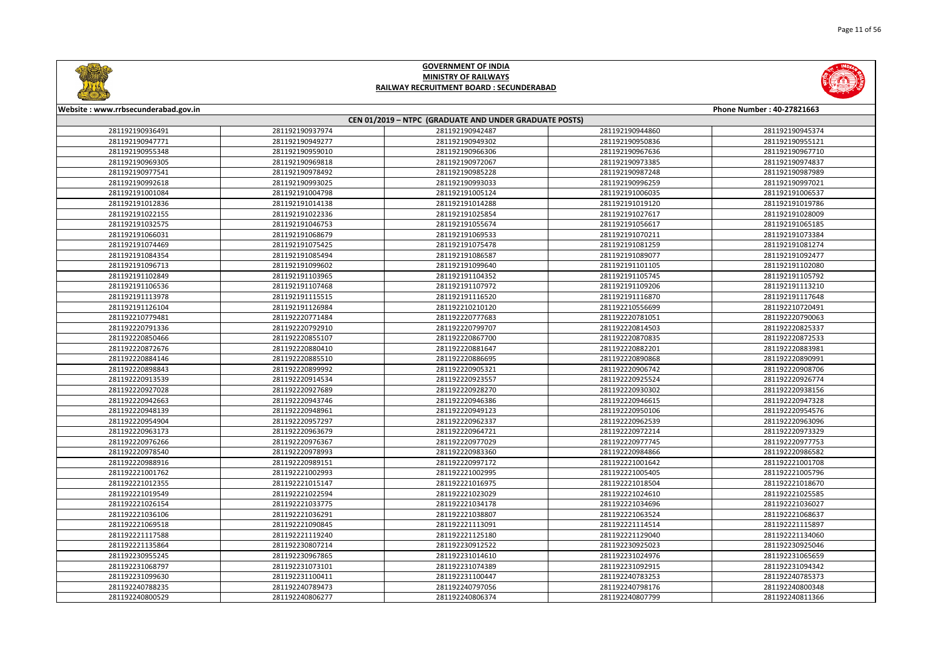



| Website: www.rrbsecunderabad.gov.in<br>Phone Number: 40-27821663 |                 |                                                        |                 |                 |
|------------------------------------------------------------------|-----------------|--------------------------------------------------------|-----------------|-----------------|
|                                                                  |                 | CEN 01/2019 - NTPC (GRADUATE AND UNDER GRADUATE POSTS) |                 |                 |
| 281192190936491                                                  | 281192190937974 | 281192190942487                                        | 281192190944860 | 281192190945374 |
| 281192190947771                                                  | 281192190949277 | 281192190949302                                        | 281192190950836 | 281192190955121 |
| 281192190955348                                                  | 281192190959010 | 281192190966306                                        | 281192190967636 | 281192190967710 |
| 281192190969305                                                  | 281192190969818 | 281192190972067                                        | 281192190973385 | 281192190974837 |
| 281192190977541                                                  | 281192190978492 | 281192190985228                                        | 281192190987248 | 281192190987989 |
| 281192190992618                                                  | 281192190993025 | 281192190993033                                        | 281192190996259 | 281192190997021 |
| 281192191001084                                                  | 281192191004798 | 281192191005124                                        | 281192191006035 | 281192191006537 |
| 281192191012836                                                  | 281192191014138 | 281192191014288                                        | 281192191019120 | 281192191019786 |
| 281192191022155                                                  | 281192191022336 | 281192191025854                                        | 281192191027617 | 281192191028009 |
| 281192191032575                                                  | 281192191046753 | 281192191055674                                        | 281192191056617 | 281192191065185 |
| 281192191066031                                                  | 281192191068679 | 281192191069533                                        | 281192191070211 | 281192191073384 |
| 281192191074469                                                  | 281192191075425 | 281192191075478                                        | 281192191081259 | 281192191081274 |
| 281192191084354                                                  | 281192191085494 | 281192191086587                                        | 281192191089077 | 281192191092477 |
| 281192191096713                                                  | 281192191099602 | 281192191099640                                        | 281192191101105 | 281192191102080 |
| 281192191102849                                                  | 281192191103965 | 281192191104352                                        | 281192191105745 | 281192191105792 |
| 281192191106536                                                  | 281192191107468 | 281192191107972                                        | 281192191109206 | 281192191113210 |
| 281192191113978                                                  | 281192191115515 | 281192191116520                                        | 281192191116870 | 281192191117648 |
| 281192191126104                                                  | 281192191126984 | 281192210210120                                        | 281192210556699 | 281192210720491 |
| 281192210779481                                                  | 281192220771484 | 281192220777683                                        | 281192220781051 | 281192220790063 |
| 281192220791336                                                  | 281192220792910 | 281192220799707                                        | 281192220814503 | 281192220825337 |
| 281192220850466                                                  | 281192220855107 | 281192220867700                                        | 281192220870835 | 281192220872533 |
| 281192220872676                                                  | 281192220880410 | 281192220881647                                        | 281192220882201 | 281192220883981 |
| 281192220884146                                                  | 281192220885510 | 281192220886695                                        | 281192220890868 | 281192220890991 |
| 281192220898843                                                  | 281192220899992 | 281192220905321                                        | 281192220906742 | 281192220908706 |
| 281192220913539                                                  | 281192220914534 | 281192220923557                                        | 281192220925524 | 281192220926774 |
| 281192220927028                                                  | 281192220927689 | 281192220928270                                        | 281192220930302 | 281192220938156 |
| 281192220942663                                                  | 281192220943746 | 281192220946386                                        | 281192220946615 | 281192220947328 |
| 281192220948139                                                  | 281192220948961 | 281192220949123                                        | 281192220950106 | 281192220954576 |
| 281192220954904                                                  | 281192220957297 | 281192220962337                                        | 281192220962539 | 281192220963096 |
| 281192220963173                                                  | 281192220963679 | 281192220964721                                        | 281192220972214 | 281192220973329 |
| 281192220976266                                                  | 281192220976367 | 281192220977029                                        | 281192220977745 | 281192220977753 |
| 281192220978540                                                  | 281192220978993 | 281192220983360                                        | 281192220984866 | 281192220986582 |
| 281192220988916                                                  | 281192220989151 | 281192220997172                                        | 281192221001642 | 281192221001708 |
| 281192221001762                                                  | 281192221002993 | 281192221002995                                        | 281192221005405 | 281192221005796 |
| 281192221012355                                                  | 281192221015147 | 281192221016975                                        | 281192221018504 | 281192221018670 |
| 281192221019549                                                  | 281192221022594 | 281192221023029                                        | 281192221024610 | 281192221025585 |
| 281192221026154                                                  | 281192221033775 | 281192221034178                                        | 281192221034696 | 281192221036027 |
| 281192221036106                                                  | 281192221036291 | 281192221038807                                        | 281192221063524 | 281192221068637 |
| 281192221069518                                                  | 281192221090845 | 281192221113091                                        | 281192221114514 | 281192221115897 |
| 281192221117588                                                  | 281192221119240 | 281192221125180                                        | 281192221129040 | 281192221134060 |
| 281192221135864                                                  | 281192230807214 | 281192230912522                                        | 281192230925023 | 281192230925046 |
| 281192230955245                                                  | 281192230967865 | 281192231014610                                        | 281192231024976 | 281192231065659 |
| 281192231068797                                                  | 281192231073101 | 281192231074389                                        | 281192231092915 | 281192231094342 |
| 281192231099630                                                  | 281192231100411 | 281192231100447                                        | 281192240783253 | 281192240785373 |
| 281192240788235                                                  | 281192240789473 | 281192240797056                                        | 281192240798176 | 281192240800348 |
| 281192240800529                                                  | 281192240806277 | 281192240806374                                        | 281192240807799 | 281192240811366 |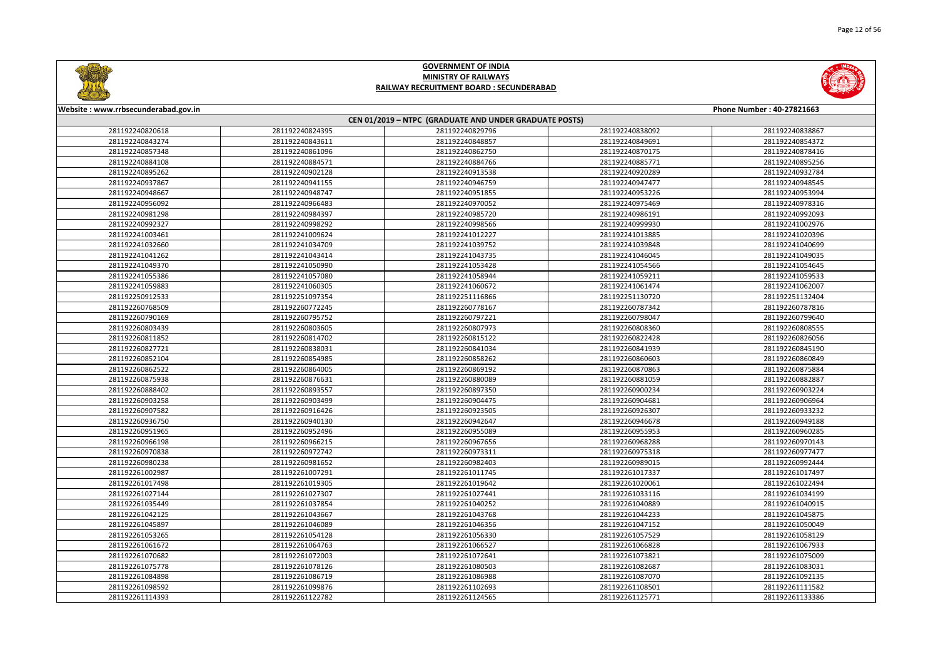



| Website: www.rrbsecunderabad.gov.in<br>Phone Number: 40-27821663 |                 |                                                        |                 |                 |
|------------------------------------------------------------------|-----------------|--------------------------------------------------------|-----------------|-----------------|
|                                                                  |                 | CEN 01/2019 - NTPC (GRADUATE AND UNDER GRADUATE POSTS) |                 |                 |
| 281192240820618                                                  | 281192240824395 | 281192240829796                                        | 281192240838092 | 281192240838867 |
| 281192240843274                                                  | 281192240843611 | 281192240848857                                        | 281192240849691 | 281192240854372 |
| 281192240857348                                                  | 281192240861096 | 281192240862750                                        | 281192240870175 | 281192240878416 |
| 281192240884108                                                  | 281192240884571 | 281192240884766                                        | 281192240885771 | 281192240895256 |
| 281192240895262                                                  | 281192240902128 | 281192240913538                                        | 281192240920289 | 281192240932784 |
| 281192240937867                                                  | 281192240941155 | 281192240946759                                        | 281192240947477 | 281192240948545 |
| 281192240948667                                                  | 281192240948747 | 281192240951855                                        | 281192240953226 | 281192240953994 |
| 281192240956092                                                  | 281192240966483 | 281192240970052                                        | 281192240975469 | 281192240978316 |
| 281192240981298                                                  | 281192240984397 | 281192240985720                                        | 281192240986191 | 281192240992093 |
| 281192240992327                                                  | 281192240998292 | 281192240998566                                        | 281192240999930 | 281192241002976 |
| 281192241003461                                                  | 281192241009624 | 281192241012227                                        | 281192241013885 | 281192241020396 |
| 281192241032660                                                  | 281192241034709 | 281192241039752                                        | 281192241039848 | 281192241040699 |
| 281192241041262                                                  | 281192241043414 | 281192241043735                                        | 281192241046045 | 281192241049035 |
| 281192241049370                                                  | 281192241050990 | 281192241053428                                        | 281192241054566 | 281192241054645 |
| 281192241055386                                                  | 281192241057080 | 281192241058944                                        | 281192241059211 | 281192241059533 |
| 281192241059883                                                  | 281192241060305 | 281192241060672                                        | 281192241061474 | 281192241062007 |
| 281192250912533                                                  | 281192251097354 | 281192251116866                                        | 281192251130720 | 281192251132404 |
| 281192260768509                                                  | 281192260772245 | 281192260778167                                        | 281192260787342 | 281192260787816 |
| 281192260790169                                                  | 281192260795752 | 281192260797221                                        | 281192260798047 | 281192260799640 |
| 281192260803439                                                  | 281192260803605 | 281192260807973                                        | 281192260808360 | 281192260808555 |
| 281192260811852                                                  | 281192260814702 | 281192260815122                                        | 281192260822428 | 281192260826056 |
| 281192260827721                                                  | 281192260838031 | 281192260841034                                        | 281192260841939 | 281192260845190 |
| 281192260852104                                                  | 281192260854985 | 281192260858262                                        | 281192260860603 | 281192260860849 |
| 281192260862522                                                  | 281192260864005 | 281192260869192                                        | 281192260870863 | 281192260875884 |
| 281192260875938                                                  | 281192260876631 | 281192260880089                                        | 281192260881059 | 281192260882887 |
| 281192260888402                                                  | 281192260893557 | 281192260897350                                        | 281192260900234 | 281192260903224 |
| 281192260903258                                                  | 281192260903499 | 281192260904475                                        | 281192260904681 | 281192260906964 |
| 281192260907582                                                  | 281192260916426 | 281192260923505                                        | 281192260926307 | 281192260933232 |
| 281192260936750                                                  | 281192260940130 | 281192260942647                                        | 281192260946678 | 281192260949188 |
| 281192260951965                                                  | 281192260952496 | 281192260955089                                        | 281192260955953 | 281192260960285 |
| 281192260966198                                                  | 281192260966215 | 281192260967656                                        | 281192260968288 | 281192260970143 |
| 281192260970838                                                  | 281192260972742 | 281192260973311                                        | 281192260975318 | 281192260977477 |
| 281192260980238                                                  | 281192260981652 | 281192260982403                                        | 281192260989015 | 281192260992444 |
| 281192261002987                                                  | 281192261007291 | 281192261011745                                        | 281192261017337 | 281192261017497 |
| 281192261017498                                                  | 281192261019305 | 281192261019642                                        | 281192261020061 | 281192261022494 |
| 281192261027144                                                  | 281192261027307 | 281192261027441                                        | 281192261033116 | 281192261034199 |
| 281192261035449                                                  | 281192261037854 | 281192261040252                                        | 281192261040889 | 281192261040915 |
| 281192261042125                                                  | 281192261043667 | 281192261043768                                        | 281192261044233 | 281192261045875 |
| 281192261045897                                                  | 281192261046089 | 281192261046356                                        | 281192261047152 | 281192261050049 |
| 281192261053265                                                  | 281192261054128 | 281192261056330                                        | 281192261057529 | 281192261058129 |
| 281192261061672                                                  | 281192261064763 | 281192261066527                                        | 281192261066828 | 281192261067933 |
| 281192261070682                                                  | 281192261072003 | 281192261072641                                        | 281192261073821 | 281192261075009 |
| 281192261075778                                                  | 281192261078126 | 281192261080503                                        | 281192261082687 | 281192261083031 |
| 281192261084898                                                  | 281192261086719 | 281192261086988                                        | 281192261087070 | 281192261092135 |
| 281192261098592                                                  | 281192261099876 | 281192261102693                                        | 281192261108501 | 281192261111582 |
| 281192261114393                                                  | 281192261122782 | 281192261124565                                        | 281192261125771 | 281192261133386 |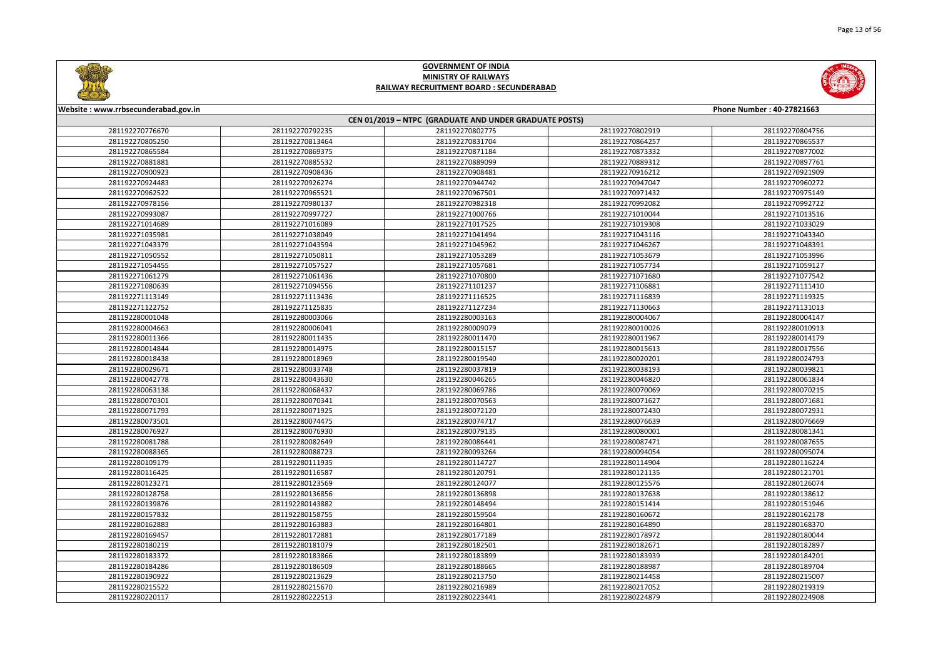



| Website: www.rrbsecunderabad.gov.in<br>Phone Number: 40-27821663 |                 |                                                        |                 |                 |
|------------------------------------------------------------------|-----------------|--------------------------------------------------------|-----------------|-----------------|
|                                                                  |                 | CEN 01/2019 - NTPC (GRADUATE AND UNDER GRADUATE POSTS) |                 |                 |
| 281192270776670                                                  | 281192270792235 | 281192270802775                                        | 281192270802919 | 281192270804756 |
| 281192270805250                                                  | 281192270813464 | 281192270831704                                        | 281192270864257 | 281192270865537 |
| 281192270865584                                                  | 281192270869375 | 281192270871184                                        | 281192270873332 | 281192270877002 |
| 281192270881881                                                  | 281192270885532 | 281192270889099                                        | 281192270889312 | 281192270897761 |
| 281192270900923                                                  | 281192270908436 | 281192270908481                                        | 281192270916212 | 281192270921909 |
| 281192270924483                                                  | 281192270926274 | 281192270944742                                        | 281192270947047 | 281192270960272 |
| 281192270962522                                                  | 281192270965521 | 281192270967501                                        | 281192270971432 | 281192270975149 |
| 281192270978156                                                  | 281192270980137 | 281192270982318                                        | 281192270992082 | 281192270992722 |
| 281192270993087                                                  | 281192270997727 | 281192271000766                                        | 281192271010044 | 281192271013516 |
| 281192271014689                                                  | 281192271016089 | 281192271017525                                        | 281192271019308 | 281192271033029 |
| 281192271035981                                                  | 281192271038049 | 281192271041494                                        | 281192271043116 | 281192271043340 |
| 281192271043379                                                  | 281192271043594 | 281192271045962                                        | 281192271046267 | 281192271048391 |
| 281192271050552                                                  | 281192271050811 | 281192271053289                                        | 281192271053679 | 281192271053996 |
| 281192271054455                                                  | 281192271057527 | 281192271057681                                        | 281192271057734 | 281192271059127 |
| 281192271061279                                                  | 281192271061436 | 281192271070800                                        | 281192271071680 | 281192271077542 |
| 281192271080639                                                  | 281192271094556 | 281192271101237                                        | 281192271106881 | 281192271111410 |
| 281192271113149                                                  | 281192271113436 | 281192271116525                                        | 281192271116839 | 281192271119325 |
| 281192271122752                                                  | 281192271125835 | 281192271127234                                        | 281192271130663 | 281192271131013 |
| 281192280001048                                                  | 281192280003066 | 281192280003163                                        | 281192280004067 | 281192280004147 |
| 281192280004663                                                  | 281192280006041 | 281192280009079                                        | 281192280010026 | 281192280010913 |
| 281192280011366                                                  | 281192280011435 | 281192280011470                                        | 281192280011967 | 281192280014179 |
| 281192280014844                                                  | 281192280014975 | 281192280015157                                        | 281192280015613 | 281192280017556 |
| 281192280018438                                                  | 281192280018969 | 281192280019540                                        | 281192280020201 | 281192280024793 |
| 281192280029671                                                  | 281192280033748 | 281192280037819                                        | 281192280038193 | 281192280039821 |
| 281192280042778                                                  | 281192280043630 | 281192280046265                                        | 281192280046820 | 281192280061834 |
| 281192280063138                                                  | 281192280068437 | 281192280069786                                        | 281192280070069 | 281192280070215 |
| 281192280070301                                                  | 281192280070341 | 281192280070563                                        | 281192280071627 | 281192280071681 |
| 281192280071793                                                  | 281192280071925 | 281192280072120                                        | 281192280072430 | 281192280072931 |
| 281192280073501                                                  | 281192280074475 | 281192280074717                                        | 281192280076639 | 281192280076669 |
| 281192280076927                                                  | 281192280076930 | 281192280079135                                        | 281192280080001 | 281192280081341 |
| 281192280081788                                                  | 281192280082649 | 281192280086441                                        | 281192280087471 | 281192280087655 |
| 281192280088365                                                  | 281192280088723 | 281192280093264                                        | 281192280094054 | 281192280095074 |
| 281192280109179                                                  | 281192280111935 | 281192280114727                                        | 281192280114904 | 281192280116224 |
| 281192280116425                                                  | 281192280116587 | 281192280120791                                        | 281192280121135 | 281192280121701 |
| 281192280123271                                                  | 281192280123569 | 281192280124077                                        | 281192280125576 | 281192280126074 |
| 281192280128758                                                  | 281192280136856 | 281192280136898                                        | 281192280137638 | 281192280138612 |
| 281192280139876                                                  | 281192280143882 | 281192280148494                                        | 281192280151414 | 281192280151946 |
| 281192280157832                                                  | 281192280158755 | 281192280159504                                        | 281192280160672 | 281192280162178 |
| 281192280162883                                                  | 281192280163883 | 281192280164801                                        | 281192280164890 | 281192280168370 |
| 281192280169457                                                  | 281192280172881 | 281192280177189                                        | 281192280178972 | 281192280180044 |
| 281192280180219                                                  | 281192280181079 | 281192280182501                                        | 281192280182671 | 281192280182897 |
| 281192280183372                                                  | 281192280183866 | 281192280183899                                        | 281192280183939 | 281192280184201 |
| 281192280184286                                                  | 281192280186509 | 281192280188665                                        | 281192280188987 | 281192280189704 |
| 281192280190922                                                  | 281192280213629 | 281192280213750                                        | 281192280214458 | 281192280215007 |
| 281192280215522                                                  | 281192280215670 | 281192280216989                                        | 281192280217052 | 281192280219319 |
| 281192280220117                                                  | 281192280222513 | 281192280223441                                        | 281192280224879 | 281192280224908 |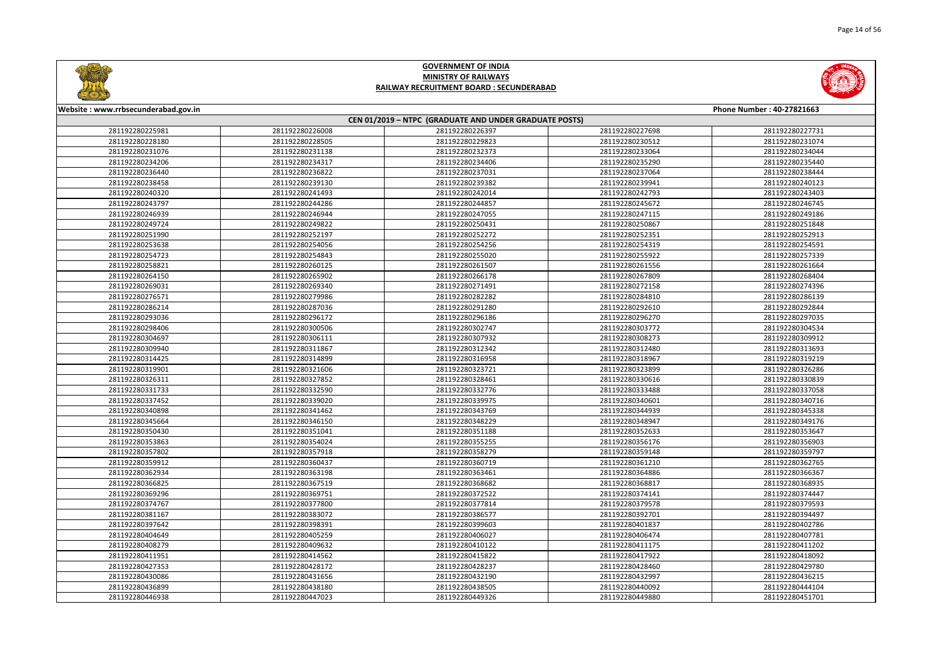

|       | Phone Number: 40-27821663 |
|-------|---------------------------|
|       |                           |
| 27698 | 281192280227731           |
| 30512 | 281192280231074           |
| 33064 | 281192280234044           |
| 35290 | 281192280235440           |
| 37064 | 281192280238444           |
| 39941 | 281192280240123           |
| 42793 | 281192280243403           |
| 45672 | 281192280246745           |
| 47115 | 281192280249186           |
| 50867 | 281192280251848           |
| 52351 | 281192280252913           |
| 54319 | 281192280254591           |
| 55922 | 281192280257339           |
| 51556 | 281192280261664           |
| 57809 | 281192280268404           |
| 72158 | 281192280274396           |
| 34810 | 281192280286139           |
| 92610 | 281192280292844           |
| 96270 | 281192280297035           |
| 03772 | 281192280304534           |
| 08273 | 281192280309912           |
| 12480 | 281192280313693           |
| 18967 | 281192280319219           |
| 23899 | 281192280326286           |
| 30616 | 281192280330839           |
| 33488 | 281192280337058           |
| 40601 | 281192280340716           |
| 44939 | 281192280345338           |
| 48947 | 281192280349176           |
| 52633 | 281192280353647           |
| 56176 | 281192280356903           |
| 59148 | 281192280359797           |
| 51210 | 281192280362765           |
| 54886 | 281192280366367           |
| 58817 | 281192280368935           |
| 74141 | 281192280374447           |
| 79578 | 281192280379593           |
| 92701 | 281192280394497           |
| 01837 | 281192280402786           |
| 06474 | 281192280407781           |
| 11175 | 281192280411202           |
| 17922 | 281192280418092           |
| 28460 | 281192280429780           |
| 32997 | 281192280436215           |
| 40092 | 281192280444104           |
| 49880 | 281192280451701           |



#### **Website : www.rrbsecunderabad.gov.in CEN 01/2019 – NTPC (GRADUATE AND UNDER GRADUATE POSTS)** 281192280226008 281192280226397 281192280227698 281192280227731 281192280228505 281192280229823 281192280230512 281192280231074 281192280231138 281192280232373 281192280233064 281192280234044 281192280234317 281192280234406 281192280235290 281192280235440 281192280236822 281192280237031 281192280237064 281192280238444 281192280239130 281192280239382 281192280239941 281192280240123 281192280241493 281192280242014 281192280242793 281192280243403 281192280244286 281192280244857 281192280245672 281192280246745 281192280246944 281192280247055 281192280247115 281192280249186 281192280249822 281192280250431 281192280250867 281192280251848 281192280252197 281192280252272 281192280252351 281192280252913 281192280254056 281192280254256 281192280254319 281192280254591 281192280254843 281192280255020 281192280255922 281192280257339 281192280260125 281192280261507 281192280261556 281192280261664 281192280265902 281192280266178 281192280267809 281192280268404 281192280269340 281192280271491 281192280272158 281192280274396 281192280279986 281192280282282 281192280284810 281192280286139 281192280287036 281192280291280 281192280292610 281192280292844 281192280296172 281192280296186 281192280296270 281192280297035 281192280300506 281192280302747 281192280303772 281192280304534 281192280306111 281192280307932 281192280308273 281192280309912 281192280311867 281192280312342 281192280312480 281192280313693 281192280314899 281192280316958 281192280318967 281192280319219 281192280321606 281192280323721 281192280323899 281192280326286 281192280327852 281192280328461 281192280330616 281192280330839 281192280332590 281192280332776 281192280333488 281192280337058 281192280339020 281192280339975 281192280340601 281192280340716 281192280341462 281192280343769 281192280344939 281192280345338 281192280346150 281192280348229 281192280348947 281192280349176 281192280351041 281192280351188 281192280352633 281192280353647 281192280354024 281192280355255 281192280356176 281192280356903 281192280357918 281192280358279 281192280359148 281192280359797 281192280360437 281192280360719 281192280361210 281192280362765 281192280363198 281192280363461 281192280364886 281192280366367 281192280367519 281192280368682 281192280368817 281192280368935 281192280369751 281192280372522 281192280374141 281192280374447 281192280377800 281192280377814 281192280379578 281192280379593 281192280383072 281192280386577 281192280392701 281192280394497 281192280398391 281192280399603 281192280401837 281192280402786 281192280405259 281192280406027 281192280406474 281192280407781 281192280409632 281192280410122 281192280411175 281192280411202 281192280414562 281192280415822 281192280417922 281192280418092 281192280428172 281192280428237 281192280428460 281192280429780 281192280431656 281192280432190 281192280432997 281192280436215 281192280438180 281192280438505 281192280440092 281192280444104 281192280447023 281192280449326 281192280449880 281192280451701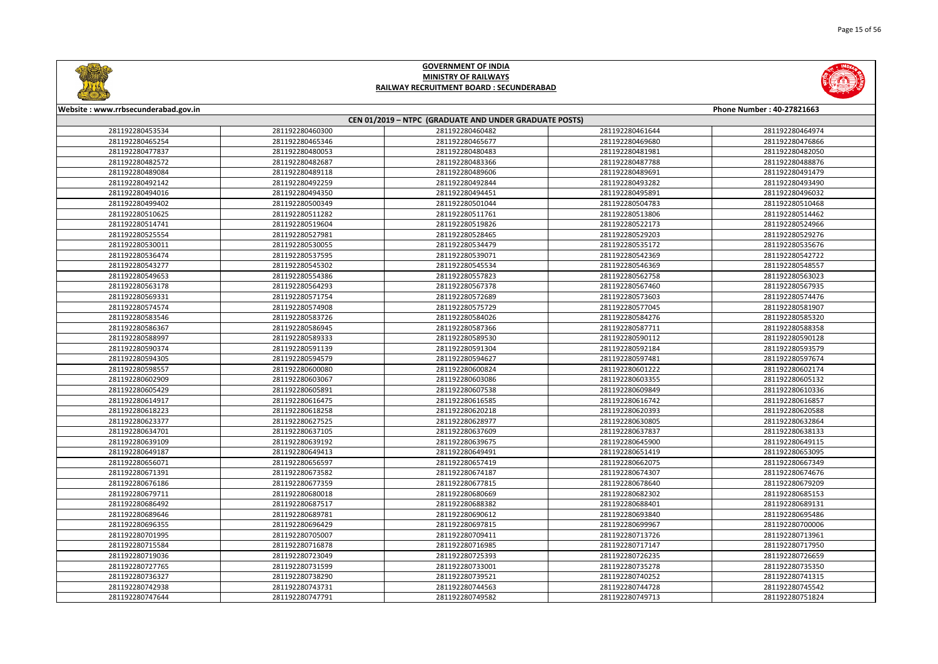



| Website: www.rrbsecunderabad.gov.in<br>Phone Number: 40-27821663 |                 |                                                        |                 |                 |
|------------------------------------------------------------------|-----------------|--------------------------------------------------------|-----------------|-----------------|
|                                                                  |                 | CEN 01/2019 - NTPC (GRADUATE AND UNDER GRADUATE POSTS) |                 |                 |
| 281192280453534                                                  | 281192280460300 | 281192280460482                                        | 281192280461644 | 281192280464974 |
| 281192280465254                                                  | 281192280465346 | 281192280465677                                        | 281192280469680 | 281192280476866 |
| 281192280477837                                                  | 281192280480053 | 281192280480483                                        | 281192280481981 | 281192280482050 |
| 281192280482572                                                  | 281192280482687 | 281192280483366                                        | 281192280487788 | 281192280488876 |
| 281192280489084                                                  | 281192280489118 | 281192280489606                                        | 281192280489691 | 281192280491479 |
| 281192280492142                                                  | 281192280492259 | 281192280492844                                        | 281192280493282 | 281192280493490 |
| 281192280494016                                                  | 281192280494350 | 281192280494451                                        | 281192280495891 | 281192280496032 |
| 281192280499402                                                  | 281192280500349 | 281192280501044                                        | 281192280504783 | 281192280510468 |
| 281192280510625                                                  | 281192280511282 | 281192280511761                                        | 281192280513806 | 281192280514462 |
| 281192280514741                                                  | 281192280519604 | 281192280519826                                        | 281192280522173 | 281192280524966 |
| 281192280525554                                                  | 281192280527981 | 281192280528465                                        | 281192280529203 | 281192280529276 |
| 281192280530011                                                  | 281192280530055 | 281192280534479                                        | 281192280535172 | 281192280535676 |
| 281192280536474                                                  | 281192280537595 | 281192280539071                                        | 281192280542369 | 281192280542722 |
| 281192280543277                                                  | 281192280545302 | 281192280545534                                        | 281192280546369 | 281192280548557 |
| 281192280549653                                                  | 281192280554386 | 281192280557823                                        | 281192280562758 | 281192280563023 |
| 281192280563178                                                  | 281192280564293 | 281192280567378                                        | 281192280567460 | 281192280567935 |
| 281192280569331                                                  | 281192280571754 | 281192280572689                                        | 281192280573603 | 281192280574476 |
| 281192280574574                                                  | 281192280574908 | 281192280575729                                        | 281192280577045 | 281192280581907 |
| 281192280583546                                                  | 281192280583726 | 281192280584026                                        | 281192280584276 | 281192280585320 |
| 281192280586367                                                  | 281192280586945 | 281192280587366                                        | 281192280587711 | 281192280588358 |
| 281192280588997                                                  | 281192280589333 | 281192280589530                                        | 281192280590112 | 281192280590128 |
| 281192280590374                                                  | 281192280591139 | 281192280591304                                        | 281192280592184 | 281192280593579 |
| 281192280594305                                                  | 281192280594579 | 281192280594627                                        | 281192280597481 | 281192280597674 |
| 281192280598557                                                  | 281192280600080 | 281192280600824                                        | 281192280601222 | 281192280602174 |
| 281192280602909                                                  | 281192280603067 | 281192280603086                                        | 281192280603355 | 281192280605132 |
| 281192280605429                                                  | 281192280605891 | 281192280607538                                        | 281192280609849 | 281192280610336 |
| 281192280614917                                                  | 281192280616475 | 281192280616585                                        | 281192280616742 | 281192280616857 |
| 281192280618223                                                  | 281192280618258 | 281192280620218                                        | 281192280620393 | 281192280620588 |
| 281192280623377                                                  | 281192280627525 | 281192280628977                                        | 281192280630805 | 281192280632864 |
| 281192280634701                                                  | 281192280637105 | 281192280637609                                        | 281192280637837 | 281192280638133 |
| 281192280639109                                                  | 281192280639192 | 281192280639675                                        | 281192280645900 | 281192280649115 |
| 281192280649187                                                  | 281192280649413 | 281192280649491                                        | 281192280651419 | 281192280653095 |
| 281192280656071                                                  | 281192280656597 | 281192280657419                                        | 281192280662075 | 281192280667349 |
| 281192280671391                                                  | 281192280673582 | 281192280674187                                        | 281192280674307 | 281192280674676 |
| 281192280676186                                                  | 281192280677359 | 281192280677815                                        | 281192280678640 | 281192280679209 |
| 281192280679711                                                  | 281192280680018 | 281192280680669                                        | 281192280682302 | 281192280685153 |
| 281192280686492                                                  | 281192280687517 | 281192280688382                                        | 281192280688401 | 281192280689131 |
| 281192280689646                                                  | 281192280689781 | 281192280690612                                        | 281192280693840 | 281192280695486 |
| 281192280696355                                                  | 281192280696429 | 281192280697815                                        | 281192280699967 | 281192280700006 |
| 281192280701995                                                  | 281192280705007 | 281192280709411                                        | 281192280713726 | 281192280713961 |
| 281192280715584                                                  | 281192280716878 | 281192280716985                                        | 281192280717147 | 281192280717950 |
| 281192280719036                                                  | 281192280723049 | 281192280725393                                        | 281192280726235 | 281192280726659 |
| 281192280727765                                                  | 281192280731599 | 281192280733001                                        | 281192280735278 | 281192280735350 |
| 281192280736327                                                  | 281192280738290 | 281192280739521                                        | 281192280740252 | 281192280741315 |
| 281192280742938                                                  | 281192280743731 | 281192280744563                                        | 281192280744728 | 281192280745542 |
| 281192280747644                                                  | 281192280747791 | 281192280749582                                        | 281192280749713 | 281192280751824 |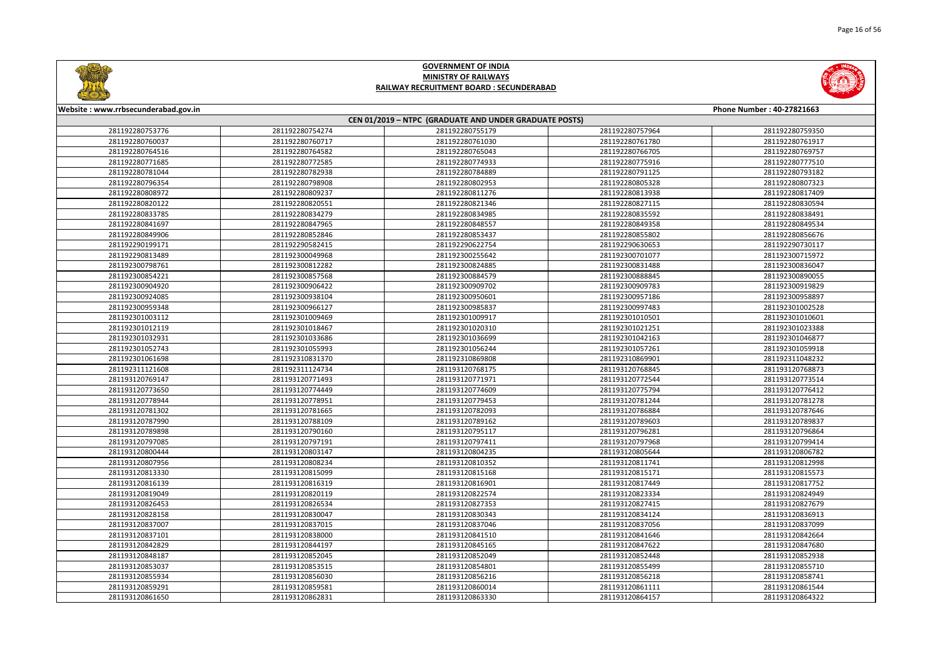



| Website: www.rrbsecunderabad.gov.in |                 |                                                        |                 | Phone Number: 40-27821663 |
|-------------------------------------|-----------------|--------------------------------------------------------|-----------------|---------------------------|
|                                     |                 | CEN 01/2019 - NTPC (GRADUATE AND UNDER GRADUATE POSTS) |                 |                           |
| 281192280753776                     | 281192280754274 | 281192280755179                                        | 281192280757964 | 281192280759350           |
| 281192280760037                     | 281192280760717 | 281192280761030                                        | 281192280761780 | 281192280761917           |
| 281192280764516                     | 281192280764582 | 281192280765043                                        | 281192280766705 | 281192280769757           |
| 281192280771685                     | 281192280772585 | 281192280774933                                        | 281192280775916 | 281192280777510           |
| 281192280781044                     | 281192280782938 | 281192280784889                                        | 281192280791125 | 281192280793182           |
| 281192280796354                     | 281192280798908 | 281192280802953                                        | 281192280805328 | 281192280807323           |
| 281192280808972                     | 281192280809237 | 281192280811276                                        | 281192280813938 | 281192280817409           |
| 281192280820122                     | 281192280820551 | 281192280821346                                        | 281192280827115 | 281192280830594           |
| 281192280833785                     | 281192280834279 | 281192280834985                                        | 281192280835592 | 281192280838491           |
| 281192280841697                     | 281192280847965 | 281192280848557                                        | 281192280849358 | 281192280849534           |
| 281192280849906                     | 281192280852846 | 281192280853437                                        | 281192280855802 | 281192280856676           |
| 281192290199171                     | 281192290582415 | 281192290622754                                        | 281192290630653 | 281192290730117           |
| 281192290813489                     | 281192300049968 | 281192300255642                                        | 281192300701077 | 281192300715972           |
| 281192300798761                     | 281192300812282 | 281192300824885                                        | 281192300831488 | 281192300836047           |
| 281192300854221                     | 281192300857568 | 281192300884579                                        | 281192300888845 | 281192300890055           |
| 281192300904920                     | 281192300906422 | 281192300909702                                        | 281192300909783 | 281192300919829           |
| 281192300924085                     | 281192300938104 | 281192300950601                                        | 281192300957186 | 281192300958897           |
| 281192300959348                     | 281192300966127 | 281192300985837                                        | 281192300997483 | 281192301002528           |
| 281192301003112                     | 281192301009469 | 281192301009917                                        | 281192301010501 | 281192301010601           |
| 281192301012119                     | 281192301018467 | 281192301020310                                        | 281192301021251 | 281192301023388           |
| 281192301032931                     | 281192301033686 | 281192301036699                                        | 281192301042163 | 281192301046877           |
| 281192301052743                     | 281192301055993 | 281192301056244                                        | 281192301057261 | 281192301059918           |
| 281192301061698                     | 281192310831370 | 281192310869808                                        | 281192310869901 | 281192311048232           |
| 281192311121608                     | 281192311124734 | 281193120768175                                        | 281193120768845 | 281193120768873           |
| 281193120769147                     | 281193120771493 | 281193120771971                                        | 281193120772544 | 281193120773514           |
| 281193120773650                     | 281193120774449 | 281193120774609                                        | 281193120775794 | 281193120776412           |
| 281193120778944                     | 281193120778951 | 281193120779453                                        | 281193120781244 | 281193120781278           |
| 281193120781302                     | 281193120781665 | 281193120782093                                        | 281193120786884 | 281193120787646           |
| 281193120787990                     | 281193120788109 | 281193120789162                                        | 281193120789603 | 281193120789837           |
| 281193120789898                     | 281193120790160 | 281193120795117                                        | 281193120796281 | 281193120796864           |
| 281193120797085                     | 281193120797191 | 281193120797411                                        | 281193120797968 | 281193120799414           |
| 281193120800444                     | 281193120803147 | 281193120804235                                        | 281193120805644 | 281193120806782           |
| 281193120807956                     | 281193120808234 | 281193120810352                                        | 281193120811741 | 281193120812998           |
| 281193120813330                     | 281193120815099 | 281193120815168                                        | 281193120815171 | 281193120815573           |
| 281193120816139                     | 281193120816319 | 281193120816901                                        | 281193120817449 | 281193120817752           |
| 281193120819049                     | 281193120820119 | 281193120822574                                        | 281193120823334 | 281193120824949           |
| 281193120826453                     | 281193120826534 | 281193120827353                                        | 281193120827415 | 281193120827679           |
| 281193120828158                     | 281193120830047 | 281193120830343                                        | 281193120834124 | 281193120836913           |
| 281193120837007                     | 281193120837015 | 281193120837046                                        | 281193120837056 | 281193120837099           |
| 281193120837101                     | 281193120838000 | 281193120841510                                        | 281193120841646 | 281193120842664           |
| 281193120842829                     | 281193120844197 | 281193120845165                                        | 281193120847622 | 281193120847680           |
| 281193120848187                     | 281193120852045 | 281193120852049                                        | 281193120852448 | 281193120852938           |
| 281193120853037                     | 281193120853515 | 281193120854801                                        | 281193120855499 | 281193120855710           |
| 281193120855934                     | 281193120856030 | 281193120856216                                        | 281193120856218 | 281193120858741           |
| 281193120859291                     | 281193120859581 | 281193120860014                                        | 281193120861111 | 281193120861544           |
| 281193120861650                     | 281193120862831 | 281193120863330                                        | 281193120864157 | 281193120864322           |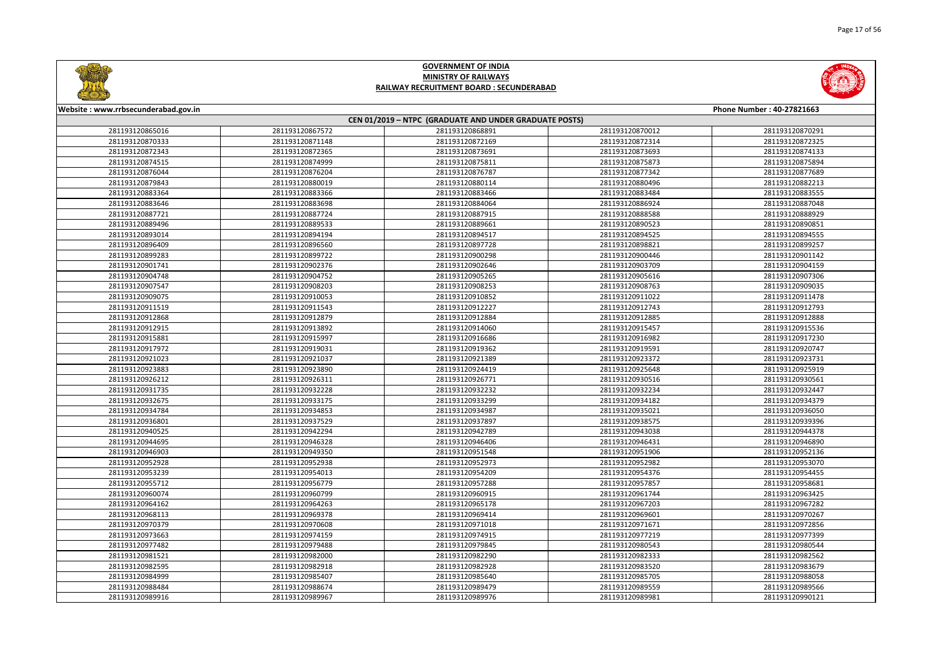



| Website: www.rrbsecunderabad.gov.in |                 |                                                        |                 | Phone Number: 40-27821663 |
|-------------------------------------|-----------------|--------------------------------------------------------|-----------------|---------------------------|
|                                     |                 | CEN 01/2019 - NTPC (GRADUATE AND UNDER GRADUATE POSTS) |                 |                           |
| 281193120865016                     | 281193120867572 | 281193120868891                                        | 281193120870012 | 281193120870291           |
| 281193120870333                     | 281193120871148 | 281193120872169                                        | 281193120872314 | 281193120872325           |
| 281193120872343                     | 281193120872365 | 281193120873691                                        | 281193120873693 | 281193120874133           |
| 281193120874515                     | 281193120874999 | 281193120875811                                        | 281193120875873 | 281193120875894           |
| 281193120876044                     | 281193120876204 | 281193120876787                                        | 281193120877342 | 281193120877689           |
| 281193120879843                     | 281193120880019 | 281193120880114                                        | 281193120880496 | 281193120882213           |
| 281193120883364                     | 281193120883366 | 281193120883466                                        | 281193120883484 | 281193120883555           |
| 281193120883646                     | 281193120883698 | 281193120884064                                        | 281193120886924 | 281193120887048           |
| 281193120887721                     | 281193120887724 | 281193120887915                                        | 281193120888588 | 281193120888929           |
| 281193120889496                     | 281193120889533 | 281193120889661                                        | 281193120890523 | 281193120890851           |
| 281193120893014                     | 281193120894194 | 281193120894517                                        | 281193120894525 | 281193120894555           |
| 281193120896409                     | 281193120896560 | 281193120897728                                        | 281193120898821 | 281193120899257           |
| 281193120899283                     | 281193120899722 | 281193120900298                                        | 281193120900446 | 281193120901142           |
| 281193120901741                     | 281193120902376 | 281193120902646                                        | 281193120903709 | 281193120904159           |
| 281193120904748                     | 281193120904752 | 281193120905265                                        | 281193120905616 | 281193120907306           |
| 281193120907547                     | 281193120908203 | 281193120908253                                        | 281193120908763 | 281193120909035           |
| 281193120909075                     | 281193120910053 | 281193120910852                                        | 281193120911022 | 281193120911478           |
| 281193120911519                     | 281193120911543 | 281193120912227                                        | 281193120912743 | 281193120912793           |
| 281193120912868                     | 281193120912879 | 281193120912884                                        | 281193120912885 | 281193120912888           |
| 281193120912915                     | 281193120913892 | 281193120914060                                        | 281193120915457 | 281193120915536           |
| 281193120915881                     | 281193120915997 | 281193120916686                                        | 281193120916982 | 281193120917230           |
| 281193120917972                     | 281193120919031 | 281193120919362                                        | 281193120919591 | 281193120920747           |
| 281193120921023                     | 281193120921037 | 281193120921389                                        | 281193120923372 | 281193120923731           |
| 281193120923883                     | 281193120923890 | 281193120924419                                        | 281193120925648 | 281193120925919           |
| 281193120926212                     | 281193120926311 | 281193120926771                                        | 281193120930516 | 281193120930561           |
| 281193120931735                     | 281193120932228 | 281193120932232                                        | 281193120932234 | 281193120932447           |
| 281193120932675                     | 281193120933175 | 281193120933299                                        | 281193120934182 | 281193120934379           |
| 281193120934784                     | 281193120934853 | 281193120934987                                        | 281193120935021 | 281193120936050           |
| 281193120936801                     | 281193120937529 | 281193120937897                                        | 281193120938575 | 281193120939396           |
| 281193120940525                     | 281193120942294 | 281193120942789                                        | 281193120943038 | 281193120944378           |
| 281193120944695                     | 281193120946328 | 281193120946406                                        | 281193120946431 | 281193120946890           |
| 281193120946903                     | 281193120949350 | 281193120951548                                        | 281193120951906 | 281193120952136           |
| 281193120952928                     | 281193120952938 | 281193120952973                                        | 281193120952982 | 281193120953070           |
| 281193120953239                     | 281193120954013 | 281193120954209                                        | 281193120954376 | 281193120954455           |
| 281193120955712                     | 281193120956779 | 281193120957288                                        | 281193120957857 | 281193120958681           |
| 281193120960074                     | 281193120960799 | 281193120960915                                        | 281193120961744 | 281193120963425           |
| 281193120964162                     | 281193120964263 | 281193120965178                                        | 281193120967203 | 281193120967282           |
| 281193120968113                     | 281193120969378 | 281193120969414                                        | 281193120969601 | 281193120970267           |
| 281193120970379                     | 281193120970608 | 281193120971018                                        | 281193120971671 | 281193120972856           |
| 281193120973663                     | 281193120974159 | 281193120974915                                        | 281193120977219 | 281193120977399           |
| 281193120977482                     | 281193120979488 | 281193120979845                                        | 281193120980543 | 281193120980544           |
| 281193120981521                     | 281193120982000 | 281193120982290                                        | 281193120982333 | 281193120982562           |
| 281193120982595                     | 281193120982918 | 281193120982928                                        | 281193120983520 | 281193120983679           |
| 281193120984999                     | 281193120985407 | 281193120985640                                        | 281193120985705 | 281193120988058           |
| 281193120988484                     | 281193120988674 | 281193120989479                                        | 281193120989559 | 281193120989566           |
| 281193120989916                     | 281193120989967 | 281193120989976                                        | 281193120989981 | 281193120990121           |
|                                     |                 |                                                        |                 |                           |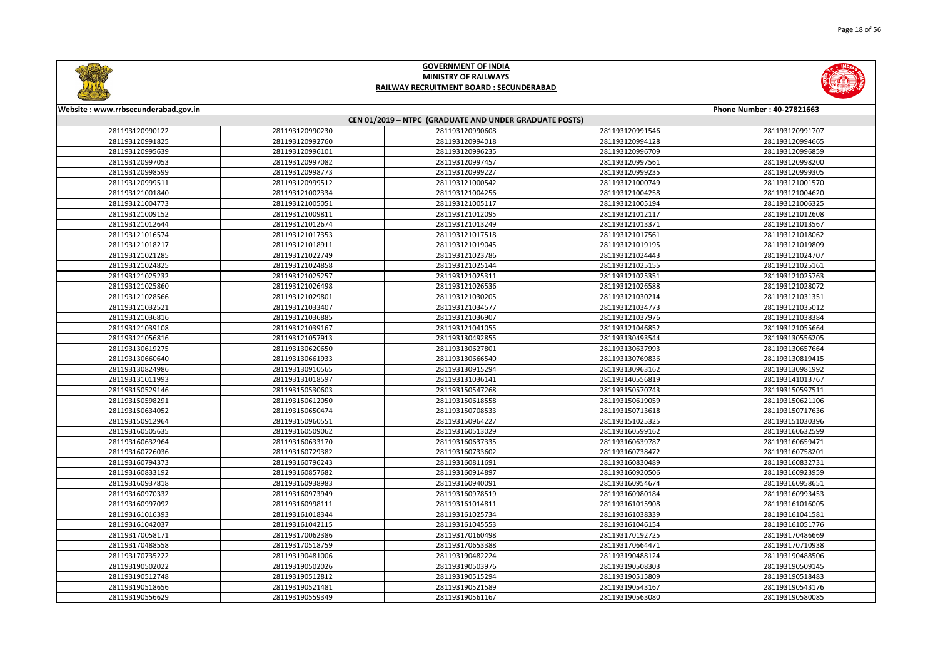



| Website: www.rrbsecunderabad.gov.in |                                    |                                                        |                                    | Phone Number: 40-27821663          |
|-------------------------------------|------------------------------------|--------------------------------------------------------|------------------------------------|------------------------------------|
|                                     |                                    | CEN 01/2019 - NTPC (GRADUATE AND UNDER GRADUATE POSTS) |                                    |                                    |
| 281193120990122                     | 281193120990230                    | 281193120990608                                        | 281193120991546                    | 281193120991707                    |
| 281193120991825                     | 281193120992760                    | 281193120994018                                        | 281193120994128                    | 281193120994665                    |
| 281193120995639                     | 281193120996101                    | 281193120996235                                        | 281193120996709                    | 281193120996859                    |
| 281193120997053                     | 281193120997082                    | 281193120997457                                        | 281193120997561                    | 281193120998200                    |
| 281193120998599                     | 281193120998773                    | 281193120999227                                        | 281193120999235                    | 281193120999305                    |
| 281193120999511                     | 281193120999512                    | 281193121000542                                        | 281193121000749                    | 281193121001570                    |
| 281193121001840                     | 281193121002334                    | 281193121004256                                        | 281193121004258                    | 281193121004620                    |
| 281193121004773                     | 281193121005051                    | 281193121005117                                        | 281193121005194                    | 281193121006325                    |
| 281193121009152                     | 281193121009811                    | 281193121012095                                        | 281193121012117                    | 281193121012608                    |
| 281193121012644                     | 281193121012674                    | 281193121013249                                        | 281193121013371                    | 281193121013567                    |
| 281193121016574                     | 281193121017353                    | 281193121017518                                        | 281193121017561                    | 281193121018062                    |
| 281193121018217                     | 281193121018911                    | 281193121019045                                        | 281193121019195                    | 281193121019809                    |
| 281193121021285                     | 281193121022749                    | 281193121023786                                        | 281193121024443                    | 281193121024707                    |
| 281193121024825                     | 281193121024858                    | 281193121025144                                        | 281193121025155                    | 281193121025161                    |
| 281193121025232                     | 281193121025257                    | 281193121025311                                        | 281193121025351                    | 281193121025763                    |
| 281193121025860                     | 281193121026498                    | 281193121026536                                        | 281193121026588                    | 281193121028072                    |
| 281193121028566                     | 281193121029801                    | 281193121030205                                        | 281193121030214                    | 281193121031351                    |
| 281193121032521                     | 281193121033407                    | 281193121034577                                        | 281193121034773                    | 281193121035012                    |
| 281193121036816                     | 281193121036885                    | 281193121036907                                        | 281193121037976                    | 281193121038384                    |
| 281193121039108                     | 281193121039167                    | 281193121041055                                        | 281193121046852                    | 281193121055664                    |
| 281193121056816                     | 281193121057913                    | 281193130492855                                        | 281193130493544                    | 281193130556205                    |
| 281193130619275                     | 281193130620650                    | 281193130627801                                        | 281193130637993                    | 281193130657664                    |
|                                     |                                    |                                                        |                                    |                                    |
| 281193130660640<br>281193130824986  | 281193130661933<br>281193130910565 | 281193130666540<br>281193130915294                     | 281193130769836<br>281193130963162 | 281193130819415<br>281193130981992 |
| 281193131011993                     | 281193131018597                    | 281193131036141                                        | 281193140556819                    | 281193141013767                    |
| 281193150529146                     | 281193150530603                    | 281193150547268                                        | 281193150570743                    | 281193150597511                    |
|                                     | 281193150612050                    | 281193150618558                                        | 281193150619059                    | 281193150621106                    |
| 281193150598291<br>281193150634052  | 281193150650474                    | 281193150708533                                        | 281193150713618                    | 281193150717636                    |
|                                     |                                    |                                                        |                                    |                                    |
| 281193150912964<br>281193160505635  | 281193150960551<br>281193160509062 | 281193150964227<br>281193160513029                     | 281193151025325<br>281193160599162 | 281193151030396<br>281193160632599 |
|                                     |                                    |                                                        |                                    |                                    |
| 281193160632964<br>281193160726036  | 281193160633170<br>281193160729382 | 281193160637335<br>281193160733602                     | 281193160639787<br>281193160738472 | 281193160659471<br>281193160758201 |
|                                     | 281193160796243                    |                                                        | 281193160830489                    | 281193160832731                    |
| 281193160794373<br>281193160833192  | 281193160857682                    | 281193160811691                                        | 281193160920506                    |                                    |
| 281193160937818                     |                                    | 281193160914897<br>281193160940091                     |                                    | 281193160923959<br>281193160958651 |
|                                     | 281193160938983                    |                                                        | 281193160954674<br>281193160980184 |                                    |
| 281193160970332<br>281193160997092  | 281193160973949<br>281193160998111 | 281193160978519<br>281193161014811                     | 281193161015908                    | 281193160993453<br>281193161016005 |
|                                     |                                    |                                                        |                                    |                                    |
| 281193161016393<br>281193161042037  | 281193161018344<br>281193161042115 | 281193161025734                                        | 281193161038339<br>281193161046154 | 281193161041581<br>281193161051776 |
|                                     |                                    | 281193161045553                                        |                                    |                                    |
| 281193170058171                     | 281193170062386                    | 281193170160498                                        | 281193170192725                    | 281193170486669                    |
| 281193170488558                     | 281193170518759                    | 281193170653388                                        | 281193170664471                    | 281193170710938                    |
| 281193170735222                     | 281193190481006                    | 281193190482224                                        | 281193190488124                    | 281193190488506                    |
| 281193190502022                     | 281193190502026                    | 281193190503976                                        | 281193190508303                    | 281193190509145                    |
| 281193190512748                     | 281193190512812                    | 281193190515294                                        | 281193190515809                    | 281193190518483                    |
| 281193190518656                     | 281193190521481                    | 281193190521589                                        | 281193190543167                    | 281193190543176                    |
| 281193190556629                     | 281193190559349                    | 281193190561167                                        | 281193190563080                    | 281193190580085                    |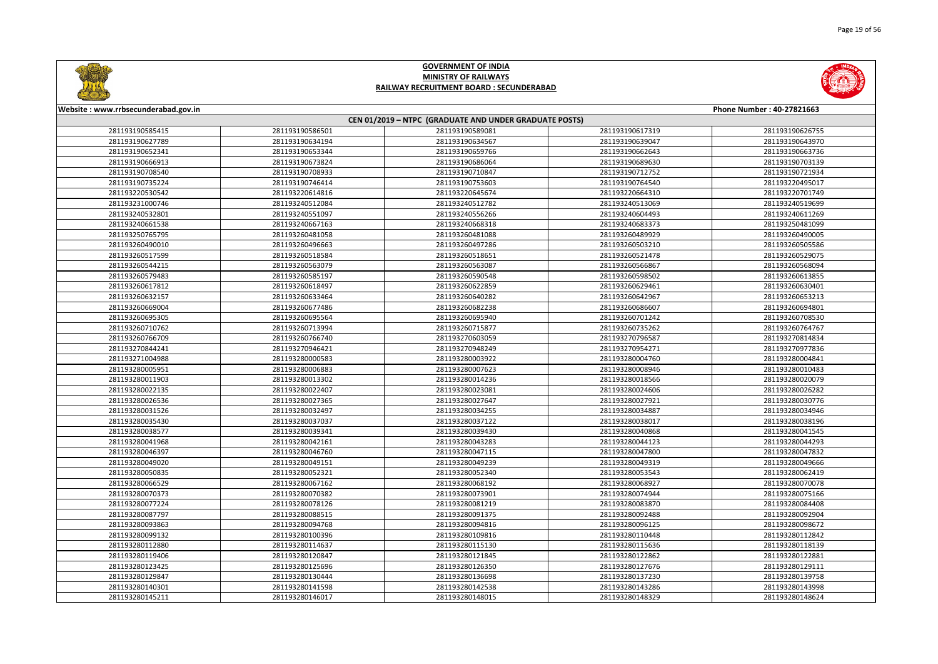



| Website: www.rrbsecunderabad.gov.in |                 |                                                        |                 | Phone Number: 40-27821663 |
|-------------------------------------|-----------------|--------------------------------------------------------|-----------------|---------------------------|
|                                     |                 | CEN 01/2019 - NTPC (GRADUATE AND UNDER GRADUATE POSTS) |                 |                           |
| 281193190585415                     | 281193190586501 | 281193190589081                                        | 281193190617319 | 281193190626755           |
| 281193190627789                     | 281193190634194 | 281193190634567                                        | 281193190639047 | 281193190643970           |
| 281193190652341                     | 281193190653344 | 281193190659766                                        | 281193190662643 | 281193190663736           |
| 281193190666913                     | 281193190673824 | 281193190686064                                        | 281193190689630 | 281193190703139           |
| 281193190708540                     | 281193190708933 | 281193190710847                                        | 281193190712752 | 281193190721934           |
| 281193190735224                     | 281193190746414 | 281193190753603                                        | 281193190764540 | 281193220495017           |
| 281193220530542                     | 281193220614816 | 281193220645674                                        | 281193220664310 | 281193220701749           |
| 281193231000746                     | 281193240512084 | 281193240512782                                        | 281193240513069 | 281193240519699           |
| 281193240532801                     | 281193240551097 | 281193240556266                                        | 281193240604493 | 281193240611269           |
| 281193240661538                     | 281193240667163 | 281193240668318                                        | 281193240683373 | 281193250481099           |
| 281193250765795                     | 281193260481058 | 281193260481088                                        | 281193260489929 | 281193260490005           |
| 281193260490010                     | 281193260496663 | 281193260497286                                        | 281193260503210 | 281193260505586           |
| 281193260517599                     | 281193260518584 | 281193260518651                                        | 281193260521478 | 281193260529075           |
| 281193260544215                     | 281193260563079 | 281193260563087                                        | 281193260566867 | 281193260568094           |
| 281193260579483                     | 281193260585197 | 281193260590548                                        | 281193260598502 | 281193260613855           |
| 281193260617812                     | 281193260618497 | 281193260622859                                        | 281193260629461 | 281193260630401           |
| 281193260632157                     | 281193260633464 | 281193260640282                                        | 281193260642967 | 281193260653213           |
| 281193260669004                     | 281193260677486 | 281193260682238                                        | 281193260686607 | 281193260694801           |
| 281193260695305                     | 281193260695564 | 281193260695940                                        | 281193260701242 | 281193260708530           |
| 281193260710762                     | 281193260713994 | 281193260715877                                        | 281193260735262 | 281193260764767           |
| 281193260766709                     | 281193260766740 | 281193270603059                                        | 281193270796587 | 281193270814834           |
| 281193270844241                     | 281193270946421 | 281193270948249                                        | 281193270954271 | 281193270977836           |
| 281193271004988                     | 281193280000583 | 281193280003922                                        | 281193280004760 | 281193280004841           |
| 281193280005951                     | 281193280006883 | 281193280007623                                        | 281193280008946 | 281193280010483           |
| 281193280011903                     | 281193280013302 | 281193280014236                                        | 281193280018566 | 281193280020079           |
| 281193280022135                     | 281193280022407 | 281193280023081                                        | 281193280024606 | 281193280026282           |
| 281193280026536                     | 281193280027365 | 281193280027647                                        | 281193280027921 | 281193280030776           |
| 281193280031526                     | 281193280032497 | 281193280034255                                        | 281193280034887 | 281193280034946           |
| 281193280035430                     | 281193280037037 | 281193280037122                                        | 281193280038017 | 281193280038196           |
| 281193280038577                     | 281193280039341 | 281193280039430                                        | 281193280040868 | 281193280041545           |
| 281193280041968                     | 281193280042161 | 281193280043283                                        | 281193280044123 | 281193280044293           |
| 281193280046397                     | 281193280046760 | 281193280047115                                        | 281193280047800 | 281193280047832           |
| 281193280049020                     | 281193280049151 | 281193280049239                                        | 281193280049319 | 281193280049666           |
| 281193280050835                     | 281193280052321 | 281193280052340                                        | 281193280053543 | 281193280062419           |
| 281193280066529                     | 281193280067162 | 281193280068192                                        | 281193280068927 | 281193280070078           |
| 281193280070373                     | 281193280070382 | 281193280073901                                        | 281193280074944 | 281193280075166           |
| 281193280077224                     | 281193280078126 | 281193280081219                                        | 281193280083870 | 281193280084408           |
| 281193280087797                     | 281193280088515 | 281193280091375                                        | 281193280092488 | 281193280092904           |
| 281193280093863                     | 281193280094768 | 281193280094816                                        | 281193280096125 | 281193280098672           |
| 281193280099132                     | 281193280100396 | 281193280109816                                        | 281193280110448 | 281193280112842           |
| 281193280112880                     | 281193280114637 | 281193280115130                                        | 281193280115636 | 281193280118139           |
| 281193280119406                     | 281193280120847 | 281193280121845                                        | 281193280122862 | 281193280122881           |
| 281193280123425                     | 281193280125696 | 281193280126350                                        | 281193280127676 | 281193280129111           |
| 281193280129847                     | 281193280130444 | 281193280136698                                        | 281193280137230 | 281193280139758           |
| 281193280140301                     | 281193280141598 | 281193280142538                                        | 281193280143286 | 281193280143998           |
| 281193280145211                     | 281193280146017 | 281193280148015                                        | 281193280148329 | 281193280148624           |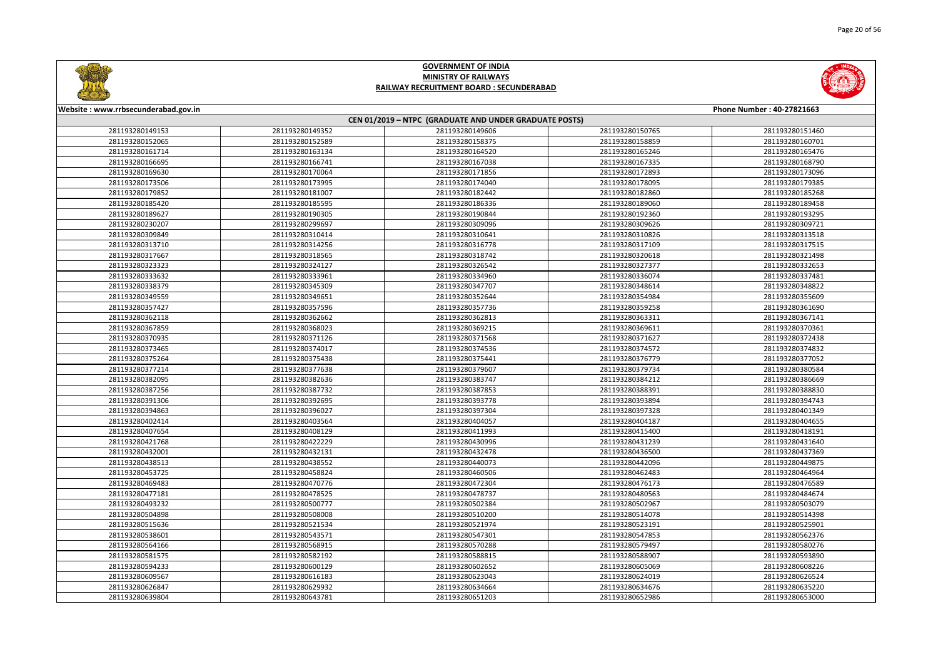



| Website: www.rrbsecunderabad.gov.in |                 |                                                        |                 | Phone Number: 40-27821663 |
|-------------------------------------|-----------------|--------------------------------------------------------|-----------------|---------------------------|
|                                     |                 | CEN 01/2019 - NTPC (GRADUATE AND UNDER GRADUATE POSTS) |                 |                           |
| 281193280149153                     | 281193280149352 | 281193280149606                                        | 281193280150765 | 281193280151460           |
| 281193280152065                     | 281193280152589 | 281193280158375                                        | 281193280158859 | 281193280160701           |
| 281193280161714                     | 281193280163134 | 281193280164520                                        | 281193280165246 | 281193280165476           |
| 281193280166695                     | 281193280166741 | 281193280167038                                        | 281193280167335 | 281193280168790           |
| 281193280169630                     | 281193280170064 | 281193280171856                                        | 281193280172893 | 281193280173096           |
| 281193280173506                     | 281193280173995 | 281193280174040                                        | 281193280178095 | 281193280179385           |
| 281193280179852                     | 281193280181007 | 281193280182442                                        | 281193280182860 | 281193280185268           |
| 281193280185420                     | 281193280185595 | 281193280186336                                        | 281193280189060 | 281193280189458           |
| 281193280189627                     | 281193280190305 | 281193280190844                                        | 281193280192360 | 281193280193295           |
| 281193280230207                     | 281193280299697 | 281193280309096                                        | 281193280309626 | 281193280309721           |
| 281193280309849                     | 281193280310414 | 281193280310641                                        | 281193280310826 | 281193280313518           |
| 281193280313710                     | 281193280314256 | 281193280316778                                        | 281193280317109 | 281193280317515           |
| 281193280317667                     | 281193280318565 | 281193280318742                                        | 281193280320618 | 281193280321498           |
| 281193280323323                     | 281193280324127 | 281193280326542                                        | 281193280327377 | 281193280332653           |
| 281193280333632                     | 281193280333961 | 281193280334960                                        | 281193280336074 | 281193280337481           |
| 281193280338379                     | 281193280345309 | 281193280347707                                        | 281193280348614 | 281193280348822           |
| 281193280349559                     | 281193280349651 | 281193280352644                                        | 281193280354984 | 281193280355609           |
| 281193280357427                     | 281193280357596 | 281193280357736                                        | 281193280359258 | 281193280361690           |
| 281193280362118                     | 281193280362662 | 281193280362813                                        | 281193280363311 | 281193280367141           |
| 281193280367859                     | 281193280368023 | 281193280369215                                        | 281193280369611 | 281193280370361           |
| 281193280370935                     | 281193280371126 | 281193280371568                                        | 281193280371627 | 281193280372438           |
| 281193280373465                     | 281193280374017 | 281193280374536                                        | 281193280374572 | 281193280374832           |
| 281193280375264                     | 281193280375438 | 281193280375441                                        | 281193280376779 | 281193280377052           |
| 281193280377214                     | 281193280377638 | 281193280379607                                        | 281193280379734 | 281193280380584           |
| 281193280382095                     | 281193280382636 | 281193280383747                                        | 281193280384212 | 281193280386669           |
| 281193280387256                     | 281193280387732 | 281193280387853                                        | 281193280388391 | 281193280388830           |
| 281193280391306                     | 281193280392695 | 281193280393778                                        | 281193280393894 | 281193280394743           |
| 281193280394863                     | 281193280396027 | 281193280397304                                        | 281193280397328 | 281193280401349           |
| 281193280402414                     | 281193280403564 | 281193280404057                                        | 281193280404187 | 281193280404655           |
| 281193280407654                     | 281193280408129 | 281193280411993                                        | 281193280415400 | 281193280418191           |
| 281193280421768                     | 281193280422229 | 281193280430996                                        | 281193280431239 | 281193280431640           |
| 281193280432001                     | 281193280432131 | 281193280432478                                        | 281193280436500 | 281193280437369           |
| 281193280438513                     | 281193280438552 | 281193280440073                                        | 281193280442096 | 281193280449875           |
| 281193280453725                     | 281193280458824 | 281193280460506                                        | 281193280462483 | 281193280464964           |
| 281193280469483                     | 281193280470776 | 281193280472304                                        | 281193280476173 | 281193280476589           |
| 281193280477181                     | 281193280478525 | 281193280478737                                        | 281193280480563 | 281193280484674           |
| 281193280493232                     | 281193280500777 | 281193280502384                                        | 281193280502967 | 281193280503079           |
| 281193280504898                     | 281193280508008 | 281193280510200                                        | 281193280514078 | 281193280514398           |
| 281193280515636                     | 281193280521534 | 281193280521974                                        | 281193280523191 | 281193280525901           |
| 281193280538601                     | 281193280543571 | 281193280547301                                        | 281193280547853 | 281193280562376           |
| 281193280564166                     | 281193280568915 | 281193280570288                                        | 281193280579497 | 281193280580276           |
| 281193280581575                     | 281193280582192 | 281193280588815                                        | 281193280588907 | 281193280593890           |
| 281193280594233                     | 281193280600129 | 281193280602652                                        | 281193280605069 | 281193280608226           |
| 281193280609567                     | 281193280616183 | 281193280623043                                        | 281193280624019 | 281193280626524           |
| 281193280626847                     | 281193280629932 | 281193280634664                                        | 281193280634676 | 281193280635220           |
| 281193280639804                     | 281193280643781 | 281193280651203                                        | 281193280652986 | 281193280653000           |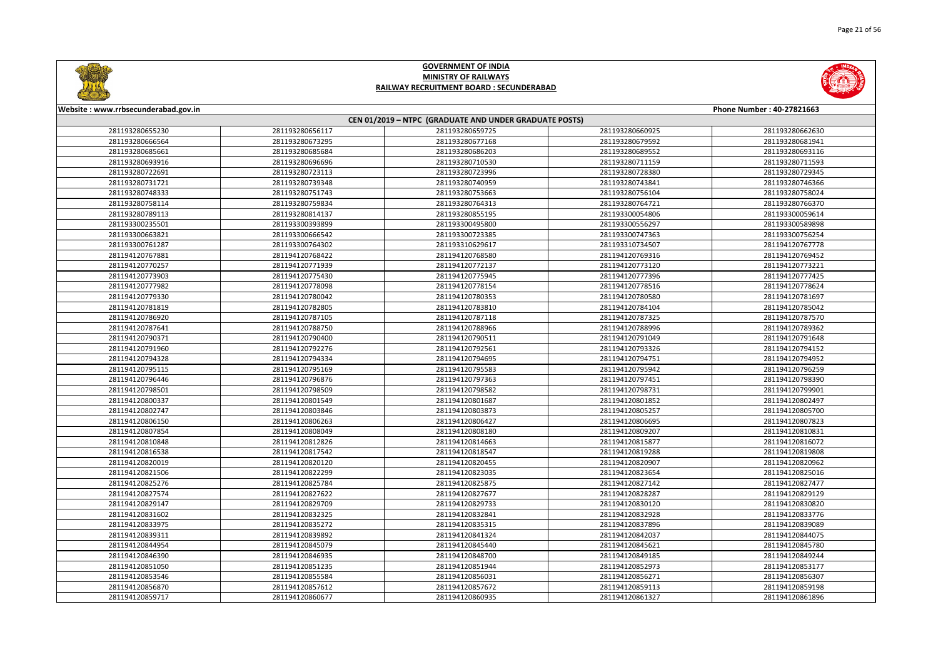



| Website: www.rrbsecunderabad.gov.in<br>Phone Number: 40-27821663 |                 |                                                        |                 |                 |
|------------------------------------------------------------------|-----------------|--------------------------------------------------------|-----------------|-----------------|
|                                                                  |                 | CEN 01/2019 - NTPC (GRADUATE AND UNDER GRADUATE POSTS) |                 |                 |
| 281193280655230                                                  | 281193280656117 | 281193280659725                                        | 281193280660925 | 281193280662630 |
| 281193280666564                                                  | 281193280673295 | 281193280677168                                        | 281193280679592 | 281193280681941 |
| 281193280685661                                                  | 281193280685684 | 281193280686203                                        | 281193280689552 | 281193280693116 |
| 281193280693916                                                  | 281193280696696 | 281193280710530                                        | 281193280711159 | 281193280711593 |
| 281193280722691                                                  | 281193280723113 | 281193280723996                                        | 281193280728380 | 281193280729345 |
| 281193280731721                                                  | 281193280739348 | 281193280740959                                        | 281193280743841 | 281193280746366 |
| 281193280748333                                                  | 281193280751743 | 281193280753663                                        | 281193280756104 | 281193280758024 |
| 281193280758114                                                  | 281193280759834 | 281193280764313                                        | 281193280764721 | 281193280766370 |
| 281193280789113                                                  | 281193280814137 | 281193280855195                                        | 281193300054806 | 281193300059614 |
| 281193300235501                                                  | 281193300393899 | 281193300495800                                        | 281193300556297 | 281193300589898 |
| 281193300663821                                                  | 281193300666542 | 281193300723385                                        | 281193300747363 | 281193300756254 |
| 281193300761287                                                  | 281193300764302 | 281193310629617                                        | 281193310734507 | 281194120767778 |
| 281194120767881                                                  | 281194120768422 | 281194120768580                                        | 281194120769316 | 281194120769452 |
| 281194120770257                                                  | 281194120771939 | 281194120772137                                        | 281194120773120 | 281194120773221 |
| 281194120773903                                                  | 281194120775430 | 281194120775945                                        | 281194120777396 | 281194120777425 |
| 281194120777982                                                  | 281194120778098 | 281194120778154                                        | 281194120778516 | 281194120778624 |
| 281194120779330                                                  | 281194120780042 | 281194120780353                                        | 281194120780580 | 281194120781697 |
| 281194120781819                                                  | 281194120782805 | 281194120783810                                        | 281194120784104 | 281194120785042 |
| 281194120786920                                                  | 281194120787105 | 281194120787118                                        | 281194120787325 | 281194120787570 |
| 281194120787641                                                  | 281194120788750 | 281194120788966                                        | 281194120788996 | 281194120789362 |
| 281194120790371                                                  | 281194120790400 | 281194120790511                                        | 281194120791049 | 281194120791648 |
| 281194120791960                                                  | 281194120792276 | 281194120792561                                        | 281194120793326 | 281194120794152 |
| 281194120794328                                                  | 281194120794334 | 281194120794695                                        | 281194120794751 | 281194120794952 |
| 281194120795115                                                  | 281194120795169 | 281194120795583                                        | 281194120795942 | 281194120796259 |
| 281194120796446                                                  | 281194120796876 | 281194120797363                                        | 281194120797451 | 281194120798390 |
| 281194120798501                                                  | 281194120798509 | 281194120798582                                        | 281194120798731 | 281194120799901 |
| 281194120800337                                                  | 281194120801549 | 281194120801687                                        | 281194120801852 | 281194120802497 |
| 281194120802747                                                  | 281194120803846 | 281194120803873                                        | 281194120805257 | 281194120805700 |
| 281194120806150                                                  | 281194120806263 | 281194120806427                                        | 281194120806695 | 281194120807823 |
| 281194120807854                                                  | 281194120808049 | 281194120808180                                        | 281194120809207 | 281194120810831 |
| 281194120810848                                                  | 281194120812826 | 281194120814663                                        | 281194120815877 | 281194120816072 |
| 281194120816538                                                  | 281194120817542 | 281194120818547                                        | 281194120819288 | 281194120819808 |
| 281194120820019                                                  | 281194120820120 | 281194120820455                                        | 281194120820907 | 281194120820962 |
| 281194120821506                                                  | 281194120822299 | 281194120823035                                        | 281194120823654 | 281194120825016 |
| 281194120825276                                                  | 281194120825784 | 281194120825875                                        | 281194120827142 | 281194120827477 |
| 281194120827574                                                  | 281194120827622 | 281194120827677                                        | 281194120828287 | 281194120829129 |
| 281194120829147                                                  | 281194120829709 | 281194120829733                                        | 281194120830120 | 281194120830820 |
| 281194120831602                                                  | 281194120832325 | 281194120832841                                        | 281194120832928 | 281194120833776 |
| 281194120833975                                                  | 281194120835272 | 281194120835315                                        | 281194120837896 | 281194120839089 |
| 281194120839311                                                  | 281194120839892 | 281194120841324                                        | 281194120842037 | 281194120844075 |
| 281194120844954                                                  | 281194120845079 | 281194120845440                                        | 281194120845621 | 281194120845780 |
| 281194120846390                                                  | 281194120846935 | 281194120848700                                        | 281194120849185 | 281194120849244 |
| 281194120851050                                                  | 281194120851235 | 281194120851944                                        | 281194120852973 | 281194120853177 |
| 281194120853546                                                  | 281194120855584 | 281194120856031                                        | 281194120856271 | 281194120856307 |
| 281194120856870                                                  | 281194120857612 | 281194120857672                                        | 281194120859113 | 281194120859198 |
| 281194120859717                                                  | 281194120860677 | 281194120860935                                        | 281194120861327 | 281194120861896 |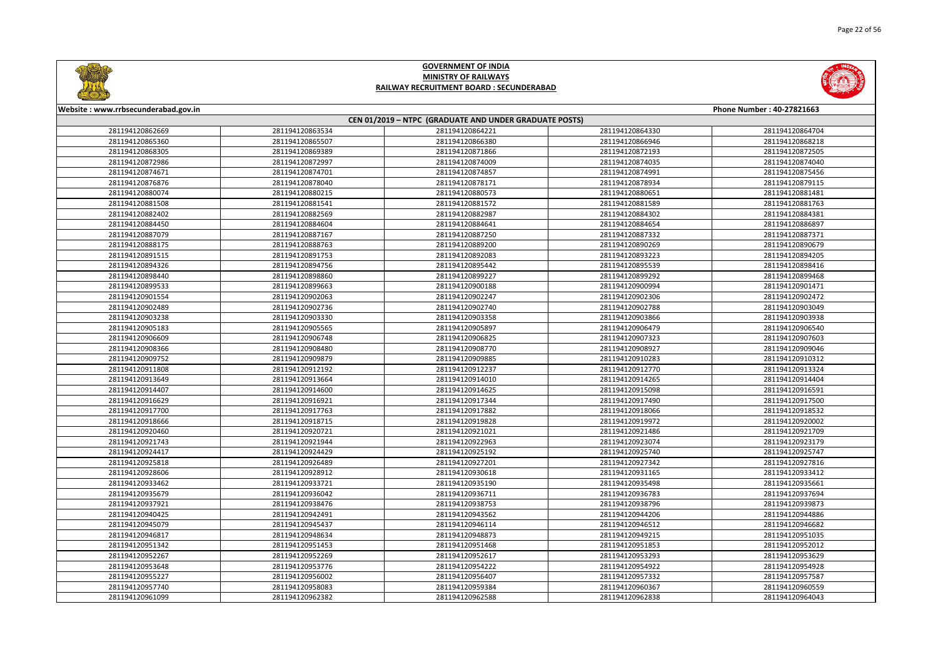



| Website: www.rrbsecunderabad.gov.in<br>Phone Number: 40-27821663 |                 |                                                        |                 |                 |
|------------------------------------------------------------------|-----------------|--------------------------------------------------------|-----------------|-----------------|
|                                                                  |                 | CEN 01/2019 - NTPC (GRADUATE AND UNDER GRADUATE POSTS) |                 |                 |
| 281194120862669                                                  | 281194120863534 | 281194120864221                                        | 281194120864330 | 281194120864704 |
| 281194120865360                                                  | 281194120865507 | 281194120866380                                        | 281194120866946 | 281194120868218 |
| 281194120868305                                                  | 281194120869389 | 281194120871866                                        | 281194120872193 | 281194120872505 |
| 281194120872986                                                  | 281194120872997 | 281194120874009                                        | 281194120874035 | 281194120874040 |
| 281194120874671                                                  | 281194120874701 | 281194120874857                                        | 281194120874991 | 281194120875456 |
| 281194120876876                                                  | 281194120878040 | 281194120878171                                        | 281194120878934 | 281194120879115 |
| 281194120880074                                                  | 281194120880215 | 281194120880573                                        | 281194120880651 | 281194120881481 |
| 281194120881508                                                  | 281194120881541 | 281194120881572                                        | 281194120881589 | 281194120881763 |
| 281194120882402                                                  | 281194120882569 | 281194120882987                                        | 281194120884302 | 281194120884381 |
| 281194120884450                                                  | 281194120884604 | 281194120884641                                        | 281194120884654 | 281194120886897 |
| 281194120887079                                                  | 281194120887167 | 281194120887250                                        | 281194120887332 | 281194120887371 |
| 281194120888175                                                  | 281194120888763 | 281194120889200                                        | 281194120890269 | 281194120890679 |
| 281194120891515                                                  | 281194120891753 | 281194120892083                                        | 281194120893223 | 281194120894205 |
| 281194120894326                                                  | 281194120894756 | 281194120895442                                        | 281194120895539 | 281194120898416 |
| 281194120898440                                                  | 281194120898860 | 281194120899227                                        | 281194120899292 | 281194120899468 |
| 281194120899533                                                  | 281194120899663 | 281194120900188                                        | 281194120900994 | 281194120901471 |
| 281194120901554                                                  | 281194120902063 | 281194120902247                                        | 281194120902306 | 281194120902472 |
| 281194120902489                                                  | 281194120902736 | 281194120902740                                        | 281194120902788 | 281194120903049 |
| 281194120903238                                                  | 281194120903330 | 281194120903358                                        | 281194120903866 | 281194120903938 |
| 281194120905183                                                  | 281194120905565 | 281194120905897                                        | 281194120906479 | 281194120906540 |
| 281194120906609                                                  | 281194120906748 | 281194120906825                                        | 281194120907323 | 281194120907603 |
| 281194120908366                                                  | 281194120908480 | 281194120908770                                        | 281194120908927 | 281194120909046 |
| 281194120909752                                                  | 281194120909879 | 281194120909885                                        | 281194120910283 | 281194120910312 |
| 281194120911808                                                  | 281194120912192 | 281194120912237                                        | 281194120912770 | 281194120913324 |
| 281194120913649                                                  | 281194120913664 | 281194120914010                                        | 281194120914265 | 281194120914404 |
| 281194120914407                                                  | 281194120914600 | 281194120914625                                        | 281194120915098 | 281194120916591 |
| 281194120916629                                                  | 281194120916921 | 281194120917344                                        | 281194120917490 | 281194120917500 |
| 281194120917700                                                  | 281194120917763 | 281194120917882                                        | 281194120918066 | 281194120918532 |
| 281194120918666                                                  | 281194120918715 | 281194120919828                                        | 281194120919972 | 281194120920002 |
| 281194120920460                                                  | 281194120920721 | 281194120921021                                        | 281194120921486 | 281194120921709 |
| 281194120921743                                                  | 281194120921944 | 281194120922963                                        | 281194120923074 | 281194120923179 |
| 281194120924417                                                  | 281194120924429 | 281194120925192                                        | 281194120925740 | 281194120925747 |
| 281194120925818                                                  | 281194120926489 | 281194120927201                                        | 281194120927342 | 281194120927816 |
| 281194120928606                                                  | 281194120928912 | 281194120930618                                        | 281194120931165 | 281194120933412 |
| 281194120933462                                                  | 281194120933721 | 281194120935190                                        | 281194120935498 | 281194120935661 |
| 281194120935679                                                  | 281194120936042 | 281194120936711                                        | 281194120936783 | 281194120937694 |
| 281194120937921                                                  | 281194120938476 | 281194120938753                                        | 281194120938796 | 281194120939873 |
| 281194120940425                                                  | 281194120942491 | 281194120943562                                        | 281194120944206 | 281194120944886 |
| 281194120945079                                                  | 281194120945437 | 281194120946114                                        | 281194120946512 | 281194120946682 |
| 281194120946817                                                  | 281194120948634 | 281194120948873                                        | 281194120949215 | 281194120951035 |
| 281194120951342                                                  | 281194120951453 | 281194120951468                                        | 281194120951853 | 281194120952012 |
| 281194120952267                                                  | 281194120952269 | 281194120952617                                        | 281194120953293 | 281194120953629 |
| 281194120953648                                                  | 281194120953776 | 281194120954222                                        | 281194120954922 | 281194120954928 |
| 281194120955227                                                  | 281194120956002 | 281194120956407                                        | 281194120957332 | 281194120957587 |
| 281194120957740                                                  | 281194120958083 | 281194120959384                                        | 281194120960367 | 281194120960559 |
| 281194120961099                                                  | 281194120962382 | 281194120962588                                        | 281194120962838 | 281194120964043 |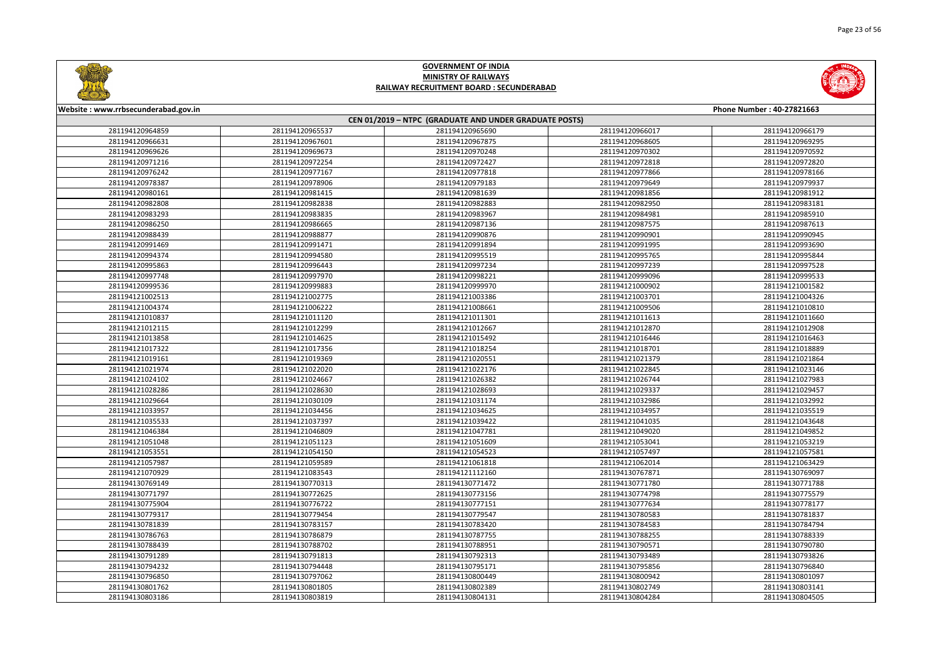



| Website: www.rrbsecunderabad.gov.in |                 |                                                        |                 | Phone Number: 40-27821663 |
|-------------------------------------|-----------------|--------------------------------------------------------|-----------------|---------------------------|
|                                     |                 | CEN 01/2019 - NTPC (GRADUATE AND UNDER GRADUATE POSTS) |                 |                           |
| 281194120964859                     | 281194120965537 | 281194120965690                                        | 281194120966017 | 281194120966179           |
| 281194120966631                     | 281194120967601 | 281194120967875                                        | 281194120968605 | 281194120969295           |
| 281194120969626                     | 281194120969673 | 281194120970248                                        | 281194120970302 | 281194120970592           |
| 281194120971216                     | 281194120972254 | 281194120972427                                        | 281194120972818 | 281194120972820           |
| 281194120976242                     | 281194120977167 | 281194120977818                                        | 281194120977866 | 281194120978166           |
| 281194120978387                     | 281194120978906 | 281194120979183                                        | 281194120979649 | 281194120979937           |
| 281194120980161                     | 281194120981415 | 281194120981639                                        | 281194120981856 | 281194120981912           |
| 281194120982808                     | 281194120982838 | 281194120982883                                        | 281194120982950 | 281194120983181           |
| 281194120983293                     | 281194120983835 | 281194120983967                                        | 281194120984981 | 281194120985910           |
| 281194120986250                     | 281194120986665 | 281194120987136                                        | 281194120987575 | 281194120987613           |
| 281194120988439                     | 281194120988877 | 281194120990876                                        | 281194120990901 | 281194120990945           |
| 281194120991469                     | 281194120991471 | 281194120991894                                        | 281194120991995 | 281194120993690           |
| 281194120994374                     | 281194120994580 | 281194120995519                                        | 281194120995765 | 281194120995844           |
| 281194120995863                     | 281194120996443 | 281194120997234                                        | 281194120997239 | 281194120997528           |
| 281194120997748                     | 281194120997970 | 281194120998221                                        | 281194120999096 | 281194120999533           |
| 281194120999536                     | 281194120999883 | 281194120999970                                        | 281194121000902 | 281194121001582           |
| 281194121002513                     | 281194121002775 | 281194121003386                                        | 281194121003701 | 281194121004326           |
| 281194121004374                     | 281194121006222 | 281194121008661                                        | 281194121009506 | 281194121010810           |
| 281194121010837                     | 281194121011120 | 281194121011301                                        | 281194121011613 | 281194121011660           |
| 281194121012115                     | 281194121012299 | 281194121012667                                        | 281194121012870 | 281194121012908           |
| 281194121013858                     | 281194121014625 | 281194121015492                                        | 281194121016446 | 281194121016463           |
| 281194121017322                     | 281194121017356 | 281194121018254                                        | 281194121018701 | 281194121018889           |
| 281194121019161                     | 281194121019369 | 281194121020551                                        | 281194121021379 | 281194121021864           |
| 281194121021974                     | 281194121022020 | 281194121022176                                        | 281194121022845 | 281194121023146           |
| 281194121024102                     | 281194121024667 | 281194121026382                                        | 281194121026744 | 281194121027983           |
| 281194121028286                     | 281194121028630 | 281194121028693                                        | 281194121029337 | 281194121029457           |
| 281194121029664                     | 281194121030109 | 281194121031174                                        | 281194121032986 | 281194121032992           |
| 281194121033957                     | 281194121034456 | 281194121034625                                        | 281194121034957 | 281194121035519           |
| 281194121035533                     | 281194121037397 | 281194121039422                                        | 281194121041035 | 281194121043648           |
| 281194121046384                     | 281194121046809 | 281194121047781                                        | 281194121049020 | 281194121049852           |
| 281194121051048                     | 281194121051123 | 281194121051609                                        | 281194121053041 | 281194121053219           |
| 281194121053551                     | 281194121054150 | 281194121054523                                        | 281194121057497 | 281194121057581           |
| 281194121057987                     | 281194121059589 | 281194121061818                                        | 281194121062014 | 281194121063429           |
| 281194121070929                     | 281194121083543 | 281194121112160                                        | 281194130767871 | 281194130769097           |
| 281194130769149                     | 281194130770313 | 281194130771472                                        | 281194130771780 | 281194130771788           |
| 281194130771797                     | 281194130772625 | 281194130773156                                        | 281194130774798 | 281194130775579           |
| 281194130775904                     | 281194130776722 | 281194130777151                                        | 281194130777634 | 281194130778177           |
| 281194130779317                     | 281194130779454 | 281194130779547                                        | 281194130780583 | 281194130781837           |
| 281194130781839                     | 281194130783157 | 281194130783420                                        | 281194130784583 | 281194130784794           |
| 281194130786763                     | 281194130786879 | 281194130787755                                        | 281194130788255 | 281194130788339           |
| 281194130788439                     | 281194130788702 | 281194130788951                                        | 281194130790571 | 281194130790780           |
| 281194130791289                     | 281194130791813 | 281194130792313                                        | 281194130793489 | 281194130793826           |
| 281194130794232                     | 281194130794448 | 281194130795171                                        | 281194130795856 | 281194130796840           |
| 281194130796850                     | 281194130797062 | 281194130800449                                        | 281194130800942 | 281194130801097           |
| 281194130801762                     | 281194130801805 | 281194130802389                                        | 281194130802749 | 281194130803141           |
| 281194130803186                     | 281194130803819 | 281194130804131                                        | 281194130804284 | 281194130804505           |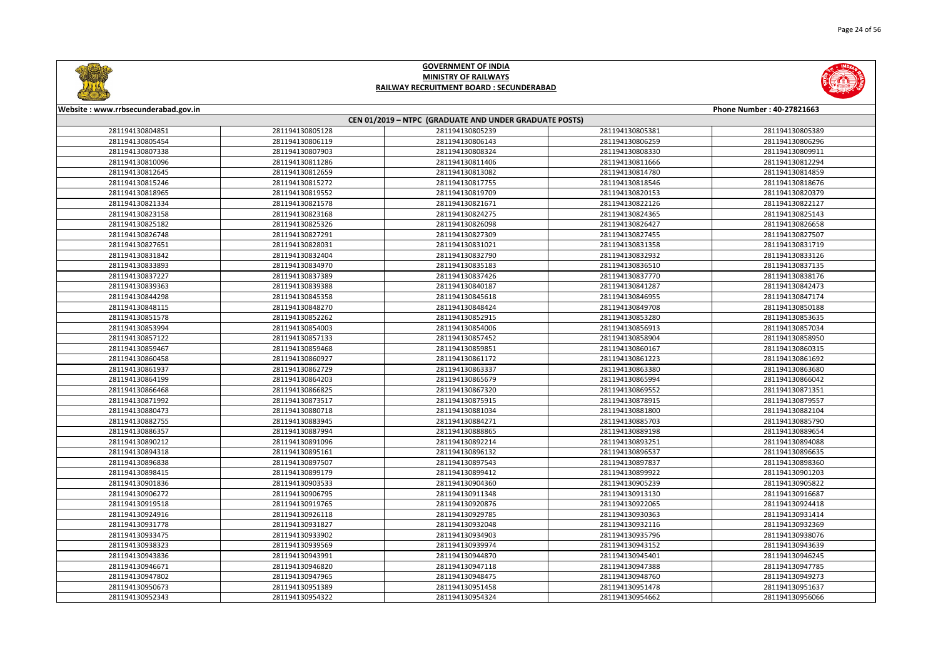



| Website: www.rrbsecunderabad.gov.in<br>Phone Number: 40-27821663 |                 |                                                        |                 |                 |  |
|------------------------------------------------------------------|-----------------|--------------------------------------------------------|-----------------|-----------------|--|
|                                                                  |                 | CEN 01/2019 - NTPC (GRADUATE AND UNDER GRADUATE POSTS) |                 |                 |  |
| 281194130804851                                                  | 281194130805128 | 281194130805239                                        | 281194130805381 | 281194130805389 |  |
| 281194130805454                                                  | 281194130806119 | 281194130806143                                        | 281194130806259 | 281194130806296 |  |
| 281194130807338                                                  | 281194130807903 | 281194130808324                                        | 281194130808330 | 281194130809911 |  |
| 281194130810096                                                  | 281194130811286 | 281194130811406                                        | 281194130811666 | 281194130812294 |  |
| 281194130812645                                                  | 281194130812659 | 281194130813082                                        | 281194130814780 | 281194130814859 |  |
| 281194130815246                                                  | 281194130815272 | 281194130817755                                        | 281194130818546 | 281194130818676 |  |
| 281194130818965                                                  | 281194130819552 | 281194130819709                                        | 281194130820153 | 281194130820379 |  |
| 281194130821334                                                  | 281194130821578 | 281194130821671                                        | 281194130822126 | 281194130822127 |  |
| 281194130823158                                                  | 281194130823168 | 281194130824275                                        | 281194130824365 | 281194130825143 |  |
| 281194130825182                                                  | 281194130825326 | 281194130826098                                        | 281194130826427 | 281194130826658 |  |
| 281194130826748                                                  | 281194130827291 | 281194130827309                                        | 281194130827455 | 281194130827507 |  |
| 281194130827651                                                  | 281194130828031 | 281194130831021                                        | 281194130831358 | 281194130831719 |  |
| 281194130831842                                                  | 281194130832404 | 281194130832790                                        | 281194130832932 | 281194130833126 |  |
| 281194130833893                                                  | 281194130834970 | 281194130835183                                        | 281194130836510 | 281194130837135 |  |
| 281194130837227                                                  | 281194130837389 | 281194130837426                                        | 281194130837770 | 281194130838176 |  |
| 281194130839363                                                  | 281194130839388 | 281194130840187                                        | 281194130841287 | 281194130842473 |  |
| 281194130844298                                                  | 281194130845358 | 281194130845618                                        | 281194130846955 | 281194130847174 |  |
| 281194130848115                                                  | 281194130848270 | 281194130848424                                        | 281194130849708 | 281194130850188 |  |
| 281194130851578                                                  | 281194130852262 | 281194130852915                                        | 281194130853280 | 281194130853635 |  |
| 281194130853994                                                  | 281194130854003 | 281194130854006                                        | 281194130856913 | 281194130857034 |  |
| 281194130857122                                                  | 281194130857133 | 281194130857452                                        | 281194130858904 | 281194130858950 |  |
| 281194130859467                                                  | 281194130859468 | 281194130859851                                        | 281194130860167 | 281194130860315 |  |
| 281194130860458                                                  | 281194130860927 | 281194130861172                                        | 281194130861223 | 281194130861692 |  |
| 281194130861937                                                  | 281194130862729 | 281194130863337                                        | 281194130863380 | 281194130863680 |  |
| 281194130864199                                                  | 281194130864203 | 281194130865679                                        | 281194130865994 | 281194130866042 |  |
| 281194130866468                                                  | 281194130866825 | 281194130867320                                        | 281194130869552 | 281194130871351 |  |
| 281194130871992                                                  | 281194130873517 | 281194130875915                                        | 281194130878915 | 281194130879557 |  |
| 281194130880473                                                  | 281194130880718 | 281194130881034                                        | 281194130881800 | 281194130882104 |  |
| 281194130882755                                                  | 281194130883945 | 281194130884271                                        | 281194130885703 | 281194130885790 |  |
| 281194130886357                                                  | 281194130887994 | 281194130888865                                        | 281194130889198 | 281194130889654 |  |
| 281194130890212                                                  | 281194130891096 | 281194130892214                                        | 281194130893251 | 281194130894088 |  |
| 281194130894318                                                  | 281194130895161 | 281194130896132                                        | 281194130896537 | 281194130896635 |  |
| 281194130896838                                                  | 281194130897507 | 281194130897543                                        | 281194130897837 | 281194130898360 |  |
| 281194130898415                                                  | 281194130899179 | 281194130899412                                        | 281194130899922 | 281194130901203 |  |
| 281194130901836                                                  | 281194130903533 | 281194130904360                                        | 281194130905239 | 281194130905822 |  |
| 281194130906272                                                  | 281194130906795 | 281194130911348                                        | 281194130913130 | 281194130916687 |  |
| 281194130919518                                                  | 281194130919765 | 281194130920876                                        | 281194130922065 | 281194130924418 |  |
| 281194130924916                                                  | 281194130926118 | 281194130929785                                        | 281194130930363 | 281194130931414 |  |
| 281194130931778                                                  | 281194130931827 | 281194130932048                                        | 281194130932116 | 281194130932369 |  |
| 281194130933475                                                  | 281194130933902 | 281194130934903                                        | 281194130935796 | 281194130938076 |  |
| 281194130938323                                                  | 281194130939569 | 281194130939974                                        | 281194130943152 | 281194130943639 |  |
| 281194130943836                                                  | 281194130943991 | 281194130944870                                        | 281194130945401 | 281194130946245 |  |
| 281194130946671                                                  | 281194130946820 | 281194130947118                                        | 281194130947388 | 281194130947785 |  |
| 281194130947802                                                  | 281194130947965 | 281194130948475                                        | 281194130948760 | 281194130949273 |  |
| 281194130950673                                                  | 281194130951389 | 281194130951458                                        | 281194130951478 | 281194130951637 |  |
| 281194130952343                                                  | 281194130954322 | 281194130954324                                        | 281194130954662 | 281194130956066 |  |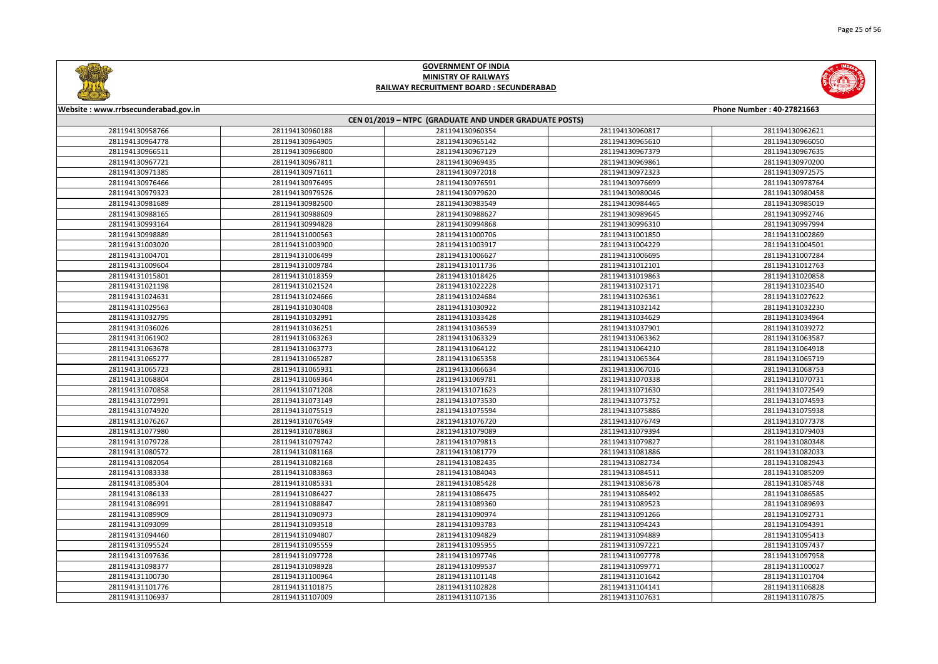



| Website: www.rrbsecunderabad.gov.in<br>Phone Number: 40-27821663 |                 |                                                        |                 |                 |
|------------------------------------------------------------------|-----------------|--------------------------------------------------------|-----------------|-----------------|
|                                                                  |                 | CEN 01/2019 - NTPC (GRADUATE AND UNDER GRADUATE POSTS) |                 |                 |
| 281194130958766                                                  | 281194130960188 | 281194130960354                                        | 281194130960817 | 281194130962621 |
| 281194130964778                                                  | 281194130964905 | 281194130965142                                        | 281194130965610 | 281194130966050 |
| 281194130966511                                                  | 281194130966800 | 281194130967129                                        | 281194130967379 | 281194130967635 |
| 281194130967721                                                  | 281194130967811 | 281194130969435                                        | 281194130969861 | 281194130970200 |
| 281194130971385                                                  | 281194130971611 | 281194130972018                                        | 281194130972323 | 281194130972575 |
| 281194130976466                                                  | 281194130976495 | 281194130976591                                        | 281194130976699 | 281194130978764 |
| 281194130979323                                                  | 281194130979526 | 281194130979620                                        | 281194130980046 | 281194130980458 |
| 281194130981689                                                  | 281194130982500 | 281194130983549                                        | 281194130984465 | 281194130985019 |
| 281194130988165                                                  | 281194130988609 | 281194130988627                                        | 281194130989645 | 281194130992746 |
| 281194130993164                                                  | 281194130994828 | 281194130994868                                        | 281194130996310 | 281194130997994 |
| 281194130998889                                                  | 281194131000563 | 281194131000706                                        | 281194131001850 | 281194131002869 |
| 281194131003020                                                  | 281194131003900 | 281194131003917                                        | 281194131004229 | 281194131004501 |
| 281194131004701                                                  | 281194131006499 | 281194131006627                                        | 281194131006695 | 281194131007284 |
| 281194131009604                                                  | 281194131009784 | 281194131011736                                        | 281194131012101 | 281194131012763 |
| 281194131015801                                                  | 281194131018359 | 281194131018426                                        | 281194131019863 | 281194131020858 |
| 281194131021198                                                  | 281194131021524 | 281194131022228                                        | 281194131023171 | 281194131023540 |
| 281194131024631                                                  | 281194131024666 | 281194131024684                                        | 281194131026361 | 281194131027622 |
| 281194131029563                                                  | 281194131030408 | 281194131030922                                        | 281194131032142 | 281194131032230 |
| 281194131032795                                                  | 281194131032991 | 281194131033428                                        | 281194131034629 | 281194131034964 |
| 281194131036026                                                  | 281194131036251 | 281194131036539                                        | 281194131037901 | 281194131039272 |
| 281194131061902                                                  | 281194131063263 | 281194131063329                                        | 281194131063362 | 281194131063587 |
| 281194131063678                                                  | 281194131063773 | 281194131064122                                        | 281194131064210 | 281194131064918 |
| 281194131065277                                                  | 281194131065287 | 281194131065358                                        | 281194131065364 | 281194131065719 |
| 281194131065723                                                  | 281194131065931 | 281194131066634                                        | 281194131067016 | 281194131068753 |
| 281194131068804                                                  | 281194131069364 | 281194131069781                                        | 281194131070338 | 281194131070731 |
| 281194131070858                                                  | 281194131071208 | 281194131071623                                        | 281194131071630 | 281194131072549 |
| 281194131072991                                                  | 281194131073149 | 281194131073530                                        | 281194131073752 | 281194131074593 |
| 281194131074920                                                  | 281194131075519 | 281194131075594                                        | 281194131075886 | 281194131075938 |
| 281194131076267                                                  | 281194131076549 | 281194131076720                                        | 281194131076749 | 281194131077378 |
| 281194131077980                                                  | 281194131078863 | 281194131079089                                        | 281194131079394 | 281194131079403 |
| 281194131079728                                                  | 281194131079742 | 281194131079813                                        | 281194131079827 | 281194131080348 |
| 281194131080572                                                  | 281194131081168 | 281194131081779                                        | 281194131081886 | 281194131082033 |
| 281194131082054                                                  | 281194131082168 | 281194131082435                                        | 281194131082734 | 281194131082943 |
| 281194131083338                                                  | 281194131083863 | 281194131084043                                        | 281194131084511 | 281194131085209 |
| 281194131085304                                                  | 281194131085331 | 281194131085428                                        | 281194131085678 | 281194131085748 |
| 281194131086133                                                  | 281194131086427 | 281194131086475                                        | 281194131086492 | 281194131086585 |
| 281194131086991                                                  | 281194131088847 | 281194131089360                                        | 281194131089523 | 281194131089693 |
| 281194131089909                                                  | 281194131090973 | 281194131090974                                        | 281194131091266 | 281194131092731 |
| 281194131093099                                                  | 281194131093518 | 281194131093783                                        | 281194131094243 | 281194131094391 |
| 281194131094460                                                  | 281194131094807 | 281194131094829                                        | 281194131094889 | 281194131095413 |
| 281194131095524                                                  | 281194131095559 | 281194131095955                                        | 281194131097221 | 281194131097437 |
| 281194131097636                                                  | 281194131097728 | 281194131097746                                        | 281194131097778 | 281194131097958 |
| 281194131098377                                                  | 281194131098928 | 281194131099537                                        | 281194131099771 | 281194131100027 |
| 281194131100730                                                  | 281194131100964 | 281194131101148                                        | 281194131101642 | 281194131101704 |
| 281194131101776                                                  | 281194131101875 | 281194131102828                                        | 281194131104141 | 281194131106828 |
| 281194131106937                                                  | 281194131107009 | 281194131107136                                        | 281194131107631 | 281194131107875 |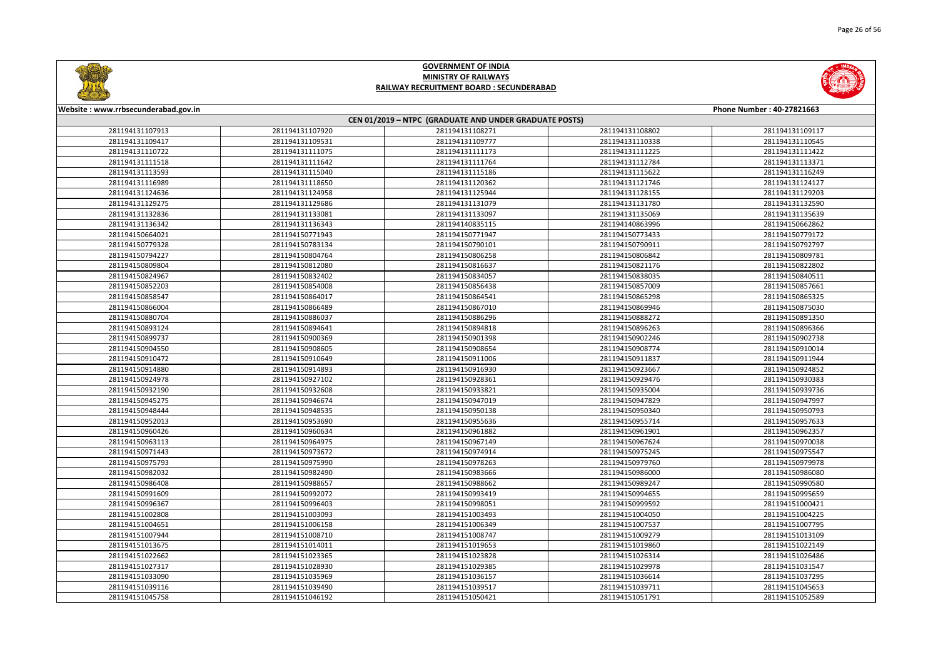

|       | <b>Phone Number: 40-27821663</b> |
|-------|----------------------------------|
|       |                                  |
| 08802 | 281194131109117                  |
| 10338 | 281194131110545                  |
| 11225 | 281194131111422                  |
| 12784 | 281194131113371                  |
| 15622 | 281194131116249                  |
| 21746 | 281194131124127                  |
| 28155 | 281194131129203                  |
| 31780 | 281194131132590                  |
| 35069 | 281194131135639                  |
| 63996 | 281194150662862                  |
| 73433 | 281194150779172                  |
| 90911 | 281194150792797                  |
| 06842 | 281194150809781                  |
| 21176 | 281194150822802                  |
| 38035 | 281194150840511                  |
| 57009 | 281194150857661                  |
| 65298 | 281194150865325                  |
| 69946 | 281194150875030                  |
| 88272 | 281194150891350                  |
| 96263 | 281194150896366                  |
| 02246 | 281194150902738                  |
| 08774 | 281194150910014                  |
| 11837 | 281194150911944                  |
| 23667 | 281194150924852                  |
| 29476 | 281194150930383                  |
| 35004 | 281194150939736                  |
| 47829 | 281194150947997                  |
| 50340 | 281194150950793                  |
| 55714 | 281194150957633                  |
| 61901 | 281194150962357                  |
| 67624 | 281194150970038                  |
| 75245 | 281194150975547                  |
| 79760 | 281194150979978                  |
| 86000 | 281194150986080                  |
| 89247 | 281194150990580                  |
| 94655 | 281194150995659                  |
| 99592 | 281194151000421                  |
| 04050 | 281194151004225                  |
| 07537 | 281194151007795                  |
| 09279 | 281194151013109                  |
| 19860 | 281194151022149                  |
| 26314 | 281194151026486                  |
| 29978 | 281194151031547                  |
| 36614 | 281194151037295                  |
| 39711 | 281194151045653                  |
| 51791 | 281194151052589                  |



#### **Website : www.rrbsecunderabad.gov.in CEN 01/2019 – NTPC (GRADUATE AND UNDER GRADUATE POSTS)** 281194131107920 281194131108271 281194131108802 281194131109117 281194131109531 281194131109777 281194131110338 281194131110545 281194131111075 281194131111173 281194131111225 281194131111422 281194131111642 281194131111764 281194131112784 281194131113371 281194131115040 281194131115186 281194131115622 281194131116249 281194131118650 281194131120362 281194131121746 281194131124127 281194131124958 281194131125944 281194131128155 281194131129203 281194131129686 281194131131079 281194131131780 281194131132590 281194131133081 281194131133097 281194131135069 281194131135639 281194131136343 281194140835115 281194140863996 281194150662862 281194150771943 281194150771947 281194150773433 281194150779172 281194150783134 281194150790101 281194150790911 281194150792797 281194150804764 281194150806258 281194150806842 281194150809781 281194150812080 281194150816637 281194150821176 281194150822802 281194150832402 281194150834057 281194150838035 281194150840511 281194150854008 281194150856438 281194150857009 281194150857661 281194150864017 281194150864541 281194150865298 281194150865325 281194150866489 281194150867010 281194150869946 281194150875030 281194150886037 281194150886296 281194150888272 281194150891350 281194150894641 281194150894818 281194150896263 281194150896366 281194150900369 281194150901398 281194150902246 281194150902738 281194150908605 281194150908654 281194150908774 281194150910014 281194150910649 281194150911006 281194150911837 281194150911944 281194150914893 281194150916930 281194150923667 281194150924852 281194150927102 281194150928361 281194150929476 281194150930383 281194150932608 281194150933821 281194150935004 281194150939736 281194150946674 281194150947019 281194150947829 281194150947997 281194150948535 281194150950138 281194150950340 281194150950793 281194150953690 281194150955636 281194150955714 281194150957633 281194150960634 281194150961882 281194150961901 281194150962357 281194150964975 281194150967149 281194150967624 281194150970038 281194150973672 281194150974914 281194150975245 281194150975547 281194150975990 281194150978263 281194150979760 281194150979978 281194150982490 281194150983666 281194150986000 281194150986080 281194150988657 281194150988662 281194150989247 281194150990580 281194150992072 281194150993419 281194150994655 281194150995659 281194150996403 281194150998051 281194150999592 281194151000421 281194151003093 281194151003493 281194151004050 281194151004225 281194151006158 281194151006349 281194151007537 281194151007795 281194151008710 281194151008747 281194151009279 281194151013109 281194151014011 281194151019653 281194151019860 281194151022149 281194151023365 281194151023828 281194151026314 281194151026486 281194151028930 281194151029385 281194151029978 281194151031547 281194151035969 281194151036157 281194151036614 281194151037295 281194151039490 281194151039517 281194151039711 281194151045653 281194151046192 281194151050421 281194151051791 281194151052589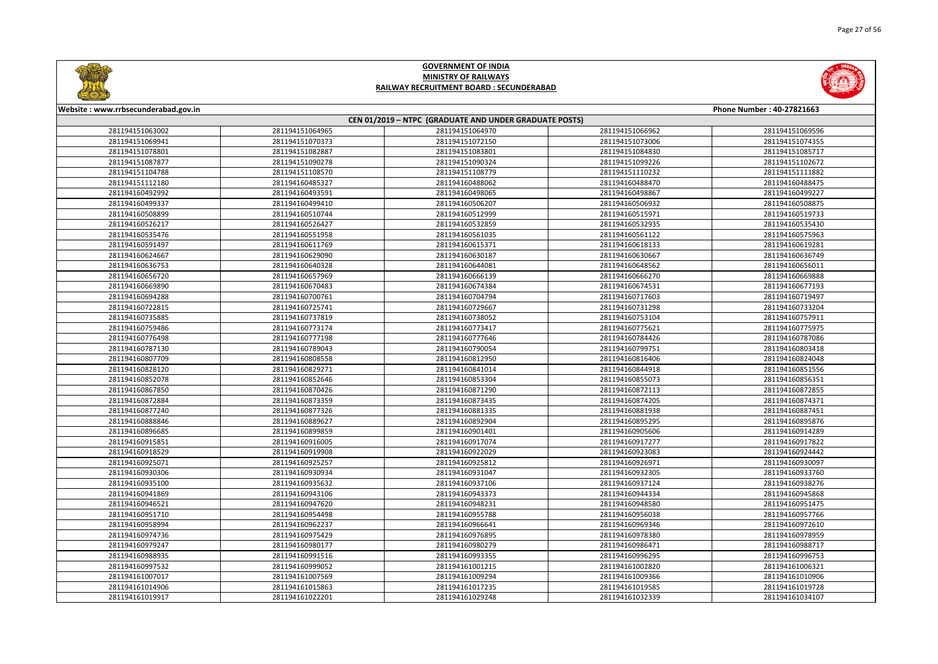



| Website: www.rrbsecunderabad.gov.in |                 |                                                        |                 | Phone Number: 40-27821663 |
|-------------------------------------|-----------------|--------------------------------------------------------|-----------------|---------------------------|
|                                     |                 | CEN 01/2019 - NTPC (GRADUATE AND UNDER GRADUATE POSTS) |                 |                           |
| 281194151063002                     | 281194151064965 | 281194151064970                                        | 281194151066962 | 281194151069596           |
| 281194151069941                     | 281194151070373 | 281194151072150                                        | 281194151073006 | 281194151074355           |
| 281194151078801                     | 281194151082887 | 281194151083801                                        | 281194151084830 | 281194151085717           |
| 281194151087877                     | 281194151090278 | 281194151090324                                        | 281194151099226 | 281194151102672           |
| 281194151104788                     | 281194151108570 | 281194151108779                                        | 281194151110232 | 281194151111882           |
| 281194151112180                     | 281194160485327 | 281194160488062                                        | 281194160488470 | 281194160488475           |
| 281194160492992                     | 281194160493591 | 281194160498065                                        | 281194160498867 | 281194160499227           |
| 281194160499337                     | 281194160499410 | 281194160506207                                        | 281194160506932 | 281194160508875           |
| 281194160508899                     | 281194160510744 | 281194160512999                                        | 281194160515971 | 281194160519733           |
| 281194160526217                     | 281194160526427 | 281194160532859                                        | 281194160532935 | 281194160535430           |
| 281194160535476                     | 281194160551958 | 281194160561035                                        | 281194160561122 | 281194160575963           |
| 281194160591497                     | 281194160611769 | 281194160615371                                        | 281194160618133 | 281194160619281           |
| 281194160624667                     | 281194160629090 | 281194160630187                                        | 281194160630667 | 281194160636749           |
| 281194160636753                     | 281194160640328 | 281194160644081                                        | 281194160648562 | 281194160656011           |
| 281194160656720                     | 281194160657969 | 281194160666139                                        | 281194160666270 | 281194160669888           |
| 281194160669890                     | 281194160670483 | 281194160674384                                        | 281194160674531 | 281194160677193           |
| 281194160694288                     | 281194160700761 | 281194160704794                                        | 281194160717603 | 281194160719497           |
| 281194160722815                     | 281194160725741 | 281194160729667                                        | 281194160731298 | 281194160733204           |
| 281194160735885                     | 281194160737819 | 281194160738052                                        | 281194160753104 | 281194160757911           |
| 281194160759486                     | 281194160773174 | 281194160773417                                        | 281194160775621 | 281194160775975           |
| 281194160776498                     | 281194160777198 | 281194160777646                                        | 281194160784426 | 281194160787086           |
| 281194160787130                     | 281194160789043 | 281194160790054                                        | 281194160799751 | 281194160803418           |
| 281194160807709                     | 281194160808558 | 281194160812950                                        | 281194160816406 | 281194160824048           |
| 281194160828120                     | 281194160829271 | 281194160841014                                        | 281194160844918 | 281194160851556           |
| 281194160852078                     | 281194160852646 | 281194160853304                                        | 281194160855073 | 281194160856351           |
| 281194160867850                     | 281194160870426 | 281194160871290                                        | 281194160872113 | 281194160872855           |
| 281194160872884                     | 281194160873359 | 281194160873435                                        | 281194160874205 | 281194160874371           |
| 281194160877240                     | 281194160877326 | 281194160881335                                        | 281194160881938 | 281194160887451           |
| 281194160888846                     | 281194160889627 | 281194160892904                                        | 281194160895295 | 281194160895876           |
| 281194160896685                     | 281194160899859 | 281194160901401                                        | 281194160905606 | 281194160914289           |
| 281194160915851                     | 281194160916005 | 281194160917074                                        | 281194160917277 | 281194160917822           |
| 281194160918529                     | 281194160919908 | 281194160922029                                        | 281194160923083 | 281194160924442           |
| 281194160925071                     | 281194160925257 | 281194160925812                                        | 281194160926971 | 281194160930097           |
| 281194160930306                     | 281194160930934 | 281194160931047                                        | 281194160932305 | 281194160933760           |
| 281194160935100                     | 281194160935632 | 281194160937106                                        | 281194160937124 | 281194160938276           |
| 281194160941869                     | 281194160943106 | 281194160943373                                        | 281194160944334 | 281194160945868           |
| 281194160946521                     | 281194160947620 | 281194160948231                                        | 281194160948580 | 281194160951475           |
| 281194160951710                     | 281194160954498 | 281194160955788                                        | 281194160956038 | 281194160957766           |
| 281194160958994                     | 281194160962237 | 281194160966641                                        | 281194160969346 | 281194160972610           |
| 281194160974736                     | 281194160975429 | 281194160976895                                        | 281194160978380 | 281194160978959           |
| 281194160979247                     | 281194160980177 | 281194160980279                                        | 281194160986471 | 281194160988717           |
| 281194160988935                     | 281194160991516 | 281194160993355                                        | 281194160996295 | 281194160996753           |
| 281194160997532                     | 281194160999052 | 281194161001215                                        | 281194161002820 | 281194161006321           |
| 281194161007017                     | 281194161007569 | 281194161009294                                        | 281194161009366 | 281194161010906           |
| 281194161014906                     | 281194161015863 | 281194161017235                                        | 281194161019585 | 281194161019728           |
| 281194161019917                     | 281194161022201 | 281194161029248                                        | 281194161032339 | 281194161034107           |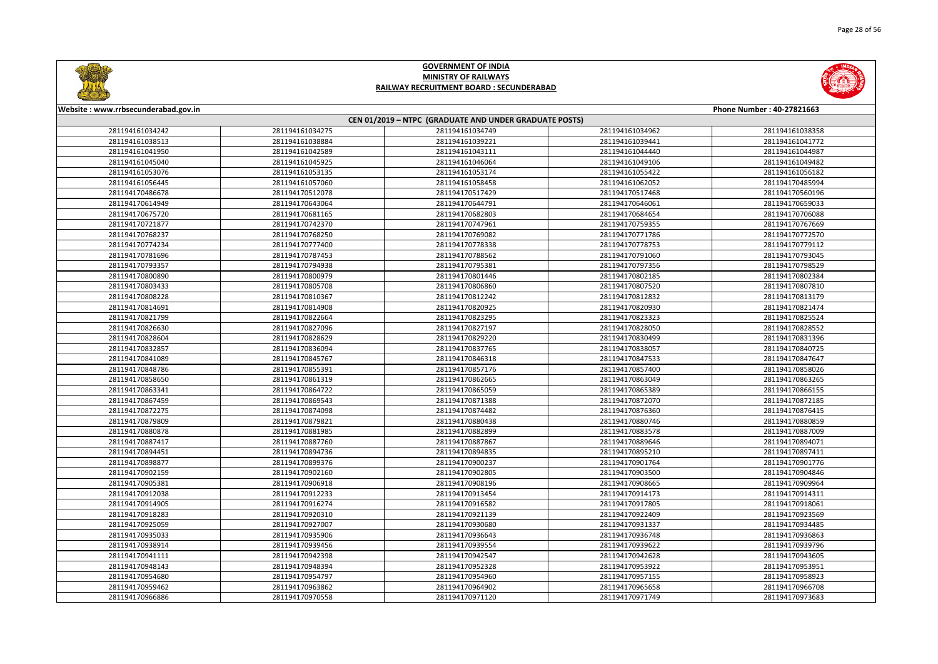



| Website: www.rrbsecunderabad.gov.in                    |                 |                 |                 | Phone Number: 40-27821663 |  |
|--------------------------------------------------------|-----------------|-----------------|-----------------|---------------------------|--|
| CEN 01/2019 - NTPC (GRADUATE AND UNDER GRADUATE POSTS) |                 |                 |                 |                           |  |
| 281194161034242                                        | 281194161034275 | 281194161034749 | 281194161034962 | 281194161038358           |  |
| 281194161038513                                        | 281194161038884 | 281194161039221 | 281194161039441 | 281194161041772           |  |
| 281194161041950                                        | 281194161042589 | 281194161043111 | 281194161044440 | 281194161044987           |  |
| 281194161045040                                        | 281194161045925 | 281194161046064 | 281194161049106 | 281194161049482           |  |
| 281194161053076                                        | 281194161053135 | 281194161053174 | 281194161055422 | 281194161056182           |  |
| 281194161056445                                        | 281194161057060 | 281194161058458 | 281194161062052 | 281194170485994           |  |
| 281194170486678                                        | 281194170512078 | 281194170517429 | 281194170517468 | 281194170560196           |  |
| 281194170614949                                        | 281194170643064 | 281194170644791 | 281194170646061 | 281194170659033           |  |
| 281194170675720                                        | 281194170681165 | 281194170682803 | 281194170684654 | 281194170706088           |  |
| 281194170721877                                        | 281194170742370 | 281194170747961 | 281194170759355 | 281194170767669           |  |
| 281194170768237                                        | 281194170768250 | 281194170769082 | 281194170771786 | 281194170772570           |  |
| 281194170774234                                        | 281194170777400 | 281194170778338 | 281194170778753 | 281194170779112           |  |
| 281194170781696                                        | 281194170787453 | 281194170788562 | 281194170791060 | 281194170793045           |  |
| 281194170793357                                        | 281194170794938 | 281194170795381 | 281194170797356 | 281194170798529           |  |
| 281194170800890                                        | 281194170800979 | 281194170801446 | 281194170802185 | 281194170802384           |  |
| 281194170803433                                        | 281194170805708 | 281194170806860 | 281194170807520 | 281194170807810           |  |
| 281194170808228                                        | 281194170810367 | 281194170812242 | 281194170812832 | 281194170813179           |  |
| 281194170814691                                        | 281194170814908 | 281194170820925 | 281194170820930 | 281194170821474           |  |
| 281194170821799                                        | 281194170822664 | 281194170823295 | 281194170823323 | 281194170825524           |  |
| 281194170826630                                        | 281194170827096 | 281194170827197 | 281194170828050 | 281194170828552           |  |
| 281194170828604                                        | 281194170828629 | 281194170829220 | 281194170830499 | 281194170831396           |  |
| 281194170832857                                        | 281194170836094 | 281194170837765 | 281194170838057 | 281194170840725           |  |
| 281194170841089                                        | 281194170845767 | 281194170846318 | 281194170847533 | 281194170847647           |  |
| 281194170848786                                        | 281194170855391 | 281194170857176 | 281194170857400 | 281194170858026           |  |
| 281194170858650                                        | 281194170861319 | 281194170862665 | 281194170863049 | 281194170863265           |  |
| 281194170863341                                        | 281194170864722 | 281194170865059 | 281194170865389 | 281194170866155           |  |
| 281194170867459                                        | 281194170869543 | 281194170871388 | 281194170872070 | 281194170872185           |  |
| 281194170872275                                        | 281194170874098 | 281194170874482 | 281194170876360 | 281194170876415           |  |
| 281194170879809                                        | 281194170879821 | 281194170880438 | 281194170880746 | 281194170880859           |  |
| 281194170880878                                        | 281194170881985 | 281194170882899 | 281194170883578 | 281194170887009           |  |
| 281194170887417                                        | 281194170887760 | 281194170887867 | 281194170889646 | 281194170894071           |  |
| 281194170894451                                        | 281194170894736 | 281194170894835 | 281194170895210 | 281194170897411           |  |
| 281194170898877                                        | 281194170899376 | 281194170900237 | 281194170901764 | 281194170901776           |  |
| 281194170902159                                        | 281194170902160 | 281194170902805 | 281194170903500 | 281194170904846           |  |
| 281194170905381                                        | 281194170906918 | 281194170908196 | 281194170908665 | 281194170909964           |  |
| 281194170912038                                        | 281194170912233 | 281194170913454 | 281194170914173 | 281194170914311           |  |
| 281194170914905                                        | 281194170916274 | 281194170916582 | 281194170917805 | 281194170918061           |  |
| 281194170918283                                        | 281194170920310 | 281194170921139 | 281194170922409 | 281194170923569           |  |
| 281194170925059                                        | 281194170927007 | 281194170930680 | 281194170931337 | 281194170934485           |  |
| 281194170935033                                        | 281194170935906 | 281194170936643 | 281194170936748 | 281194170936863           |  |
| 281194170938914                                        | 281194170939456 | 281194170939554 | 281194170939622 | 281194170939796           |  |
| 281194170941111                                        | 281194170942398 | 281194170942547 | 281194170942628 | 281194170943605           |  |
| 281194170948143                                        | 281194170948394 | 281194170952328 | 281194170953922 | 281194170953951           |  |
| 281194170954680                                        | 281194170954797 | 281194170954960 | 281194170957155 | 281194170958923           |  |
| 281194170959462                                        | 281194170963862 | 281194170964902 | 281194170965658 | 281194170966708           |  |
| 281194170966886                                        | 281194170970558 | 281194170971120 | 281194170971749 | 281194170973683           |  |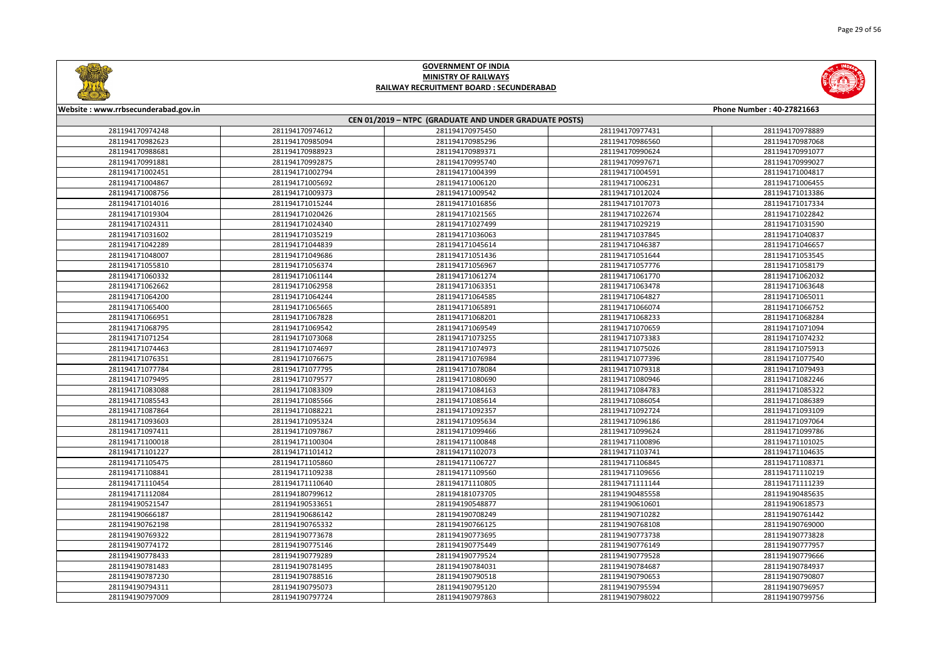



| Website: www.rrbsecunderabad.gov.in                    |                 |                 |                 | Phone Number: 40-27821663 |
|--------------------------------------------------------|-----------------|-----------------|-----------------|---------------------------|
| CEN 01/2019 - NTPC (GRADUATE AND UNDER GRADUATE POSTS) |                 |                 |                 |                           |
| 281194170974248                                        | 281194170974612 | 281194170975450 | 281194170977431 | 281194170978889           |
| 281194170982623                                        | 281194170985094 | 281194170985296 | 281194170986560 | 281194170987068           |
| 281194170988681                                        | 281194170988923 | 281194170989371 | 281194170990624 | 281194170991077           |
| 281194170991881                                        | 281194170992875 | 281194170995740 | 281194170997671 | 281194170999027           |
| 281194171002451                                        | 281194171002794 | 281194171004399 | 281194171004591 | 281194171004817           |
| 281194171004867                                        | 281194171005692 | 281194171006120 | 281194171006231 | 281194171006455           |
| 281194171008756                                        | 281194171009373 | 281194171009542 | 281194171012024 | 281194171013386           |
| 281194171014016                                        | 281194171015244 | 281194171016856 | 281194171017073 | 281194171017334           |
| 281194171019304                                        | 281194171020426 | 281194171021565 | 281194171022674 | 281194171022842           |
| 281194171024311                                        | 281194171024340 | 281194171027499 | 281194171029219 | 281194171031590           |
| 281194171031602                                        | 281194171035219 | 281194171036063 | 281194171037845 | 281194171040837           |
| 281194171042289                                        | 281194171044839 | 281194171045614 | 281194171046387 | 281194171046657           |
| 281194171048007                                        | 281194171049686 | 281194171051436 | 281194171051644 | 281194171053545           |
| 281194171055810                                        | 281194171056374 | 281194171056967 | 281194171057776 | 281194171058179           |
| 281194171060332                                        | 281194171061144 | 281194171061274 | 281194171061770 | 281194171062032           |
| 281194171062662                                        | 281194171062958 | 281194171063351 | 281194171063478 | 281194171063648           |
| 281194171064200                                        | 281194171064244 | 281194171064585 | 281194171064827 | 281194171065011           |
| 281194171065400                                        | 281194171065665 | 281194171065891 | 281194171066074 | 281194171066752           |
| 281194171066951                                        | 281194171067828 | 281194171068201 | 281194171068233 | 281194171068284           |
| 281194171068795                                        | 281194171069542 | 281194171069549 | 281194171070659 | 281194171071094           |
| 281194171071254                                        | 281194171073068 | 281194171073255 | 281194171073383 | 281194171074232           |
| 281194171074463                                        | 281194171074697 | 281194171074973 | 281194171075026 | 281194171075913           |
| 281194171076351                                        | 281194171076675 | 281194171076984 | 281194171077396 | 281194171077540           |
| 281194171077784                                        | 281194171077795 | 281194171078084 | 281194171079318 | 281194171079493           |
| 281194171079495                                        | 281194171079577 | 281194171080690 | 281194171080946 | 281194171082246           |
| 281194171083088                                        | 281194171083309 | 281194171084163 | 281194171084783 | 281194171085322           |
| 281194171085543                                        | 281194171085566 | 281194171085614 | 281194171086054 | 281194171086389           |
| 281194171087864                                        | 281194171088221 | 281194171092357 | 281194171092724 | 281194171093109           |
| 281194171093603                                        | 281194171095324 | 281194171095634 | 281194171096186 | 281194171097064           |
| 281194171097411                                        | 281194171097867 | 281194171099466 | 281194171099624 | 281194171099786           |
| 281194171100018                                        | 281194171100304 | 281194171100848 | 281194171100896 | 281194171101025           |
| 281194171101227                                        | 281194171101412 | 281194171102073 | 281194171103741 | 281194171104635           |
| 281194171105475                                        | 281194171105860 | 281194171106727 | 281194171106845 | 281194171108371           |
| 281194171108841                                        | 281194171109238 | 281194171109560 | 281194171109656 | 281194171110219           |
| 281194171110454                                        | 281194171110640 | 281194171110805 | 281194171111144 | 281194171111239           |
| 281194171112084                                        | 281194180799612 | 281194181073705 | 281194190485558 | 281194190485635           |
| 281194190521547                                        | 281194190533651 | 281194190548877 | 281194190610601 | 281194190618573           |
| 281194190666187                                        | 281194190686142 | 281194190708249 | 281194190710282 | 281194190761442           |
| 281194190762198                                        | 281194190765332 | 281194190766125 | 281194190768108 | 281194190769000           |
| 281194190769322                                        | 281194190773678 | 281194190773695 | 281194190773738 | 281194190773828           |
| 281194190774172                                        | 281194190775146 | 281194190775449 | 281194190776149 | 281194190777957           |
| 281194190778433                                        | 281194190779289 | 281194190779524 | 281194190779528 | 281194190779666           |
| 281194190781483                                        | 281194190781495 | 281194190784031 | 281194190784687 | 281194190784937           |
| 281194190787230                                        | 281194190788516 | 281194190790518 | 281194190790653 | 281194190790807           |
| 281194190794311                                        | 281194190795073 | 281194190795120 | 281194190795594 | 281194190796957           |
| 281194190797009                                        | 281194190797724 | 281194190797863 | 281194190798022 | 281194190799756           |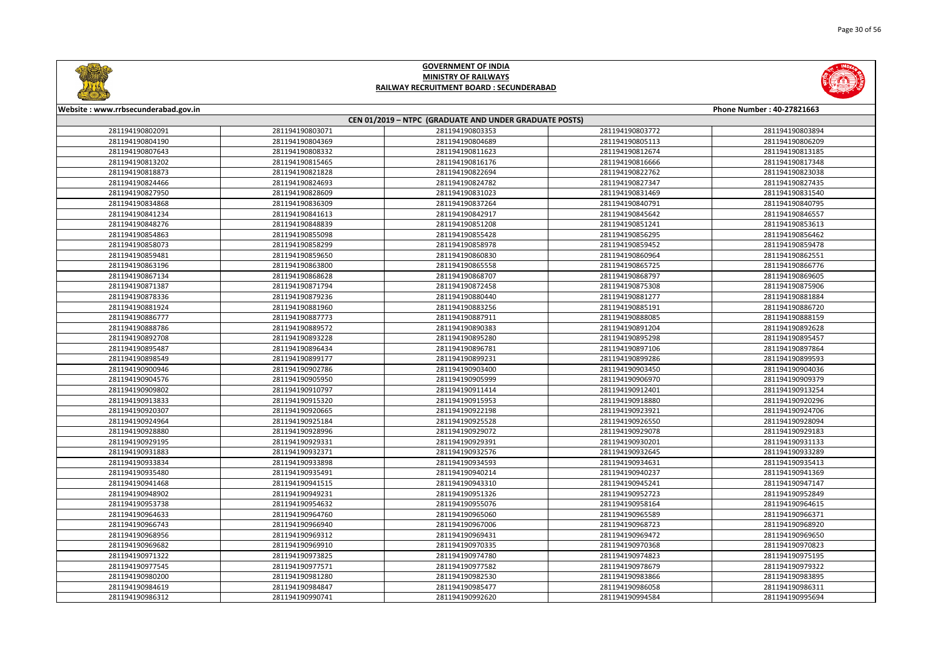



| Website: www.rrbsecunderabad.gov.in |                 |                                                        |                 | Phone Number: 40-27821663 |
|-------------------------------------|-----------------|--------------------------------------------------------|-----------------|---------------------------|
|                                     |                 | CEN 01/2019 - NTPC (GRADUATE AND UNDER GRADUATE POSTS) |                 |                           |
| 281194190802091                     | 281194190803071 | 281194190803353                                        | 281194190803772 | 281194190803894           |
| 281194190804190                     | 281194190804369 | 281194190804689                                        | 281194190805113 | 281194190806209           |
| 281194190807643                     | 281194190808332 | 281194190811623                                        | 281194190812674 | 281194190813185           |
| 281194190813202                     | 281194190815465 | 281194190816176                                        | 281194190816666 | 281194190817348           |
| 281194190818873                     | 281194190821828 | 281194190822694                                        | 281194190822762 | 281194190823038           |
| 281194190824466                     | 281194190824693 | 281194190824782                                        | 281194190827347 | 281194190827435           |
| 281194190827950                     | 281194190828609 | 281194190831023                                        | 281194190831469 | 281194190831540           |
| 281194190834868                     | 281194190836309 | 281194190837264                                        | 281194190840791 | 281194190840795           |
| 281194190841234                     | 281194190841613 | 281194190842917                                        | 281194190845642 | 281194190846557           |
| 281194190848276                     | 281194190848839 | 281194190851208                                        | 281194190851241 | 281194190853613           |
| 281194190854863                     | 281194190855098 | 281194190855428                                        | 281194190856295 | 281194190856462           |
| 281194190858073                     | 281194190858299 | 281194190858978                                        | 281194190859452 | 281194190859478           |
| 281194190859481                     | 281194190859650 | 281194190860830                                        | 281194190860964 | 281194190862551           |
| 281194190863196                     | 281194190863800 | 281194190865558                                        | 281194190865725 | 281194190866776           |
| 281194190867134                     | 281194190868628 | 281194190868707                                        | 281194190868797 | 281194190869605           |
| 281194190871387                     | 281194190871794 | 281194190872458                                        | 281194190875308 | 281194190875906           |
| 281194190878336                     | 281194190879236 | 281194190880440                                        | 281194190881277 | 281194190881884           |
| 281194190881924                     | 281194190881960 | 281194190883256                                        | 281194190885191 | 281194190886720           |
| 281194190886777                     | 281194190887773 | 281194190887911                                        | 281194190888085 | 281194190888159           |
| 281194190888786                     | 281194190889572 | 281194190890383                                        | 281194190891204 | 281194190892628           |
| 281194190892708                     | 281194190893228 | 281194190895280                                        | 281194190895298 | 281194190895457           |
| 281194190895487                     | 281194190896434 | 281194190896781                                        | 281194190897106 | 281194190897864           |
| 281194190898549                     | 281194190899177 | 281194190899231                                        | 281194190899286 | 281194190899593           |
| 281194190900946                     | 281194190902786 | 281194190903400                                        | 281194190903450 | 281194190904036           |
| 281194190904576                     | 281194190905950 | 281194190905999                                        | 281194190906970 | 281194190909379           |
| 281194190909802                     | 281194190910797 | 281194190911414                                        | 281194190912401 | 281194190913254           |
| 281194190913833                     | 281194190915320 | 281194190915953                                        | 281194190918880 | 281194190920296           |
| 281194190920307                     | 281194190920665 | 281194190922198                                        | 281194190923921 | 281194190924706           |
| 281194190924964                     | 281194190925184 | 281194190925528                                        | 281194190926550 | 281194190928094           |
| 281194190928880                     | 281194190928996 | 281194190929072                                        | 281194190929078 | 281194190929183           |
| 281194190929195                     | 281194190929331 | 281194190929391                                        | 281194190930201 | 281194190931133           |
| 281194190931883                     | 281194190932371 | 281194190932576                                        | 281194190932645 | 281194190933289           |
| 281194190933834                     | 281194190933898 | 281194190934593                                        | 281194190934631 | 281194190935413           |
| 281194190935480                     | 281194190935491 | 281194190940214                                        | 281194190940237 | 281194190941369           |
| 281194190941468                     | 281194190941515 | 281194190943310                                        | 281194190945241 | 281194190947147           |
| 281194190948902                     | 281194190949231 | 281194190951326                                        | 281194190952723 | 281194190952849           |
| 281194190953738                     | 281194190954632 | 281194190955076                                        | 281194190958164 | 281194190964615           |
| 281194190964633                     | 281194190964760 | 281194190965060                                        | 281194190965589 | 281194190966371           |
| 281194190966743                     | 281194190966940 | 281194190967006                                        | 281194190968723 | 281194190968920           |
| 281194190968956                     | 281194190969312 | 281194190969431                                        | 281194190969472 | 281194190969650           |
| 281194190969682                     | 281194190969910 | 281194190970335                                        | 281194190970368 | 281194190970823           |
| 281194190971322                     | 281194190973825 | 281194190974780                                        | 281194190974823 | 281194190975195           |
| 281194190977545                     | 281194190977571 | 281194190977582                                        | 281194190978679 | 281194190979322           |
| 281194190980200                     | 281194190981280 | 281194190982530                                        | 281194190983866 | 281194190983895           |
| 281194190984619                     | 281194190984847 | 281194190985477                                        | 281194190986058 | 281194190986311           |
| 281194190986312                     | 281194190990741 | 281194190992620                                        | 281194190994584 | 281194190995694           |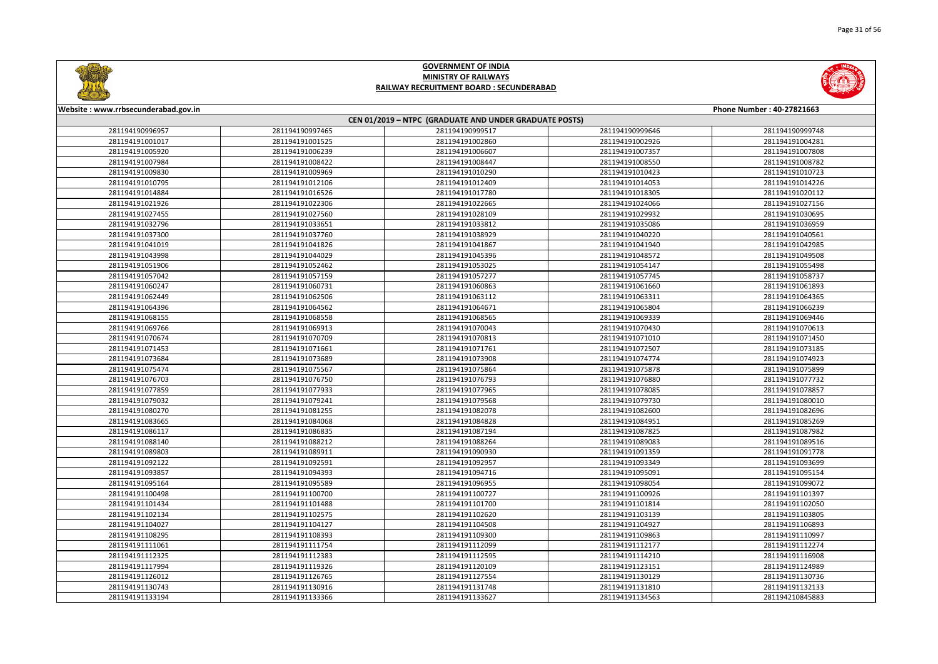



| Website: www.rrbsecunderabad.gov.in<br>Phone Number: 40-27821663 |                 |                                                        |                 |                 |  |
|------------------------------------------------------------------|-----------------|--------------------------------------------------------|-----------------|-----------------|--|
|                                                                  |                 | CEN 01/2019 - NTPC (GRADUATE AND UNDER GRADUATE POSTS) |                 |                 |  |
| 281194190996957                                                  | 281194190997465 | 281194190999517                                        | 281194190999646 | 281194190999748 |  |
| 281194191001017                                                  | 281194191001525 | 281194191002860                                        | 281194191002926 | 281194191004281 |  |
| 281194191005920                                                  | 281194191006239 | 281194191006607                                        | 281194191007357 | 281194191007808 |  |
| 281194191007984                                                  | 281194191008422 | 281194191008447                                        | 281194191008550 | 281194191008782 |  |
| 281194191009830                                                  | 281194191009969 | 281194191010290                                        | 281194191010423 | 281194191010723 |  |
| 281194191010795                                                  | 281194191012106 | 281194191012409                                        | 281194191014053 | 281194191014226 |  |
| 281194191014884                                                  | 281194191016526 | 281194191017780                                        | 281194191018305 | 281194191020112 |  |
| 281194191021926                                                  | 281194191022306 | 281194191022665                                        | 281194191024066 | 281194191027156 |  |
| 281194191027455                                                  | 281194191027560 | 281194191028109                                        | 281194191029932 | 281194191030695 |  |
| 281194191032796                                                  | 281194191033651 | 281194191033812                                        | 281194191035086 | 281194191036959 |  |
| 281194191037300                                                  | 281194191037760 | 281194191038929                                        | 281194191040220 | 281194191040561 |  |
| 281194191041019                                                  | 281194191041826 | 281194191041867                                        | 281194191041940 | 281194191042985 |  |
| 281194191043998                                                  | 281194191044029 | 281194191045396                                        | 281194191048572 | 281194191049508 |  |
| 281194191051906                                                  | 281194191052462 | 281194191053025                                        | 281194191054147 | 281194191055498 |  |
| 281194191057042                                                  | 281194191057159 | 281194191057277                                        | 281194191057745 | 281194191058737 |  |
| 281194191060247                                                  | 281194191060731 | 281194191060863                                        | 281194191061660 | 281194191061893 |  |
| 281194191062449                                                  | 281194191062506 | 281194191063112                                        | 281194191063311 | 281194191064365 |  |
| 281194191064396                                                  | 281194191064562 | 281194191064671                                        | 281194191065804 | 281194191066239 |  |
| 281194191068155                                                  | 281194191068558 | 281194191068565                                        | 281194191069339 | 281194191069446 |  |
| 281194191069766                                                  | 281194191069913 | 281194191070043                                        | 281194191070430 | 281194191070613 |  |
| 281194191070674                                                  | 281194191070709 | 281194191070813                                        | 281194191071010 | 281194191071450 |  |
| 281194191071453                                                  | 281194191071661 | 281194191071761                                        | 281194191072507 | 281194191073185 |  |
| 281194191073684                                                  | 281194191073689 | 281194191073908                                        | 281194191074774 | 281194191074923 |  |
| 281194191075474                                                  | 281194191075567 | 281194191075864                                        | 281194191075878 | 281194191075899 |  |
| 281194191076703                                                  | 281194191076750 | 281194191076793                                        | 281194191076880 | 281194191077732 |  |
| 281194191077859                                                  | 281194191077933 | 281194191077965                                        | 281194191078085 | 281194191078857 |  |
| 281194191079032                                                  | 281194191079241 | 281194191079568                                        | 281194191079730 | 281194191080010 |  |
| 281194191080270                                                  | 281194191081255 | 281194191082078                                        | 281194191082600 | 281194191082696 |  |
| 281194191083665                                                  | 281194191084068 | 281194191084828                                        | 281194191084951 | 281194191085269 |  |
| 281194191086117                                                  | 281194191086835 | 281194191087194                                        | 281194191087825 | 281194191087982 |  |
| 281194191088140                                                  | 281194191088212 | 281194191088264                                        | 281194191089083 | 281194191089516 |  |
| 281194191089803                                                  | 281194191089911 | 281194191090930                                        | 281194191091359 | 281194191091778 |  |
| 281194191092122                                                  | 281194191092591 | 281194191092957                                        | 281194191093349 | 281194191093699 |  |
| 281194191093857                                                  | 281194191094393 | 281194191094716                                        | 281194191095091 | 281194191095154 |  |
| 281194191095164                                                  | 281194191095589 | 281194191096955                                        | 281194191098054 | 281194191099072 |  |
| 281194191100498                                                  | 281194191100700 | 281194191100727                                        | 281194191100926 | 281194191101397 |  |
| 281194191101434                                                  | 281194191101488 | 281194191101700                                        | 281194191101814 | 281194191102050 |  |
| 281194191102134                                                  | 281194191102575 | 281194191102620                                        | 281194191103139 | 281194191103805 |  |
| 281194191104027                                                  | 281194191104127 | 281194191104508                                        | 281194191104927 | 281194191106893 |  |
| 281194191108295                                                  | 281194191108393 | 281194191109300                                        | 281194191109863 | 281194191110997 |  |
| 281194191111061                                                  | 281194191111754 | 281194191112099                                        | 281194191112177 | 281194191112274 |  |
| 281194191112325                                                  | 281194191112383 | 281194191112595                                        | 281194191114210 | 281194191116908 |  |
| 281194191117994                                                  | 281194191119326 | 281194191120109                                        | 281194191123151 | 281194191124989 |  |
| 281194191126012                                                  | 281194191126765 | 281194191127554                                        | 281194191130129 | 281194191130736 |  |
| 281194191130743                                                  | 281194191130916 | 281194191131748                                        | 281194191131810 | 281194191132133 |  |
| 281194191133194                                                  | 281194191133366 | 281194191133627                                        | 281194191134563 | 281194210845883 |  |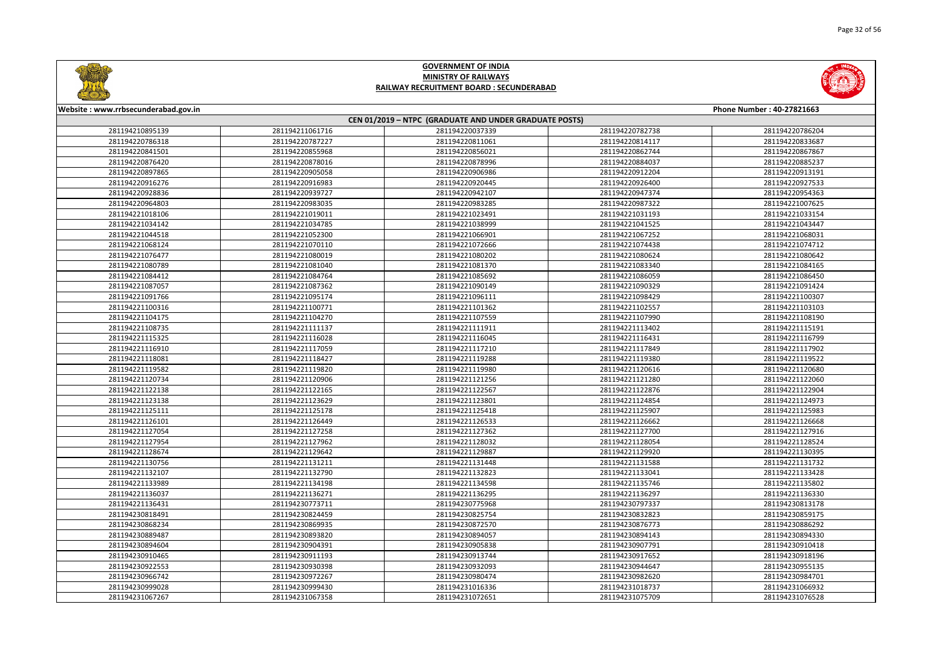



| Website: www.rrbsecunderabad.gov.in                    |                 |                 |                 | Phone Number: 40-27821663 |  |
|--------------------------------------------------------|-----------------|-----------------|-----------------|---------------------------|--|
| CEN 01/2019 - NTPC (GRADUATE AND UNDER GRADUATE POSTS) |                 |                 |                 |                           |  |
| 281194210895139                                        | 281194211061716 | 281194220037339 | 281194220782738 | 281194220786204           |  |
| 281194220786318                                        | 281194220787227 | 281194220811061 | 281194220814117 | 281194220833687           |  |
| 281194220841501                                        | 281194220855968 | 281194220856021 | 281194220862744 | 281194220867867           |  |
| 281194220876420                                        | 281194220878016 | 281194220878996 | 281194220884037 | 281194220885237           |  |
| 281194220897865                                        | 281194220905058 | 281194220906986 | 281194220912204 | 281194220913191           |  |
| 281194220916276                                        | 281194220916983 | 281194220920445 | 281194220926400 | 281194220927533           |  |
| 281194220928836                                        | 281194220939727 | 281194220942107 | 281194220947374 | 281194220954363           |  |
| 281194220964803                                        | 281194220983035 | 281194220983285 | 281194220987322 | 281194221007625           |  |
| 281194221018106                                        | 281194221019011 | 281194221023491 | 281194221031193 | 281194221033154           |  |
| 281194221034142                                        | 281194221034785 | 281194221038999 | 281194221041525 | 281194221043447           |  |
| 281194221044518                                        | 281194221052300 | 281194221066901 | 281194221067252 | 281194221068031           |  |
| 281194221068124                                        | 281194221070110 | 281194221072666 | 281194221074438 | 281194221074712           |  |
| 281194221076477                                        | 281194221080019 | 281194221080202 | 281194221080624 | 281194221080642           |  |
| 281194221080789                                        | 281194221081040 | 281194221081370 | 281194221083340 | 281194221084165           |  |
| 281194221084412                                        | 281194221084764 | 281194221085692 | 281194221086059 | 281194221086450           |  |
| 281194221087057                                        | 281194221087362 | 281194221090149 | 281194221090329 | 281194221091424           |  |
| 281194221091766                                        | 281194221095174 | 281194221096111 | 281194221098429 | 281194221100307           |  |
| 281194221100316                                        | 281194221100771 | 281194221101362 | 281194221102557 | 281194221103103           |  |
| 281194221104175                                        | 281194221104270 | 281194221107559 | 281194221107990 | 281194221108190           |  |
| 281194221108735                                        | 281194221111137 | 281194221111911 | 281194221113402 | 281194221115191           |  |
| 281194221115325                                        | 281194221116028 | 281194221116045 | 281194221116431 | 281194221116799           |  |
| 281194221116910                                        | 281194221117059 | 281194221117210 | 281194221117849 | 281194221117902           |  |
| 281194221118081                                        | 281194221118427 | 281194221119288 | 281194221119380 | 281194221119522           |  |
| 281194221119582                                        | 281194221119820 | 281194221119980 | 281194221120616 | 281194221120680           |  |
| 281194221120734                                        | 281194221120906 | 281194221121256 | 281194221121280 | 281194221122060           |  |
| 281194221122138                                        | 281194221122165 | 281194221122567 | 281194221122876 | 281194221122904           |  |
| 281194221123138                                        | 281194221123629 | 281194221123801 | 281194221124854 | 281194221124973           |  |
| 281194221125111                                        | 281194221125178 | 281194221125418 | 281194221125907 | 281194221125983           |  |
| 281194221126101                                        | 281194221126449 | 281194221126533 | 281194221126662 | 281194221126668           |  |
| 281194221127054                                        | 281194221127258 | 281194221127362 | 281194221127700 | 281194221127916           |  |
| 281194221127954                                        | 281194221127962 | 281194221128032 | 281194221128054 | 281194221128524           |  |
| 281194221128674                                        | 281194221129642 | 281194221129887 | 281194221129920 | 281194221130395           |  |
| 281194221130756                                        | 281194221131211 | 281194221131448 | 281194221131588 | 281194221131732           |  |
| 281194221132107                                        | 281194221132790 | 281194221132823 | 281194221133041 | 281194221133428           |  |
| 281194221133989                                        | 281194221134198 | 281194221134598 | 281194221135746 | 281194221135802           |  |
| 281194221136037                                        | 281194221136271 | 281194221136295 | 281194221136297 | 281194221136330           |  |
| 281194221136431                                        | 281194230773711 | 281194230775968 | 281194230797337 | 281194230813178           |  |
| 281194230818491                                        | 281194230824459 | 281194230825754 | 281194230832823 | 281194230859175           |  |
| 281194230868234                                        | 281194230869935 | 281194230872570 | 281194230876773 | 281194230886292           |  |
| 281194230889487                                        | 281194230893820 | 281194230894057 | 281194230894143 | 281194230894330           |  |
| 281194230894604                                        | 281194230904391 | 281194230905838 | 281194230907791 | 281194230910418           |  |
| 281194230910465                                        | 281194230911193 | 281194230913744 | 281194230917652 | 281194230918196           |  |
| 281194230922553                                        | 281194230930398 | 281194230932093 | 281194230944647 | 281194230955135           |  |
| 281194230966742                                        | 281194230972267 | 281194230980474 | 281194230982620 | 281194230984701           |  |
| 281194230999028                                        | 281194230999430 | 281194231016336 | 281194231018737 | 281194231066932           |  |
| 281194231067267                                        | 281194231067358 | 281194231072651 | 281194231075709 | 281194231076528           |  |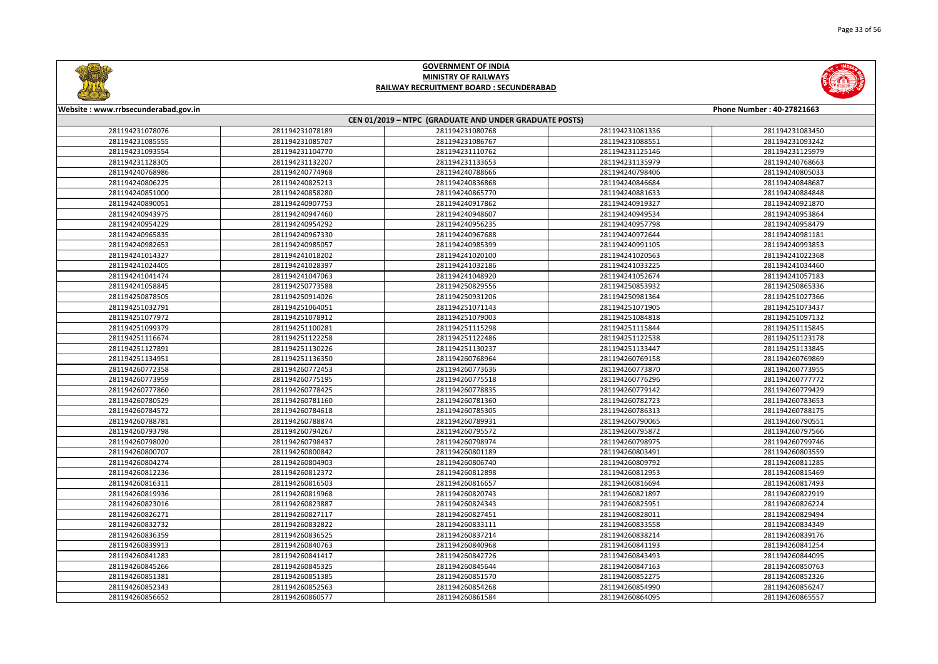



| Website: www.rrbsecunderabad.gov.in<br>CEN 01/2019 - NTPC (GRADUATE AND UNDER GRADUATE POSTS)<br>281194231078076<br>281194231078189<br>281194231080768<br>281194231081336<br>281194231085555<br>281194231085707<br>281194231086767<br>281194231088551<br>281194231093554<br>281194231104770<br>281194231110762<br>281194231125146<br>281194231128305<br>281194231132207<br>281194231133653<br>281194231135979 | Phone Number: 40-27821663<br>281194231083450<br>281194231093242<br>281194231125979<br>281194240768663<br>281194240805033<br>281194240848687<br>281194240884848 |
|---------------------------------------------------------------------------------------------------------------------------------------------------------------------------------------------------------------------------------------------------------------------------------------------------------------------------------------------------------------------------------------------------------------|----------------------------------------------------------------------------------------------------------------------------------------------------------------|
|                                                                                                                                                                                                                                                                                                                                                                                                               |                                                                                                                                                                |
|                                                                                                                                                                                                                                                                                                                                                                                                               |                                                                                                                                                                |
|                                                                                                                                                                                                                                                                                                                                                                                                               |                                                                                                                                                                |
|                                                                                                                                                                                                                                                                                                                                                                                                               |                                                                                                                                                                |
|                                                                                                                                                                                                                                                                                                                                                                                                               |                                                                                                                                                                |
| 281194240768986<br>281194240774968<br>281194240788666<br>281194240798406                                                                                                                                                                                                                                                                                                                                      |                                                                                                                                                                |
| 281194240806225<br>281194240825213<br>281194240836868<br>281194240846684                                                                                                                                                                                                                                                                                                                                      |                                                                                                                                                                |
| 281194240851000<br>281194240858280<br>281194240865770<br>281194240881633                                                                                                                                                                                                                                                                                                                                      |                                                                                                                                                                |
| 281194240907753<br>281194240890051<br>281194240917862<br>281194240919327                                                                                                                                                                                                                                                                                                                                      | 281194240921870                                                                                                                                                |
| 281194240943975<br>281194240947460<br>281194240948607<br>281194240949534                                                                                                                                                                                                                                                                                                                                      | 281194240953864                                                                                                                                                |
| 281194240954229<br>281194240954292<br>281194240956235<br>281194240957798                                                                                                                                                                                                                                                                                                                                      | 281194240958479                                                                                                                                                |
| 281194240965835<br>281194240967330<br>281194240967688<br>281194240972644                                                                                                                                                                                                                                                                                                                                      | 281194240981181                                                                                                                                                |
| 281194240982653<br>281194240985057<br>281194240985399<br>281194240991105                                                                                                                                                                                                                                                                                                                                      | 281194240993853                                                                                                                                                |
| 281194241018202<br>281194241014327<br>281194241020100<br>281194241020563                                                                                                                                                                                                                                                                                                                                      | 281194241022368                                                                                                                                                |
| 281194241024405<br>281194241028397<br>281194241032186<br>281194241033225                                                                                                                                                                                                                                                                                                                                      | 281194241034460                                                                                                                                                |
| 281194241041474<br>281194241047063<br>281194241048920<br>281194241052674                                                                                                                                                                                                                                                                                                                                      | 281194241057183                                                                                                                                                |
| 281194241058845<br>281194250773588<br>281194250829556<br>281194250853932                                                                                                                                                                                                                                                                                                                                      | 281194250865336                                                                                                                                                |
| 281194250878505<br>281194250914026<br>281194250931206<br>281194250981364                                                                                                                                                                                                                                                                                                                                      | 281194251027366                                                                                                                                                |
| 281194251032791<br>281194251064051<br>281194251071143<br>281194251071905                                                                                                                                                                                                                                                                                                                                      | 281194251073437                                                                                                                                                |
| 281194251077972<br>281194251078912<br>281194251079003<br>281194251084818                                                                                                                                                                                                                                                                                                                                      | 281194251097132                                                                                                                                                |
| 281194251100281<br>281194251099379<br>281194251115298<br>281194251115844                                                                                                                                                                                                                                                                                                                                      | 281194251115845                                                                                                                                                |
| 281194251116674<br>281194251122258<br>281194251122486<br>281194251122538                                                                                                                                                                                                                                                                                                                                      | 281194251123178                                                                                                                                                |
| 281194251130226<br>281194251133447<br>281194251127891<br>281194251130237                                                                                                                                                                                                                                                                                                                                      | 281194251133845                                                                                                                                                |
| 281194251134951<br>281194251136350<br>281194260768964<br>281194260769158                                                                                                                                                                                                                                                                                                                                      | 281194260769869                                                                                                                                                |
| 281194260772358<br>281194260772453<br>281194260773636<br>281194260773870                                                                                                                                                                                                                                                                                                                                      | 281194260773955                                                                                                                                                |
| 281194260773959<br>281194260775195<br>281194260775518<br>281194260776296                                                                                                                                                                                                                                                                                                                                      | 281194260777772                                                                                                                                                |
| 281194260777860<br>281194260778425<br>281194260778835<br>281194260779142                                                                                                                                                                                                                                                                                                                                      | 281194260779429                                                                                                                                                |
| 281194260780529<br>281194260781160<br>281194260781360<br>281194260782723                                                                                                                                                                                                                                                                                                                                      | 281194260783653                                                                                                                                                |
| 281194260784572<br>281194260784618<br>281194260785305<br>281194260786313                                                                                                                                                                                                                                                                                                                                      | 281194260788175                                                                                                                                                |
| 281194260788781<br>281194260788874<br>281194260789931<br>281194260790065                                                                                                                                                                                                                                                                                                                                      | 281194260790551                                                                                                                                                |
| 281194260793798<br>281194260794267<br>281194260795572<br>281194260795872                                                                                                                                                                                                                                                                                                                                      | 281194260797566                                                                                                                                                |
| 281194260798020<br>281194260798437<br>281194260798974<br>281194260798975                                                                                                                                                                                                                                                                                                                                      | 281194260799746                                                                                                                                                |
| 281194260800707<br>281194260800842<br>281194260801189<br>281194260803491                                                                                                                                                                                                                                                                                                                                      | 281194260803559                                                                                                                                                |
| 281194260804903<br>281194260809792<br>281194260804274<br>281194260806740                                                                                                                                                                                                                                                                                                                                      | 281194260811285                                                                                                                                                |
| 281194260812236<br>281194260812372<br>281194260812953<br>281194260812898                                                                                                                                                                                                                                                                                                                                      | 281194260815469                                                                                                                                                |
| 281194260816311<br>281194260816503<br>281194260816657<br>281194260816694                                                                                                                                                                                                                                                                                                                                      | 281194260817493                                                                                                                                                |
| 281194260819936<br>281194260819968<br>281194260820743<br>281194260821897                                                                                                                                                                                                                                                                                                                                      | 281194260822919                                                                                                                                                |
| 281194260823016<br>281194260823887<br>281194260824343<br>281194260825951                                                                                                                                                                                                                                                                                                                                      | 281194260826224                                                                                                                                                |
| 281194260827117<br>281194260826271<br>281194260827451<br>281194260828011                                                                                                                                                                                                                                                                                                                                      | 281194260829494                                                                                                                                                |
| 281194260832732<br>281194260832822<br>281194260833111<br>281194260833558                                                                                                                                                                                                                                                                                                                                      | 281194260834349                                                                                                                                                |
| 281194260836359<br>281194260836525<br>281194260837214<br>281194260838214                                                                                                                                                                                                                                                                                                                                      | 281194260839176                                                                                                                                                |
| 281194260839913<br>281194260840763<br>281194260840968<br>281194260841193                                                                                                                                                                                                                                                                                                                                      | 281194260841254                                                                                                                                                |
| 281194260841283<br>281194260841417<br>281194260842726<br>281194260843493                                                                                                                                                                                                                                                                                                                                      | 281194260844095                                                                                                                                                |
| 281194260845266<br>281194260845325<br>281194260845644<br>281194260847163                                                                                                                                                                                                                                                                                                                                      | 281194260850763                                                                                                                                                |
| 281194260851381<br>281194260851385<br>281194260851570<br>281194260852275                                                                                                                                                                                                                                                                                                                                      | 281194260852326                                                                                                                                                |
| 281194260852343<br>281194260852563<br>281194260854268<br>281194260854990                                                                                                                                                                                                                                                                                                                                      | 281194260856247                                                                                                                                                |
| 281194260856652<br>281194260860577<br>281194260861584<br>281194260864095                                                                                                                                                                                                                                                                                                                                      | 281194260865557                                                                                                                                                |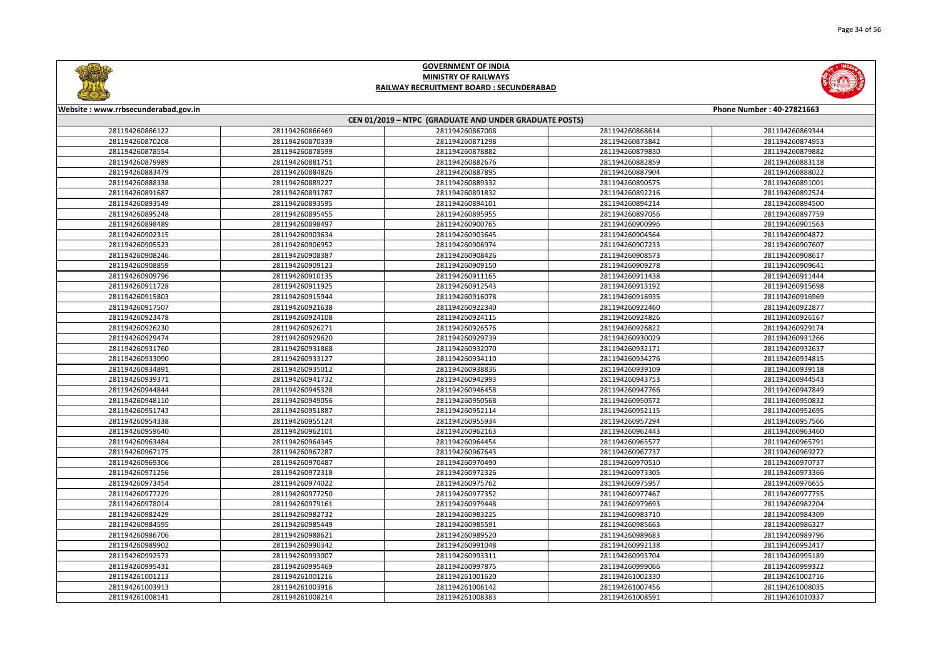

|       | Phone Number: 40-27821663 |
|-------|---------------------------|
|       |                           |
| 58614 | 281194260869344           |
| 73842 | 281194260874953           |
| 79830 | 281194260879882           |
| 32859 | 281194260883118           |
| 37904 | 281194260888022           |
| 90575 | 281194260891001           |
| 92216 | 281194260892524           |
| 94214 | 281194260894500           |
| 97056 | 281194260897759           |
| 00996 | 281194260901563           |
| 04564 | 281194260904872           |
| 07233 | 281194260907607           |
| 08573 | 281194260908617           |
| 09278 | 281194260909641           |
| 11438 | 281194260911444           |
| 13192 | 281194260915698           |
| 16935 | 281194260916969           |
| 22460 | 281194260922877           |
| 24826 | 281194260926167           |
| 26822 | 281194260929174           |
| 30029 | 281194260931266           |
| 32171 | 281194260932637           |
| 34276 | 281194260934815           |
| 39109 | 281194260939118           |
| 43753 | 281194260944543           |
| 47766 | 281194260947849           |
| 50572 | 281194260950832           |
| 52115 | 281194260952695           |
| 57294 | 281194260957566           |
| 52443 | 281194260963460           |
| 55577 | 281194260965791           |
| 57737 | 281194260969272           |
| 70510 | 281194260970737           |
| 73305 | 281194260973366           |
| 75957 | 281194260976655           |
| 77467 | 281194260977755           |
| 79693 | 281194260982204           |
| 33710 | 281194260984309           |
| 35663 | 281194260986327           |
| 39683 | 281194260989796           |
| 92138 | 281194260992417           |
| 93704 | 281194260995189           |
| 99066 | 281194260999322           |
| 02330 | 281194261002716           |
| 07456 | 281194261008035           |
| 08591 | 281194261010337           |



#### **Website : www.rrbsecunderabad.gov.in CEN 01/2019 – NTPC (GRADUATE AND UNDER GRADUATE POSTS)** 281194260866469 281194260867008 281194260868614 281194260869344 281194260870339 281194260871298 281194260873842 281194260874953 281194260878599 281194260878882 281194260879830 281194260879882 281194260881751 281194260882676 281194260882859 281194260883118 281194260884826 281194260887895 281194260887904 281194260888022 281194260889227 281194260889332 281194260890575 281194260891001 281194260891787 281194260891832 281194260892216 281194260892524 281194260893595 281194260894101 281194260894214 281194260894500 281194260895455 281194260895955 281194260897056 281194260897759 281194260898497 281194260900765 281194260900996 281194260901563 281194260903634 281194260903645 281194260904564 281194260904872 281194260906952 281194260906974 281194260907233 281194260907607 281194260908387 281194260908426 281194260908573 281194260908617 281194260909123 281194260909150 281194260909278 281194260909641 281194260910135 281194260911165 281194260911438 281194260911444 281194260911925 281194260912543 281194260913192 281194260915698 281194260915944 281194260916078 281194260916935 281194260916969 281194260921638 281194260922340 281194260922460 281194260922877 281194260924108 281194260924115 281194260924826 281194260926167 281194260926271 281194260926576 281194260926822 281194260929174 281194260929620 281194260929739 281194260930029 281194260931266 281194260931868 281194260932070 281194260932171 281194260932637 281194260933127 281194260934110 281194260934276 281194260934815 281194260935012 281194260938836 281194260939109 281194260939118 281194260941732 281194260942993 281194260943753 281194260944543 281194260945328 281194260946458 281194260947766 281194260947849 281194260949056 281194260950568 281194260950572 281194260950832 281194260951887 281194260952114 281194260952115 281194260952695 281194260955124 281194260955934 281194260957294 281194260957566 281194260962101 281194260962163 281194260962443 281194260963460 281194260964345 281194260964454 281194260965577 281194260965791 281194260967287 281194260967643 281194260967737 281194260969272 281194260970487 281194260970490 281194260970510 281194260970737 281194260972318 281194260972326 281194260973305 281194260973366 281194260974022 281194260975762 281194260975957 281194260976655 281194260977250 281194260977352 281194260977467 281194260977755 281194260979161 281194260979448 281194260979693 281194260982204 281194260982732 281194260983225 281194260983710 281194260984309 281194260985449 281194260985591 281194260985663 281194260986327 281194260988621 281194260989520 281194260989683 281194260989796 281194260990342 281194260991048 281194260992138 281194260992417 281194260993007 281194260993311 281194260993704 281194260995189 281194260995469 281194260997875 281194260999066 281194260999322 281194261001216 281194261001620 281194261002330 281194261002716 281194261003916 281194261006142 281194261007456 281194261008035 281194261008214 281194261008383 281194261008591 281194261010337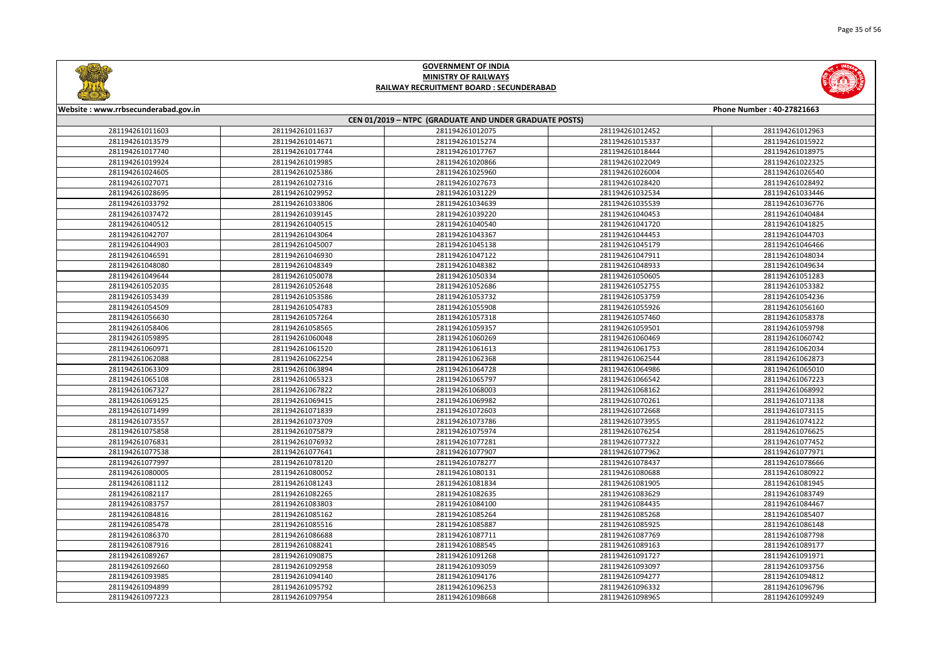



| Website: www.rrbsecunderabad.gov.in                    |                 |                 |                 | Phone Number: 40-27821663 |
|--------------------------------------------------------|-----------------|-----------------|-----------------|---------------------------|
| CEN 01/2019 - NTPC (GRADUATE AND UNDER GRADUATE POSTS) |                 |                 |                 |                           |
| 281194261011603                                        | 281194261011637 | 281194261012075 | 281194261012452 | 281194261012963           |
| 281194261013579                                        | 281194261014671 | 281194261015274 | 281194261015337 | 281194261015922           |
| 281194261017740                                        | 281194261017744 | 281194261017767 | 281194261018444 | 281194261018975           |
| 281194261019924                                        | 281194261019985 | 281194261020866 | 281194261022049 | 281194261022325           |
| 281194261024605                                        | 281194261025386 | 281194261025960 | 281194261026004 | 281194261026540           |
| 281194261027071                                        | 281194261027316 | 281194261027673 | 281194261028420 | 281194261028492           |
| 281194261028695                                        | 281194261029952 | 281194261031229 | 281194261032534 | 281194261033446           |
| 281194261033792                                        | 281194261033806 | 281194261034639 | 281194261035539 | 281194261036776           |
| 281194261037472                                        | 281194261039145 | 281194261039220 | 281194261040453 | 281194261040484           |
| 281194261040512                                        | 281194261040515 | 281194261040540 | 281194261041720 | 281194261041825           |
| 281194261042707                                        | 281194261043064 | 281194261043367 | 281194261044453 | 281194261044703           |
| 281194261044903                                        | 281194261045007 | 281194261045138 | 281194261045179 | 281194261046466           |
| 281194261046591                                        | 281194261046930 | 281194261047122 | 281194261047911 | 281194261048034           |
| 281194261048080                                        | 281194261048349 | 281194261048382 | 281194261048933 | 281194261049634           |
| 281194261049644                                        | 281194261050078 | 281194261050334 | 281194261050605 | 281194261051283           |
| 281194261052035                                        | 281194261052648 | 281194261052686 | 281194261052755 | 281194261053382           |
| 281194261053439                                        | 281194261053586 | 281194261053732 | 281194261053759 | 281194261054236           |
| 281194261054509                                        | 281194261054783 | 281194261055908 | 281194261055926 | 281194261056160           |
| 281194261056630                                        | 281194261057264 | 281194261057318 | 281194261057460 | 281194261058378           |
| 281194261058406                                        | 281194261058565 | 281194261059357 | 281194261059501 | 281194261059798           |
| 281194261059895                                        | 281194261060048 | 281194261060269 | 281194261060469 | 281194261060742           |
| 281194261060971                                        | 281194261061520 | 281194261061613 | 281194261061753 | 281194261062034           |
| 281194261062088                                        | 281194261062254 | 281194261062368 | 281194261062544 | 281194261062873           |
| 281194261063309                                        | 281194261063894 | 281194261064728 | 281194261064986 | 281194261065010           |
| 281194261065108                                        | 281194261065323 | 281194261065797 | 281194261066542 | 281194261067223           |
| 281194261067327                                        | 281194261067822 | 281194261068003 | 281194261068162 | 281194261068992           |
| 281194261069125                                        | 281194261069415 | 281194261069982 | 281194261070261 | 281194261071138           |
| 281194261071499                                        | 281194261071839 | 281194261072603 | 281194261072668 | 281194261073115           |
| 281194261073557                                        | 281194261073709 | 281194261073786 | 281194261073955 | 281194261074122           |
| 281194261075858                                        | 281194261075879 | 281194261075974 | 281194261076254 | 281194261076625           |
| 281194261076831                                        | 281194261076932 | 281194261077281 | 281194261077322 | 281194261077452           |
| 281194261077538                                        | 281194261077641 | 281194261077907 | 281194261077962 | 281194261077971           |
| 281194261077997                                        | 281194261078120 | 281194261078277 | 281194261078437 | 281194261078666           |
| 281194261080005                                        | 281194261080052 | 281194261080131 | 281194261080688 | 281194261080922           |
| 281194261081112                                        | 281194261081243 | 281194261081834 | 281194261081905 | 281194261081945           |
| 281194261082117                                        | 281194261082265 | 281194261082635 | 281194261083629 | 281194261083749           |
| 281194261083757                                        | 281194261083803 | 281194261084100 | 281194261084435 | 281194261084467           |
| 281194261084816                                        | 281194261085162 | 281194261085264 | 281194261085268 | 281194261085407           |
| 281194261085478                                        | 281194261085516 | 281194261085887 | 281194261085925 | 281194261086148           |
| 281194261086370                                        | 281194261086688 | 281194261087711 | 281194261087769 | 281194261087798           |
| 281194261087916                                        | 281194261088241 | 281194261088545 | 281194261089163 | 281194261089177           |
| 281194261089267                                        | 281194261090875 | 281194261091268 | 281194261091727 | 281194261091971           |
| 281194261092660                                        | 281194261092958 | 281194261093059 | 281194261093097 | 281194261093756           |
| 281194261093985                                        | 281194261094140 | 281194261094176 | 281194261094277 | 281194261094812           |
| 281194261094899                                        | 281194261095792 | 281194261096253 | 281194261096332 | 281194261096796           |
| 281194261097223                                        | 281194261097954 | 281194261098668 | 281194261098965 | 281194261099249           |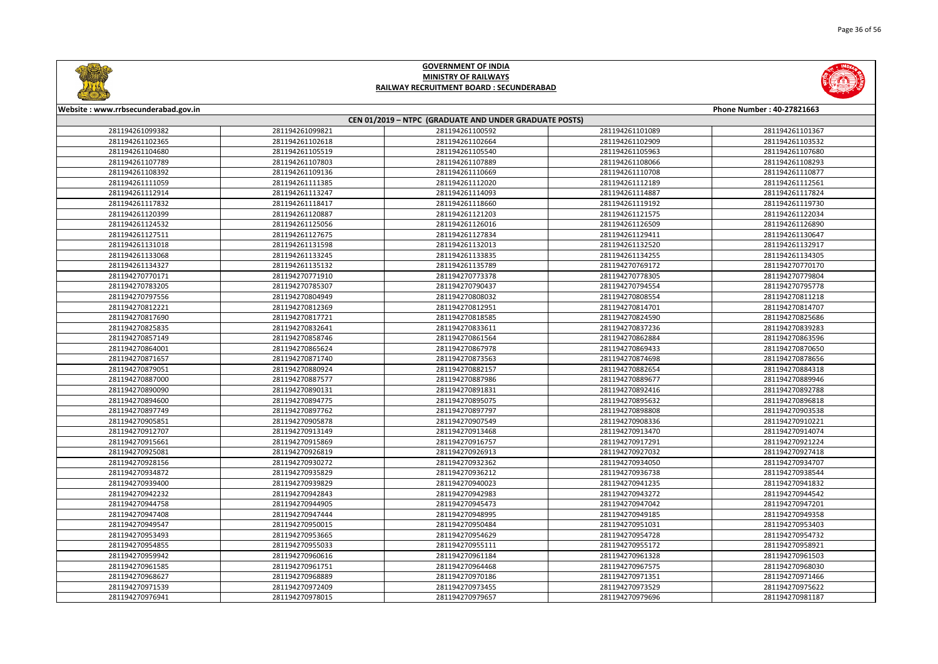

|       | Phone Number: 40-27821663 |
|-------|---------------------------|
|       |                           |
| 01089 | 281194261101367           |
| 02909 | 281194261103532           |
| 05963 | 281194261107680           |
| 08066 | 281194261108293           |
| 10708 | 281194261110877           |
| 12189 | 281194261112561           |
| 14887 | 281194261117824           |
| 19192 | 281194261119730           |
| 21575 | 281194261122034           |
| 26509 | 281194261126890           |
| 29411 | 281194261130647           |
| 32520 | 281194261132917           |
| 34255 | 281194261134305           |
| 69172 | 281194270770170           |
| 78305 | 281194270779804           |
| 94554 | 281194270795778           |
| 08554 | 281194270811218           |
| 14701 | 281194270814707           |
| 24590 | 281194270825686           |
| 37236 | 281194270839283           |
| 62884 | 281194270863596           |
| 69433 | 281194270870650           |
| 74698 | 281194270878656           |
| 82654 | 281194270884318           |
| 89677 | 281194270889946           |
| 92416 | 281194270892788           |
| 95632 | 281194270896818           |
| 98808 | 281194270903538           |
| 08336 | 281194270910221           |
| 13470 | 281194270914074           |
| 17291 | 281194270921224           |
| 27032 | 281194270927418           |
| 34050 | 281194270934707           |
| 36738 | 281194270938544           |
| 41235 | 281194270941832           |
| 43272 | 281194270944542           |
| 47042 | 281194270947201           |
| 49185 | 281194270949358           |
| 51031 | 281194270953403           |
| 54728 | 281194270954732           |
| 55172 | 281194270958921           |
| 61328 | 281194270961503           |
| 67575 | 281194270968030           |
| 71351 | 281194270971466           |
| 73529 | 281194270975622           |
| 79696 | 281194270981187           |
|       |                           |



#### **Website : www.rrbsecunderabad.gov.in CEN 01/2019 – NTPC (GRADUATE AND UNDER GRADUATE POSTS)** 281194261099821 281194261100592 281194261101089 281194261101367 281194261102618 281194261102664 281194261102909 281194261103532 281194261105519 281194261105540 281194261105963 281194261107680 281194261107803 281194261107889 281194261108066 281194261108293 281194261109136 281194261110669 281194261110708 281194261110877 281194261111385 281194261112020 281194261112189 281194261112561 281194261113247 281194261114093 281194261114887 281194261117824 281194261118417 281194261118660 281194261119192 281194261119730 281194261120887 281194261121203 281194261121575 281194261122034 281194261125056 281194261126016 281194261126509 281194261126890 281194261127675 281194261127834 281194261129411 281194261130647 281194261131598 281194261132013 281194261132520 281194261132917 281194261133245 281194261133835 281194261134255 281194261134305 281194261135132 281194261135789 281194270769172 281194270770170 281194270771910 281194270773378 281194270778305 281194270779804 281194270785307 281194270790437 281194270794554 281194270795778 281194270804949 281194270808032 281194270808554 281194270811218 281194270812369 281194270812951 281194270814701 281194270814707 281194270817721 281194270818585 281194270824590 281194270825686 281194270832641 281194270833611 281194270837236 281194270839283 281194270858746 281194270861564 281194270862884 281194270863596 281194270865624 281194270867978 281194270869433 281194270870650 281194270871740 281194270873563 281194270874698 281194270878656 281194270880924 281194270882157 281194270882654 281194270884318 281194270887577 281194270887986 281194270889677 281194270889946 281194270890131 281194270891831 281194270892416 281194270892788 281194270894775 281194270895075 281194270895632 281194270896818 281194270897762 281194270897797 281194270898808 281194270903538 281194270905878 281194270907549 281194270908336 281194270910221 281194270913149 281194270913468 281194270913470 281194270914074 281194270915869 281194270916757 281194270917291 281194270921224 281194270926819 281194270926913 281194270927032 281194270927418 281194270930272 281194270932362 281194270934050 281194270934707 281194270935829 281194270936212 281194270936738 281194270938544 281194270939829 281194270940023 281194270941235 281194270941832 281194270942843 281194270942983 281194270943272 281194270944542 281194270944905 281194270945473 281194270947042 281194270947201 281194270947444 281194270948995 281194270949185 281194270949358 281194270950015 281194270950484 281194270951031 281194270953403 281194270953665 281194270954629 281194270954728 281194270954732 281194270955033 281194270955111 281194270955172 281194270958921 281194270960616 281194270961184 281194270961328 281194270961503 281194270961751 281194270964468 281194270967575 281194270968030 281194270968889 281194270970186 281194270971351 281194270971466 281194270972409 281194270973455 281194270973529 281194270975622 281194270978015 281194270979657 281194270979696 281194270981187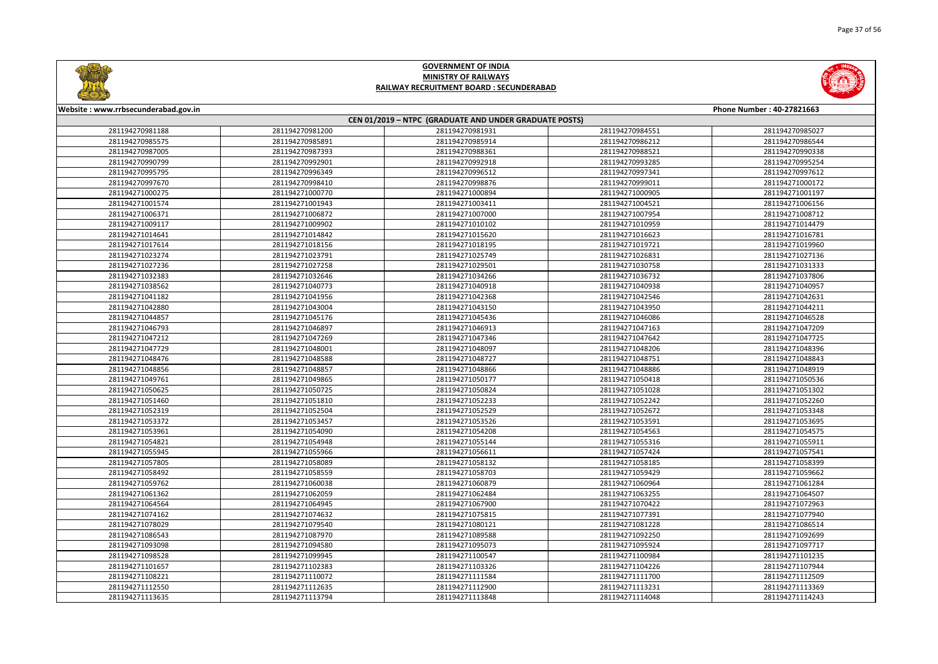



| Website: www.rrbsecunderabad.gov.in<br>Phone Number: 40-27821663 |                 |                 |                 |                 |  |  |
|------------------------------------------------------------------|-----------------|-----------------|-----------------|-----------------|--|--|
| CEN 01/2019 - NTPC (GRADUATE AND UNDER GRADUATE POSTS)           |                 |                 |                 |                 |  |  |
| 281194270981188                                                  | 281194270981200 | 281194270981931 | 281194270984551 | 281194270985027 |  |  |
| 281194270985575                                                  | 281194270985891 | 281194270985914 | 281194270986212 | 281194270986544 |  |  |
| 281194270987005                                                  | 281194270987393 | 281194270988361 | 281194270988521 | 281194270990338 |  |  |
| 281194270990799                                                  | 281194270992901 | 281194270992918 | 281194270993285 | 281194270995254 |  |  |
| 281194270995795                                                  | 281194270996349 | 281194270996512 | 281194270997341 | 281194270997612 |  |  |
| 281194270997670                                                  | 281194270998410 | 281194270998876 | 281194270999011 | 281194271000172 |  |  |
| 281194271000275                                                  | 281194271000770 | 281194271000894 | 281194271000905 | 281194271001197 |  |  |
| 281194271001574                                                  | 281194271001943 | 281194271003411 | 281194271004521 | 281194271006156 |  |  |
| 281194271006371                                                  | 281194271006872 | 281194271007000 | 281194271007954 | 281194271008712 |  |  |
| 281194271009117                                                  | 281194271009902 | 281194271010102 | 281194271010959 | 281194271014479 |  |  |
| 281194271014641                                                  | 281194271014842 | 281194271015620 | 281194271016623 | 281194271016781 |  |  |
| 281194271017614                                                  | 281194271018156 | 281194271018195 | 281194271019721 | 281194271019960 |  |  |
| 281194271023274                                                  | 281194271023791 | 281194271025749 | 281194271026831 | 281194271027136 |  |  |
| 281194271027236                                                  | 281194271027258 | 281194271029501 | 281194271030758 | 281194271031333 |  |  |
| 281194271032383                                                  | 281194271032646 | 281194271034266 | 281194271036732 | 281194271037806 |  |  |
| 281194271038562                                                  | 281194271040773 | 281194271040918 | 281194271040938 | 281194271040957 |  |  |
| 281194271041182                                                  | 281194271041956 | 281194271042368 | 281194271042546 | 281194271042631 |  |  |
| 281194271042880                                                  | 281194271043004 | 281194271043150 | 281194271043950 | 281194271044211 |  |  |
| 281194271044857                                                  | 281194271045176 | 281194271045436 | 281194271046086 | 281194271046528 |  |  |
| 281194271046793                                                  | 281194271046897 | 281194271046913 | 281194271047163 | 281194271047209 |  |  |
| 281194271047212                                                  | 281194271047269 | 281194271047346 | 281194271047642 | 281194271047725 |  |  |
| 281194271047729                                                  | 281194271048001 | 281194271048097 | 281194271048206 | 281194271048396 |  |  |
| 281194271048476                                                  | 281194271048588 | 281194271048727 | 281194271048751 | 281194271048843 |  |  |
| 281194271048856                                                  | 281194271048857 | 281194271048866 | 281194271048886 | 281194271048919 |  |  |
| 281194271049761                                                  | 281194271049865 | 281194271050177 | 281194271050418 | 281194271050536 |  |  |
| 281194271050625                                                  | 281194271050725 | 281194271050824 | 281194271051028 | 281194271051302 |  |  |
| 281194271051460                                                  | 281194271051810 | 281194271052233 | 281194271052242 | 281194271052260 |  |  |
| 281194271052319                                                  | 281194271052504 | 281194271052529 | 281194271052672 | 281194271053348 |  |  |
| 281194271053372                                                  | 281194271053457 | 281194271053526 | 281194271053591 | 281194271053695 |  |  |
| 281194271053961                                                  | 281194271054090 | 281194271054208 | 281194271054563 | 281194271054575 |  |  |
| 281194271054821                                                  | 281194271054948 | 281194271055144 | 281194271055316 | 281194271055911 |  |  |
| 281194271055945                                                  | 281194271055966 | 281194271056611 | 281194271057424 | 281194271057541 |  |  |
| 281194271057805                                                  | 281194271058089 | 281194271058132 | 281194271058185 | 281194271058399 |  |  |
| 281194271058492                                                  | 281194271058559 | 281194271058703 | 281194271059429 | 281194271059662 |  |  |
| 281194271059762                                                  | 281194271060038 | 281194271060879 | 281194271060964 | 281194271061284 |  |  |
| 281194271061362                                                  | 281194271062059 | 281194271062484 | 281194271063255 | 281194271064507 |  |  |
| 281194271064564                                                  | 281194271064945 | 281194271067900 | 281194271070422 | 281194271072963 |  |  |
| 281194271074162                                                  | 281194271074632 | 281194271075815 | 281194271077391 | 281194271077940 |  |  |
| 281194271078029                                                  | 281194271079540 | 281194271080121 | 281194271081228 | 281194271086514 |  |  |
| 281194271086543                                                  | 281194271087970 | 281194271089588 | 281194271092250 | 281194271092699 |  |  |
| 281194271093098                                                  | 281194271094580 | 281194271095073 | 281194271095924 | 281194271097717 |  |  |
| 281194271098528                                                  | 281194271099945 | 281194271100547 | 281194271100984 | 281194271101235 |  |  |
| 281194271101657                                                  | 281194271102383 | 281194271103326 | 281194271104226 | 281194271107944 |  |  |
| 281194271108221                                                  | 281194271110072 | 281194271111584 | 281194271111700 | 281194271112509 |  |  |
| 281194271112550                                                  | 281194271112635 | 281194271112900 | 281194271113231 | 281194271113369 |  |  |
| 281194271113635                                                  | 281194271113794 | 281194271113848 | 281194271114048 | 281194271114243 |  |  |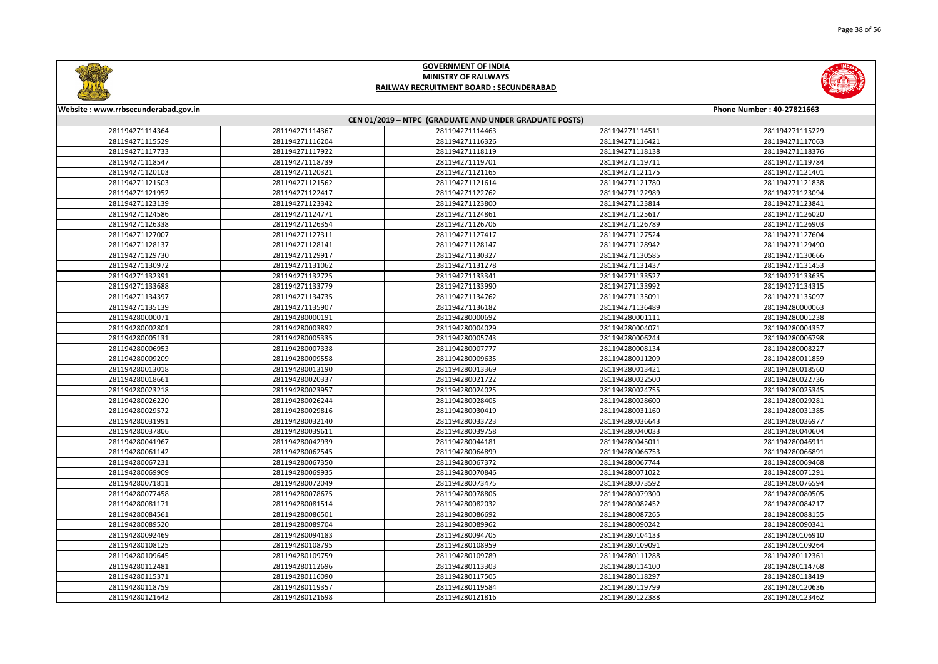



| Website: www.rrbsecunderabad.gov.in |                 |                                                        |                 | Phone Number: 40-27821663 |
|-------------------------------------|-----------------|--------------------------------------------------------|-----------------|---------------------------|
|                                     |                 | CEN 01/2019 - NTPC (GRADUATE AND UNDER GRADUATE POSTS) |                 |                           |
| 281194271114364                     | 281194271114367 | 281194271114463                                        | 281194271114511 | 281194271115229           |
| 281194271115529                     | 281194271116204 | 281194271116326                                        | 281194271116421 | 281194271117063           |
| 281194271117733                     | 281194271117922 | 281194271118119                                        | 281194271118138 | 281194271118376           |
| 281194271118547                     | 281194271118739 | 281194271119701                                        | 281194271119711 | 281194271119784           |
| 281194271120103                     | 281194271120321 | 281194271121165                                        | 281194271121175 | 281194271121401           |
| 281194271121503                     | 281194271121562 | 281194271121614                                        | 281194271121780 | 281194271121838           |
| 281194271121952                     | 281194271122417 | 281194271122762                                        | 281194271122989 | 281194271123094           |
| 281194271123139                     | 281194271123342 | 281194271123800                                        | 281194271123814 | 281194271123841           |
| 281194271124586                     | 281194271124771 | 281194271124861                                        | 281194271125617 | 281194271126020           |
| 281194271126338                     | 281194271126354 | 281194271126706                                        | 281194271126789 | 281194271126903           |
| 281194271127007                     | 281194271127311 | 281194271127417                                        | 281194271127524 | 281194271127604           |
| 281194271128137                     | 281194271128141 | 281194271128147                                        | 281194271128942 | 281194271129490           |
| 281194271129730                     | 281194271129917 | 281194271130327                                        | 281194271130585 | 281194271130666           |
| 281194271130972                     | 281194271131062 | 281194271131278                                        | 281194271131437 | 281194271131453           |
| 281194271132391                     | 281194271132725 | 281194271133341                                        | 281194271133527 | 281194271133635           |
| 281194271133688                     | 281194271133779 | 281194271133990                                        | 281194271133992 | 281194271134315           |
| 281194271134397                     | 281194271134735 | 281194271134762                                        | 281194271135091 | 281194271135097           |
| 281194271135139                     | 281194271135907 | 281194271136182                                        | 281194271136489 | 281194280000063           |
| 281194280000071                     | 281194280000191 | 281194280000692                                        | 281194280001111 | 281194280001238           |
| 281194280002801                     | 281194280003892 | 281194280004029                                        | 281194280004071 | 281194280004357           |
| 281194280005131                     | 281194280005335 | 281194280005743                                        | 281194280006244 | 281194280006798           |
| 281194280006953                     | 281194280007338 | 281194280007777                                        | 281194280008134 | 281194280008227           |
| 281194280009209                     | 281194280009558 | 281194280009635                                        | 281194280011209 | 281194280011859           |
| 281194280013018                     | 281194280013190 | 281194280013369                                        | 281194280013421 | 281194280018560           |
| 281194280018661                     | 281194280020337 | 281194280021722                                        | 281194280022500 | 281194280022736           |
| 281194280023218                     | 281194280023957 | 281194280024025                                        | 281194280024755 | 281194280025345           |
| 281194280026220                     | 281194280026244 | 281194280028405                                        | 281194280028600 | 281194280029281           |
| 281194280029572                     | 281194280029816 | 281194280030419                                        | 281194280031160 | 281194280031385           |
| 281194280031991                     | 281194280032140 | 281194280033723                                        | 281194280036643 | 281194280036977           |
| 281194280037806                     | 281194280039611 | 281194280039758                                        | 281194280040033 | 281194280040604           |
| 281194280041967                     | 281194280042939 | 281194280044181                                        | 281194280045011 | 281194280046911           |
| 281194280061142                     | 281194280062545 | 281194280064899                                        | 281194280066753 | 281194280066891           |
| 281194280067231                     | 281194280067350 | 281194280067372                                        | 281194280067744 | 281194280069468           |
| 281194280069909                     | 281194280069935 | 281194280070846                                        | 281194280071022 | 281194280071291           |
| 281194280071811                     | 281194280072049 | 281194280073475                                        | 281194280073592 | 281194280076594           |
| 281194280077458                     | 281194280078675 | 281194280078806                                        | 281194280079300 | 281194280080505           |
| 281194280081171                     | 281194280081514 | 281194280082032                                        | 281194280082452 | 281194280084217           |
| 281194280084561                     | 281194280086501 | 281194280086692                                        | 281194280087265 | 281194280088155           |
| 281194280089520                     | 281194280089704 | 281194280089962                                        | 281194280090242 | 281194280090341           |
| 281194280092469                     | 281194280094183 | 281194280094705                                        | 281194280104133 | 281194280106910           |
| 281194280108125                     | 281194280108795 | 281194280108959                                        | 281194280109091 | 281194280109264           |
| 281194280109645                     | 281194280109759 | 281194280109789                                        | 281194280111288 | 281194280112361           |
| 281194280112481                     | 281194280112696 | 281194280113303                                        | 281194280114100 | 281194280114768           |
| 281194280115371                     | 281194280116090 | 281194280117505                                        | 281194280118297 | 281194280118419           |
| 281194280118759                     | 281194280119357 | 281194280119584                                        | 281194280119799 | 281194280120636           |
| 281194280121642                     | 281194280121698 | 281194280121816                                        | 281194280122388 | 281194280123462           |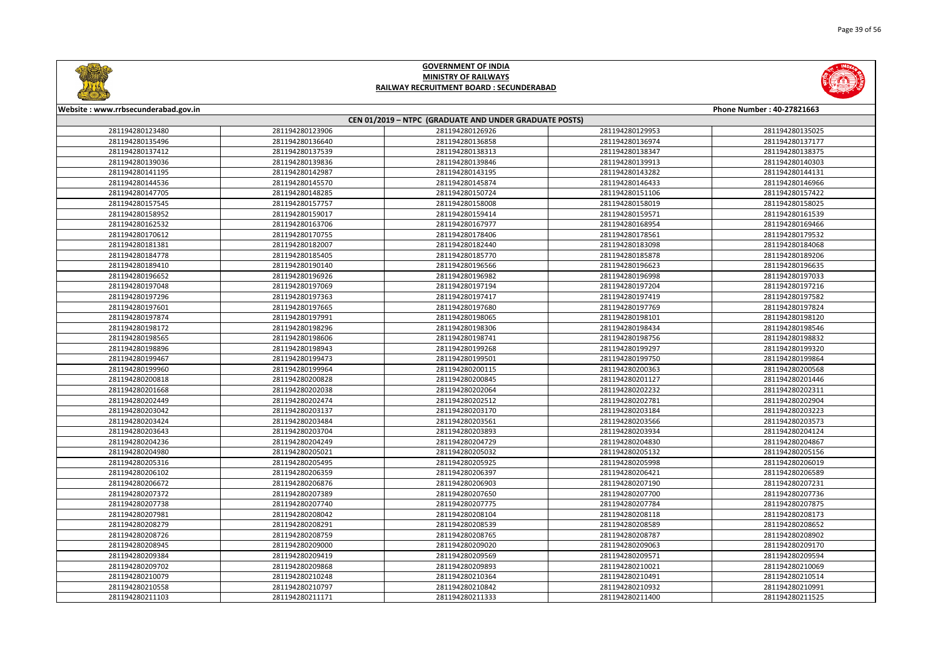



| Website: www.rrbsecunderabad.gov.in<br>Phone Number: 40-27821663 |                                                        |                 |                 |                 |  |  |
|------------------------------------------------------------------|--------------------------------------------------------|-----------------|-----------------|-----------------|--|--|
|                                                                  | CEN 01/2019 - NTPC (GRADUATE AND UNDER GRADUATE POSTS) |                 |                 |                 |  |  |
| 281194280123480                                                  | 281194280123906                                        | 281194280126926 | 281194280129953 | 281194280135025 |  |  |
| 281194280135496                                                  | 281194280136640                                        | 281194280136858 | 281194280136974 | 281194280137177 |  |  |
| 281194280137412                                                  | 281194280137539                                        | 281194280138313 | 281194280138347 | 281194280138375 |  |  |
| 281194280139036                                                  | 281194280139836                                        | 281194280139846 | 281194280139913 | 281194280140303 |  |  |
| 281194280141195                                                  | 281194280142987                                        | 281194280143195 | 281194280143282 | 281194280144131 |  |  |
| 281194280144536                                                  | 281194280145570                                        | 281194280145874 | 281194280146433 | 281194280146966 |  |  |
| 281194280147705                                                  | 281194280148285                                        | 281194280150724 | 281194280151106 | 281194280157422 |  |  |
| 281194280157545                                                  | 281194280157757                                        | 281194280158008 | 281194280158019 | 281194280158025 |  |  |
| 281194280158952                                                  | 281194280159017                                        | 281194280159414 | 281194280159571 | 281194280161539 |  |  |
| 281194280162532                                                  | 281194280163706                                        | 281194280167977 | 281194280168954 | 281194280169466 |  |  |
| 281194280170612                                                  | 281194280170755                                        | 281194280178406 | 281194280178561 | 281194280179532 |  |  |
| 281194280181381                                                  | 281194280182007                                        | 281194280182440 | 281194280183098 | 281194280184068 |  |  |
| 281194280184778                                                  | 281194280185405                                        | 281194280185770 | 281194280185878 | 281194280189206 |  |  |
| 281194280189410                                                  | 281194280190140                                        | 281194280196566 | 281194280196623 | 281194280196635 |  |  |
| 281194280196652                                                  | 281194280196926                                        | 281194280196982 | 281194280196998 | 281194280197033 |  |  |
| 281194280197048                                                  | 281194280197069                                        | 281194280197194 | 281194280197204 | 281194280197216 |  |  |
| 281194280197296                                                  | 281194280197363                                        | 281194280197417 | 281194280197419 | 281194280197582 |  |  |
| 281194280197601                                                  | 281194280197665                                        | 281194280197680 | 281194280197769 | 281194280197824 |  |  |
| 281194280197874                                                  | 281194280197991                                        | 281194280198065 | 281194280198101 | 281194280198120 |  |  |
| 281194280198172                                                  | 281194280198296                                        | 281194280198306 | 281194280198434 | 281194280198546 |  |  |
| 281194280198565                                                  | 281194280198606                                        | 281194280198741 | 281194280198756 | 281194280198832 |  |  |
| 281194280198896                                                  | 281194280198943                                        | 281194280199268 | 281194280199297 | 281194280199320 |  |  |
| 281194280199467                                                  | 281194280199473                                        | 281194280199501 | 281194280199750 | 281194280199864 |  |  |
| 281194280199960                                                  | 281194280199964                                        | 281194280200115 | 281194280200363 | 281194280200568 |  |  |
| 281194280200818                                                  | 281194280200828                                        | 281194280200845 | 281194280201127 | 281194280201446 |  |  |
| 281194280201668                                                  | 281194280202038                                        | 281194280202064 | 281194280202232 | 281194280202311 |  |  |
| 281194280202449                                                  | 281194280202474                                        | 281194280202512 | 281194280202781 | 281194280202904 |  |  |
| 281194280203042                                                  | 281194280203137                                        | 281194280203170 | 281194280203184 | 281194280203223 |  |  |
| 281194280203424                                                  | 281194280203484                                        | 281194280203561 | 281194280203566 | 281194280203573 |  |  |
| 281194280203643                                                  | 281194280203704                                        | 281194280203893 | 281194280203934 | 281194280204124 |  |  |
| 281194280204236                                                  | 281194280204249                                        | 281194280204729 | 281194280204830 | 281194280204867 |  |  |
| 281194280204980                                                  | 281194280205021                                        | 281194280205032 | 281194280205132 | 281194280205156 |  |  |
| 281194280205316                                                  | 281194280205495                                        | 281194280205925 | 281194280205998 | 281194280206019 |  |  |
| 281194280206102                                                  | 281194280206359                                        | 281194280206397 | 281194280206421 | 281194280206589 |  |  |
| 281194280206672                                                  | 281194280206876                                        | 281194280206903 | 281194280207190 | 281194280207231 |  |  |
| 281194280207372                                                  | 281194280207389                                        | 281194280207650 | 281194280207700 | 281194280207736 |  |  |
| 281194280207738                                                  | 281194280207740                                        | 281194280207775 | 281194280207784 | 281194280207875 |  |  |
| 281194280207981                                                  | 281194280208042                                        | 281194280208104 | 281194280208118 | 281194280208173 |  |  |
| 281194280208279                                                  | 281194280208291                                        | 281194280208539 | 281194280208589 | 281194280208652 |  |  |
| 281194280208726                                                  | 281194280208759                                        | 281194280208765 | 281194280208787 | 281194280208902 |  |  |
| 281194280208945                                                  | 281194280209000                                        | 281194280209020 | 281194280209063 | 281194280209170 |  |  |
| 281194280209384                                                  | 281194280209419                                        | 281194280209569 | 281194280209571 | 281194280209594 |  |  |
| 281194280209702                                                  | 281194280209868                                        | 281194280209893 | 281194280210021 | 281194280210069 |  |  |
| 281194280210079                                                  | 281194280210248                                        | 281194280210364 | 281194280210491 | 281194280210514 |  |  |
| 281194280210558                                                  | 281194280210797                                        | 281194280210842 | 281194280210932 | 281194280210991 |  |  |
| 281194280211103                                                  | 281194280211171                                        | 281194280211333 | 281194280211400 | 281194280211525 |  |  |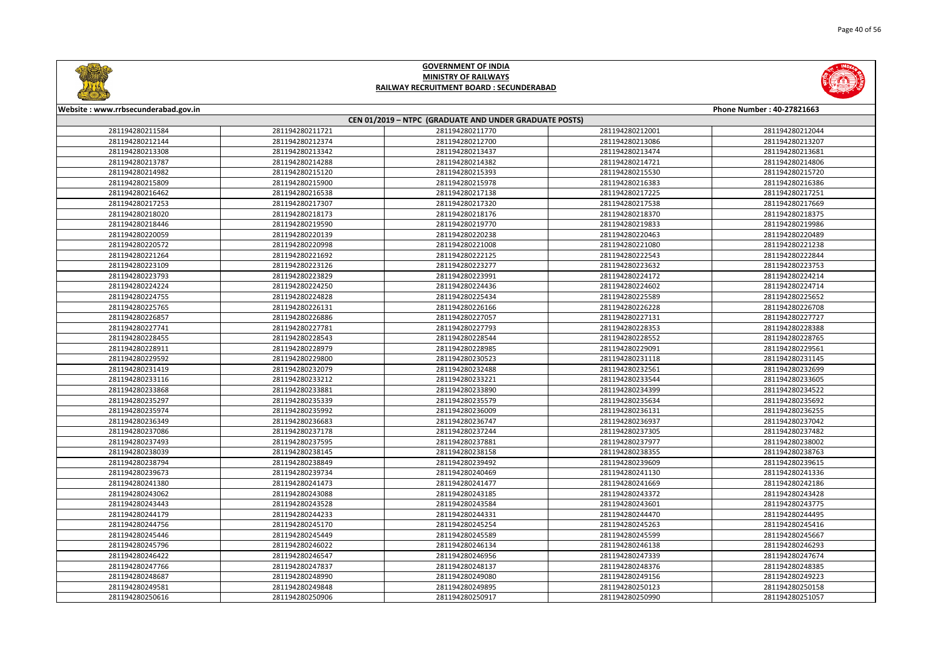



| Website: www.rrbsecunderabad.gov.in                    |                 |                 |                 | Phone Number: 40-27821663 |  |
|--------------------------------------------------------|-----------------|-----------------|-----------------|---------------------------|--|
| CEN 01/2019 - NTPC (GRADUATE AND UNDER GRADUATE POSTS) |                 |                 |                 |                           |  |
| 281194280211584                                        | 281194280211721 | 281194280211770 | 281194280212001 | 281194280212044           |  |
| 281194280212144                                        | 281194280212374 | 281194280212700 | 281194280213086 | 281194280213207           |  |
| 281194280213308                                        | 281194280213342 | 281194280213437 | 281194280213474 | 281194280213681           |  |
| 281194280213787                                        | 281194280214288 | 281194280214382 | 281194280214721 | 281194280214806           |  |
| 281194280214982                                        | 281194280215120 | 281194280215393 | 281194280215530 | 281194280215720           |  |
| 281194280215809                                        | 281194280215900 | 281194280215978 | 281194280216383 | 281194280216386           |  |
| 281194280216462                                        | 281194280216538 | 281194280217138 | 281194280217225 | 281194280217251           |  |
| 281194280217253                                        | 281194280217307 | 281194280217320 | 281194280217538 | 281194280217669           |  |
| 281194280218020                                        | 281194280218173 | 281194280218176 | 281194280218370 | 281194280218375           |  |
| 281194280218446                                        | 281194280219590 | 281194280219770 | 281194280219833 | 281194280219986           |  |
| 281194280220059                                        | 281194280220139 | 281194280220238 | 281194280220463 | 281194280220489           |  |
| 281194280220572                                        | 281194280220998 | 281194280221008 | 281194280221080 | 281194280221238           |  |
| 281194280221264                                        | 281194280221692 | 281194280222125 | 281194280222543 | 281194280222844           |  |
| 281194280223109                                        | 281194280223126 | 281194280223277 | 281194280223632 | 281194280223753           |  |
| 281194280223793                                        | 281194280223829 | 281194280223991 | 281194280224172 | 281194280224214           |  |
| 281194280224224                                        | 281194280224250 | 281194280224436 | 281194280224602 | 281194280224714           |  |
| 281194280224755                                        | 281194280224828 | 281194280225434 | 281194280225589 | 281194280225652           |  |
| 281194280225765                                        | 281194280226131 | 281194280226166 | 281194280226228 | 281194280226708           |  |
| 281194280226857                                        | 281194280226886 | 281194280227057 | 281194280227131 | 281194280227727           |  |
| 281194280227741                                        | 281194280227781 | 281194280227793 | 281194280228353 | 281194280228388           |  |
| 281194280228455                                        | 281194280228543 | 281194280228544 | 281194280228552 | 281194280228765           |  |
| 281194280228911                                        | 281194280228979 | 281194280228985 | 281194280229091 | 281194280229561           |  |
| 281194280229592                                        | 281194280229800 | 281194280230523 | 281194280231118 | 281194280231145           |  |
| 281194280231419                                        | 281194280232079 | 281194280232488 | 281194280232561 | 281194280232699           |  |
| 281194280233116                                        | 281194280233212 | 281194280233221 | 281194280233544 | 281194280233605           |  |
| 281194280233868                                        | 281194280233881 | 281194280233890 | 281194280234399 | 281194280234522           |  |
| 281194280235297                                        | 281194280235339 | 281194280235579 | 281194280235634 | 281194280235692           |  |
| 281194280235974                                        | 281194280235992 | 281194280236009 | 281194280236131 | 281194280236255           |  |
| 281194280236349                                        | 281194280236683 | 281194280236747 | 281194280236937 | 281194280237042           |  |
| 281194280237086                                        | 281194280237178 | 281194280237244 | 281194280237305 | 281194280237482           |  |
| 281194280237493                                        | 281194280237595 | 281194280237881 | 281194280237977 | 281194280238002           |  |
| 281194280238039                                        | 281194280238145 | 281194280238158 | 281194280238355 | 281194280238763           |  |
| 281194280238794                                        | 281194280238849 | 281194280239492 | 281194280239609 | 281194280239615           |  |
| 281194280239673                                        | 281194280239734 | 281194280240469 | 281194280241130 | 281194280241336           |  |
| 281194280241380                                        | 281194280241473 | 281194280241477 | 281194280241669 | 281194280242186           |  |
| 281194280243062                                        | 281194280243088 | 281194280243185 | 281194280243372 | 281194280243428           |  |
| 281194280243443                                        | 281194280243528 | 281194280243584 | 281194280243601 | 281194280243775           |  |
| 281194280244179                                        | 281194280244233 | 281194280244331 | 281194280244470 | 281194280244495           |  |
| 281194280244756                                        | 281194280245170 | 281194280245254 | 281194280245263 | 281194280245416           |  |
| 281194280245446                                        | 281194280245449 | 281194280245589 | 281194280245599 | 281194280245667           |  |
| 281194280245796                                        | 281194280246022 | 281194280246134 | 281194280246138 | 281194280246293           |  |
| 281194280246422                                        | 281194280246547 | 281194280246956 | 281194280247339 | 281194280247674           |  |
| 281194280247766                                        | 281194280247837 | 281194280248137 | 281194280248376 | 281194280248385           |  |
| 281194280248687                                        | 281194280248990 | 281194280249080 | 281194280249156 | 281194280249223           |  |
| 281194280249581                                        | 281194280249848 | 281194280249895 | 281194280250123 | 281194280250158           |  |
| 281194280250616                                        | 281194280250906 | 281194280250917 | 281194280250990 | 281194280251057           |  |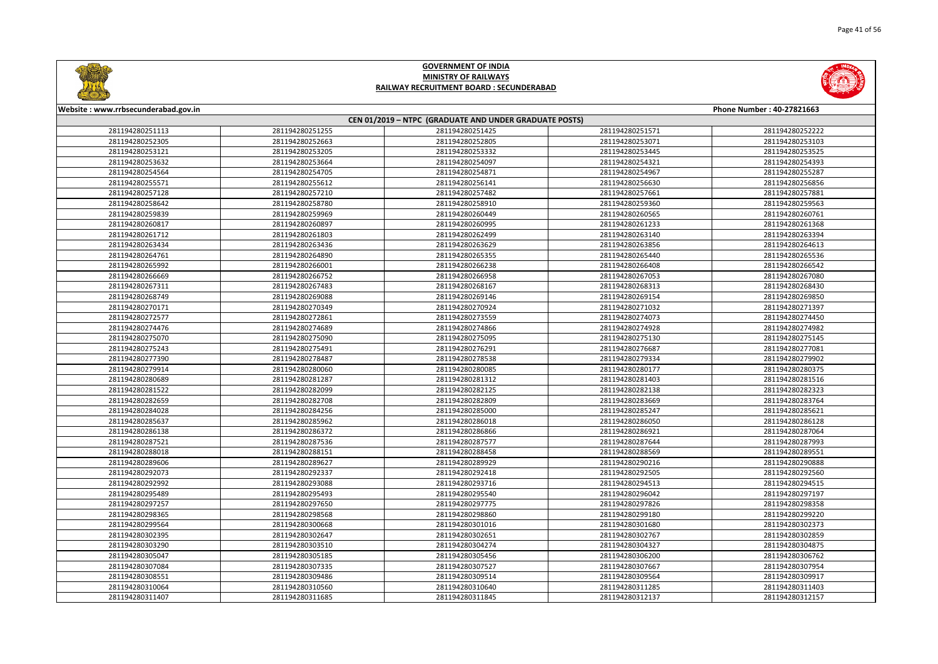



| Website: www.rrbsecunderabad.gov.in<br>Phone Number: 40-27821663<br>CEN 01/2019 - NTPC (GRADUATE AND UNDER GRADUATE POSTS) |                 |                 |                 |                 |  |
|----------------------------------------------------------------------------------------------------------------------------|-----------------|-----------------|-----------------|-----------------|--|
|                                                                                                                            |                 |                 |                 |                 |  |
| 281194280252305                                                                                                            | 281194280252663 | 281194280252805 | 281194280253071 | 281194280253103 |  |
| 281194280253121                                                                                                            | 281194280253205 | 281194280253332 | 281194280253445 | 281194280253525 |  |
| 281194280253632                                                                                                            | 281194280253664 | 281194280254097 | 281194280254321 | 281194280254393 |  |
| 281194280254564                                                                                                            | 281194280254705 | 281194280254871 | 281194280254967 | 281194280255287 |  |
| 281194280255571                                                                                                            | 281194280255612 | 281194280256141 | 281194280256630 | 281194280256856 |  |
| 281194280257128                                                                                                            | 281194280257210 | 281194280257482 | 281194280257661 | 281194280257881 |  |
| 281194280258642                                                                                                            | 281194280258780 | 281194280258910 | 281194280259360 | 281194280259563 |  |
| 281194280259839                                                                                                            | 281194280259969 | 281194280260449 | 281194280260565 | 281194280260761 |  |
| 281194280260817                                                                                                            | 281194280260897 | 281194280260995 | 281194280261233 | 281194280261368 |  |
| 281194280261712                                                                                                            | 281194280261803 | 281194280262499 | 281194280263140 | 281194280263394 |  |
| 281194280263434                                                                                                            | 281194280263436 | 281194280263629 | 281194280263856 | 281194280264613 |  |
| 281194280264761                                                                                                            | 281194280264890 | 281194280265355 | 281194280265440 | 281194280265536 |  |
| 281194280265992                                                                                                            | 281194280266001 | 281194280266238 | 281194280266408 | 281194280266542 |  |
| 281194280266669                                                                                                            | 281194280266752 | 281194280266958 | 281194280267053 | 281194280267080 |  |
| 281194280267311                                                                                                            | 281194280267483 | 281194280268167 | 281194280268313 | 281194280268430 |  |
| 281194280268749                                                                                                            | 281194280269088 | 281194280269146 | 281194280269154 | 281194280269850 |  |
| 281194280270171                                                                                                            | 281194280270349 | 281194280270924 | 281194280271032 | 281194280271397 |  |
| 281194280272577                                                                                                            | 281194280272861 | 281194280273559 | 281194280274073 | 281194280274450 |  |
| 281194280274476                                                                                                            | 281194280274689 | 281194280274866 | 281194280274928 | 281194280274982 |  |
| 281194280275070                                                                                                            | 281194280275090 | 281194280275095 | 281194280275130 | 281194280275145 |  |
| 281194280275243                                                                                                            | 281194280275491 | 281194280276291 | 281194280276687 | 281194280277081 |  |
| 281194280277390                                                                                                            | 281194280278487 | 281194280278538 | 281194280279334 | 281194280279902 |  |
| 281194280279914                                                                                                            | 281194280280060 | 281194280280085 | 281194280280177 | 281194280280375 |  |
| 281194280280689                                                                                                            | 281194280281287 | 281194280281312 | 281194280281403 | 281194280281516 |  |
| 281194280281522                                                                                                            | 281194280282099 | 281194280282125 | 281194280282138 | 281194280282323 |  |
| 281194280282659                                                                                                            | 281194280282708 | 281194280282809 | 281194280283669 | 281194280283764 |  |
| 281194280284028                                                                                                            | 281194280284256 | 281194280285000 | 281194280285247 | 281194280285621 |  |
| 281194280285637                                                                                                            | 281194280285962 | 281194280286018 | 281194280286050 | 281194280286128 |  |
| 281194280286138                                                                                                            | 281194280286372 | 281194280286866 | 281194280286921 | 281194280287064 |  |
| 281194280287521                                                                                                            | 281194280287536 | 281194280287577 | 281194280287644 | 281194280287993 |  |
| 281194280288018                                                                                                            | 281194280288151 | 281194280288458 | 281194280288569 | 281194280289551 |  |
| 281194280289606                                                                                                            | 281194280289627 | 281194280289929 | 281194280290216 | 281194280290888 |  |
| 281194280292073                                                                                                            | 281194280292337 | 281194280292418 | 281194280292505 | 281194280292560 |  |
| 281194280292992                                                                                                            | 281194280293088 | 281194280293716 | 281194280294513 | 281194280294515 |  |
| 281194280295489                                                                                                            | 281194280295493 | 281194280295540 | 281194280296042 | 281194280297197 |  |
| 281194280297257                                                                                                            | 281194280297650 | 281194280297775 | 281194280297826 | 281194280298358 |  |
| 281194280298365                                                                                                            | 281194280298568 | 281194280298860 | 281194280299180 | 281194280299220 |  |
| 281194280299564                                                                                                            | 281194280300668 | 281194280301016 | 281194280301680 | 281194280302373 |  |
| 281194280302395                                                                                                            | 281194280302647 | 281194280302651 | 281194280302767 | 281194280302859 |  |
| 281194280303290                                                                                                            | 281194280303510 | 281194280304274 | 281194280304327 | 281194280304875 |  |
| 281194280305047                                                                                                            | 281194280305185 | 281194280305456 | 281194280306200 | 281194280306762 |  |
| 281194280307084                                                                                                            | 281194280307335 | 281194280307527 | 281194280307667 | 281194280307954 |  |
| 281194280308551                                                                                                            | 281194280309486 | 281194280309514 | 281194280309564 | 281194280309917 |  |
| 281194280310064                                                                                                            | 281194280310560 | 281194280310640 | 281194280311285 | 281194280311403 |  |
| 281194280311407                                                                                                            | 281194280311685 | 281194280311845 | 281194280312137 | 281194280312157 |  |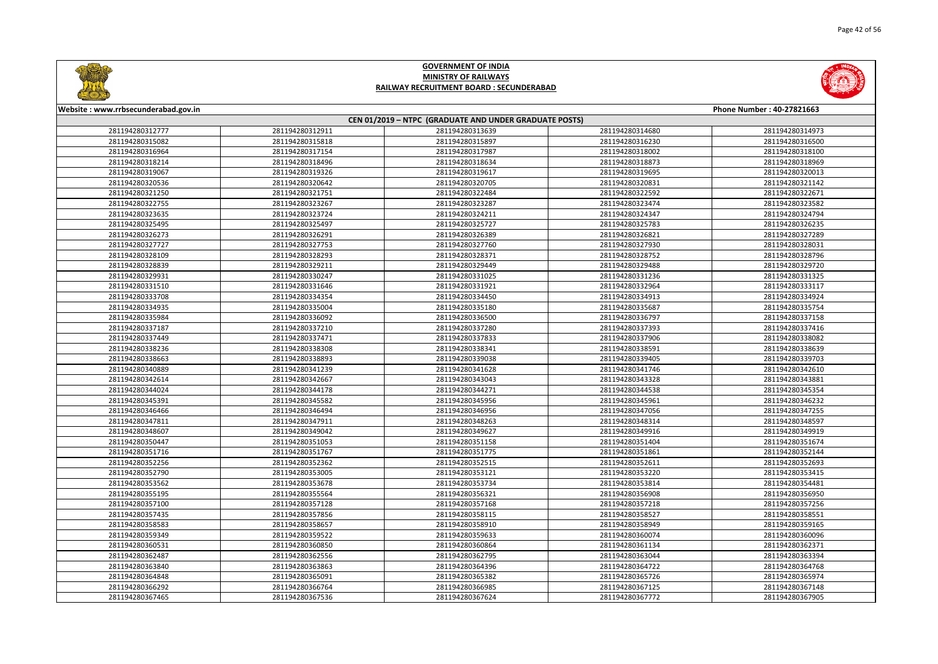



| Website: www.rrbsecunderabad.gov.in |                                                        |                 |                 | Phone Number: 40-27821663 |  |  |  |
|-------------------------------------|--------------------------------------------------------|-----------------|-----------------|---------------------------|--|--|--|
|                                     | CEN 01/2019 - NTPC (GRADUATE AND UNDER GRADUATE POSTS) |                 |                 |                           |  |  |  |
| 281194280312777                     | 281194280312911                                        | 281194280313639 | 281194280314680 | 281194280314973           |  |  |  |
| 281194280315082                     | 281194280315818                                        | 281194280315897 | 281194280316230 | 281194280316500           |  |  |  |
| 281194280316964                     | 281194280317154                                        | 281194280317987 | 281194280318002 | 281194280318100           |  |  |  |
| 281194280318214                     | 281194280318496                                        | 281194280318634 | 281194280318873 | 281194280318969           |  |  |  |
| 281194280319067                     | 281194280319326                                        | 281194280319617 | 281194280319695 | 281194280320013           |  |  |  |
| 281194280320536                     | 281194280320642                                        | 281194280320705 | 281194280320831 | 281194280321142           |  |  |  |
| 281194280321250                     | 281194280321751                                        | 281194280322484 | 281194280322592 | 281194280322671           |  |  |  |
| 281194280322755                     | 281194280323267                                        | 281194280323287 | 281194280323474 | 281194280323582           |  |  |  |
| 281194280323635                     | 281194280323724                                        | 281194280324211 | 281194280324347 | 281194280324794           |  |  |  |
| 281194280325495                     | 281194280325497                                        | 281194280325727 | 281194280325783 | 281194280326235           |  |  |  |
| 281194280326273                     | 281194280326291                                        | 281194280326389 | 281194280326821 | 281194280327289           |  |  |  |
| 281194280327727                     | 281194280327753                                        | 281194280327760 | 281194280327930 | 281194280328031           |  |  |  |
| 281194280328109                     | 281194280328293                                        | 281194280328371 | 281194280328752 | 281194280328796           |  |  |  |
| 281194280328839                     | 281194280329211                                        | 281194280329449 | 281194280329488 | 281194280329720           |  |  |  |
| 281194280329931                     | 281194280330247                                        | 281194280331025 | 281194280331236 | 281194280331325           |  |  |  |
| 281194280331510                     | 281194280331646                                        | 281194280331921 | 281194280332964 | 281194280333117           |  |  |  |
| 281194280333708                     | 281194280334354                                        | 281194280334450 | 281194280334913 | 281194280334924           |  |  |  |
| 281194280334935                     | 281194280335004                                        | 281194280335180 | 281194280335687 | 281194280335754           |  |  |  |
| 281194280335984                     | 281194280336092                                        | 281194280336500 | 281194280336797 | 281194280337158           |  |  |  |
| 281194280337187                     | 281194280337210                                        | 281194280337280 | 281194280337393 | 281194280337416           |  |  |  |
| 281194280337449                     | 281194280337471                                        | 281194280337833 | 281194280337906 | 281194280338082           |  |  |  |
| 281194280338236                     | 281194280338308                                        | 281194280338341 | 281194280338591 | 281194280338639           |  |  |  |
| 281194280338663                     | 281194280338893                                        | 281194280339038 | 281194280339405 | 281194280339703           |  |  |  |
| 281194280340889                     | 281194280341239                                        | 281194280341628 | 281194280341746 | 281194280342610           |  |  |  |
| 281194280342614                     | 281194280342667                                        | 281194280343043 | 281194280343328 | 281194280343881           |  |  |  |
| 281194280344024                     | 281194280344178                                        | 281194280344271 | 281194280344538 | 281194280345354           |  |  |  |
| 281194280345391                     | 281194280345582                                        | 281194280345956 | 281194280345961 | 281194280346232           |  |  |  |
| 281194280346466                     | 281194280346494                                        | 281194280346956 | 281194280347056 | 281194280347255           |  |  |  |
| 281194280347811                     | 281194280347911                                        | 281194280348263 | 281194280348314 | 281194280348597           |  |  |  |
| 281194280348607                     | 281194280349042                                        | 281194280349627 | 281194280349916 | 281194280349919           |  |  |  |
| 281194280350447                     | 281194280351053                                        | 281194280351158 | 281194280351404 | 281194280351674           |  |  |  |
| 281194280351716                     | 281194280351767                                        | 281194280351775 | 281194280351861 | 281194280352144           |  |  |  |
| 281194280352256                     | 281194280352362                                        | 281194280352515 | 281194280352611 | 281194280352693           |  |  |  |
| 281194280352790                     | 281194280353005                                        | 281194280353121 | 281194280353220 | 281194280353415           |  |  |  |
| 281194280353562                     | 281194280353678                                        | 281194280353734 | 281194280353814 | 281194280354481           |  |  |  |
| 281194280355195                     | 281194280355564                                        | 281194280356321 | 281194280356908 | 281194280356950           |  |  |  |
| 281194280357100                     | 281194280357128                                        | 281194280357168 | 281194280357218 | 281194280357256           |  |  |  |
| 281194280357435                     | 281194280357856                                        | 281194280358115 | 281194280358527 | 281194280358551           |  |  |  |
| 281194280358583                     | 281194280358657                                        | 281194280358910 | 281194280358949 | 281194280359165           |  |  |  |
| 281194280359349                     | 281194280359522                                        | 281194280359633 | 281194280360074 | 281194280360096           |  |  |  |
| 281194280360531                     | 281194280360850                                        | 281194280360864 | 281194280361134 | 281194280362371           |  |  |  |
| 281194280362487                     | 281194280362556                                        | 281194280362795 | 281194280363044 | 281194280363394           |  |  |  |
| 281194280363840                     | 281194280363863                                        | 281194280364396 | 281194280364722 | 281194280364768           |  |  |  |
| 281194280364848                     | 281194280365091                                        | 281194280365382 | 281194280365726 | 281194280365974           |  |  |  |
| 281194280366292                     | 281194280366764                                        | 281194280366985 | 281194280367125 | 281194280367148           |  |  |  |
| 281194280367465                     | 281194280367536                                        | 281194280367624 | 281194280367772 | 281194280367905           |  |  |  |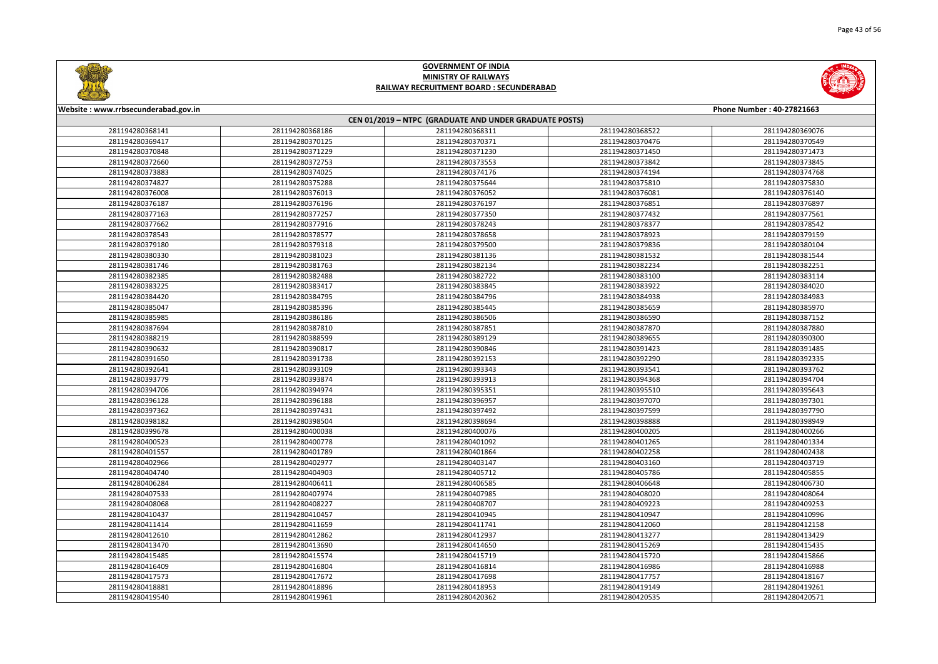

|       | Phone Number: 40-27821663 |  |  |  |
|-------|---------------------------|--|--|--|
|       |                           |  |  |  |
| 68522 | 281194280369076           |  |  |  |
| 70476 | 281194280370549           |  |  |  |
| 71450 | 281194280371473           |  |  |  |
| 73842 | 281194280373845           |  |  |  |
| 74194 | 281194280374768           |  |  |  |
| 75810 | 281194280375830           |  |  |  |
| 76081 | 281194280376140           |  |  |  |
| 76851 | 281194280376897           |  |  |  |
| 77432 | 281194280377561           |  |  |  |
| 78377 | 281194280378542           |  |  |  |
| 78923 | 281194280379159           |  |  |  |
| 79836 | 281194280380104           |  |  |  |
| 81532 | 281194280381544           |  |  |  |
| 82234 | 281194280382251           |  |  |  |
| 83100 | 281194280383114           |  |  |  |
| 83922 | 281194280384020           |  |  |  |
| 84938 | 281194280384983           |  |  |  |
| 85659 | 281194280385970           |  |  |  |
| 86590 | 281194280387152           |  |  |  |
| 87870 | 281194280387880           |  |  |  |
| 89655 | 281194280390300           |  |  |  |
| 91423 | 281194280391485           |  |  |  |
| 92290 | 281194280392335           |  |  |  |
| 93541 | 281194280393762           |  |  |  |
| 94368 | 281194280394704           |  |  |  |
| 95510 | 281194280395643           |  |  |  |
| 97070 | 281194280397301           |  |  |  |
| 97599 | 281194280397790           |  |  |  |
| 98888 | 281194280398949           |  |  |  |
| 00205 | 281194280400266           |  |  |  |
| 01265 | 281194280401334           |  |  |  |
| 02258 | 281194280402438           |  |  |  |
| 03160 | 281194280403719           |  |  |  |
| 05786 | 281194280405855           |  |  |  |
| 06648 | 281194280406730           |  |  |  |
| 08020 | 281194280408064           |  |  |  |
| 09223 | 281194280409253           |  |  |  |
| 10947 | 281194280410996           |  |  |  |
| 12060 | 281194280412158           |  |  |  |
| 13277 | 281194280413429           |  |  |  |
| 15269 | 281194280415435           |  |  |  |
| 15720 | 281194280415866           |  |  |  |
| 16986 | 281194280416988           |  |  |  |
| 17757 | 281194280418167           |  |  |  |
|       |                           |  |  |  |
| 19149 | 281194280419261           |  |  |  |
| 20535 | 281194280420571           |  |  |  |



#### **Website : www.rrbsecunderabad.gov.in CEN 01/2019 – NTPC (GRADUATE AND UNDER GRADUATE POSTS)** 281194280368186 281194280368311 281194280368522 281194280369076 281194280370125 281194280370371 281194280370476 281194280370549 281194280371229 281194280371230 281194280371450 281194280371473 281194280372753 281194280373553 281194280373842 281194280373845 281194280374025 281194280374176 281194280374194 281194280374768 281194280375288 281194280375644 281194280375810 281194280375830 281194280376013 281194280376052 281194280376081 281194280376140 281194280376196 281194280376197 281194280376851 281194280376897 281194280377257 281194280377350 281194280377432 281194280377561 281194280377916 281194280378243 281194280378377 281194280378542 281194280378577 281194280378658 281194280378923 281194280379159 281194280379318 281194280379500 281194280379836 281194280380104 281194280381023 281194280381136 281194280381532 281194280381544 281194280381763 281194280382134 281194280382234 281194280382251 281194280382488 281194280382722 281194280383100 281194280383114 281194280383417 281194280383845 281194280383922 281194280384020 281194280384795 281194280384796 281194280384938 281194280384983 281194280385396 281194280385445 281194280385659 281194280385970 281194280386186 281194280386506 281194280386590 281194280387152 281194280387810 281194280387851 281194280387870 281194280387880 281194280388599 281194280389129 281194280389655 281194280390300 281194280390817 281194280390846 281194280391423 281194280391485 281194280391738 281194280392153 281194280392290 281194280392335 281194280393109 281194280393343 281194280393541 281194280393762 281194280393874 281194280393913 281194280394368 281194280394704 281194280394974 281194280395351 281194280395510 281194280395643 281194280396188 281194280396957 281194280397070 281194280397301 281194280397431 281194280397492 281194280397599 281194280397790 281194280398504 281194280398694 281194280398888 281194280398949 281194280400038 281194280400076 281194280400205 281194280400266 281194280400778 281194280401092 281194280401265 281194280401334 281194280401789 281194280401864 281194280402258 281194280402438 281194280402977 281194280403147 281194280403160 281194280403719 281194280404903 281194280405712 281194280405786 281194280405855 281194280406411 281194280406585 281194280406648 281194280406730 281194280407974 281194280407985 281194280408020 281194280408064 281194280408227 281194280408707 281194280409223 281194280409253 281194280410457 281194280410945 281194280410947 281194280410996 281194280411659 281194280411741 281194280412060 281194280412158 281194280412862 281194280412937 281194280413277 281194280413429 281194280413690 281194280414650 281194280415269 281194280415435 281194280415574 281194280415719 281194280415720 281194280415866 281194280416804 281194280416814 281194280416986 281194280416988 281194280417672 281194280417698 281194280417757 281194280418167 281194280418896 281194280418953 281194280419149 281194280419261 281194280419961 281194280420362 281194280420535 281194280420571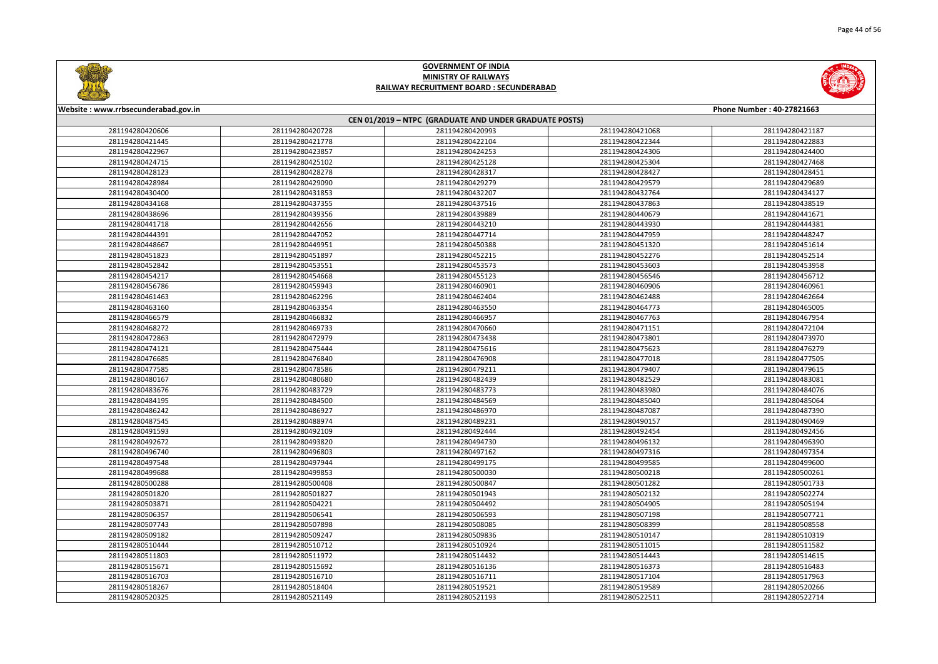



| Website: www.rrbsecunderabad.gov.in |                                                        |                 |                 | Phone Number: 40-27821663 |  |  |
|-------------------------------------|--------------------------------------------------------|-----------------|-----------------|---------------------------|--|--|
|                                     | CEN 01/2019 - NTPC (GRADUATE AND UNDER GRADUATE POSTS) |                 |                 |                           |  |  |
| 281194280420606                     | 281194280420728                                        | 281194280420993 | 281194280421068 | 281194280421187           |  |  |
| 281194280421445                     | 281194280421778                                        | 281194280422104 | 281194280422344 | 281194280422883           |  |  |
| 281194280422967                     | 281194280423857                                        | 281194280424253 | 281194280424306 | 281194280424400           |  |  |
| 281194280424715                     | 281194280425102                                        | 281194280425128 | 281194280425304 | 281194280427468           |  |  |
| 281194280428123                     | 281194280428278                                        | 281194280428317 | 281194280428427 | 281194280428451           |  |  |
| 281194280428984                     | 281194280429090                                        | 281194280429279 | 281194280429579 | 281194280429689           |  |  |
| 281194280430400                     | 281194280431853                                        | 281194280432207 | 281194280432764 | 281194280434127           |  |  |
| 281194280434168                     | 281194280437355                                        | 281194280437516 | 281194280437863 | 281194280438519           |  |  |
| 281194280438696                     | 281194280439356                                        | 281194280439889 | 281194280440679 | 281194280441671           |  |  |
| 281194280441718                     | 281194280442656                                        | 281194280443210 | 281194280443930 | 281194280444381           |  |  |
| 281194280444391                     | 281194280447052                                        | 281194280447714 | 281194280447959 | 281194280448247           |  |  |
| 281194280448667                     | 281194280449951                                        | 281194280450388 | 281194280451320 | 281194280451614           |  |  |
| 281194280451823                     | 281194280451897                                        | 281194280452215 | 281194280452276 | 281194280452514           |  |  |
| 281194280452842                     | 281194280453551                                        | 281194280453573 | 281194280453603 | 281194280453958           |  |  |
| 281194280454217                     | 281194280454668                                        | 281194280455123 | 281194280456546 | 281194280456712           |  |  |
| 281194280456786                     | 281194280459943                                        | 281194280460901 | 281194280460906 | 281194280460961           |  |  |
| 281194280461463                     | 281194280462296                                        | 281194280462404 | 281194280462488 | 281194280462664           |  |  |
| 281194280463160                     | 281194280463354                                        | 281194280463550 | 281194280464773 | 281194280465005           |  |  |
| 281194280466579                     | 281194280466832                                        | 281194280466957 | 281194280467763 | 281194280467954           |  |  |
| 281194280468272                     | 281194280469733                                        | 281194280470660 | 281194280471151 | 281194280472104           |  |  |
| 281194280472863                     | 281194280472979                                        | 281194280473438 | 281194280473801 | 281194280473970           |  |  |
| 281194280474121                     | 281194280475444                                        | 281194280475616 | 281194280475623 | 281194280476279           |  |  |
| 281194280476685                     | 281194280476840                                        | 281194280476908 | 281194280477018 | 281194280477505           |  |  |
| 281194280477585                     | 281194280478586                                        | 281194280479211 | 281194280479407 | 281194280479615           |  |  |
| 281194280480167                     | 281194280480680                                        | 281194280482439 | 281194280482529 | 281194280483081           |  |  |
| 281194280483676                     | 281194280483729                                        | 281194280483773 | 281194280483980 | 281194280484076           |  |  |
| 281194280484195                     | 281194280484500                                        | 281194280484569 | 281194280485040 | 281194280485064           |  |  |
| 281194280486242                     | 281194280486927                                        | 281194280486970 | 281194280487087 | 281194280487390           |  |  |
| 281194280487545                     | 281194280488974                                        | 281194280489231 | 281194280490157 | 281194280490469           |  |  |
| 281194280491593                     | 281194280492109                                        | 281194280492444 | 281194280492454 | 281194280492456           |  |  |
| 281194280492672                     | 281194280493820                                        | 281194280494730 | 281194280496132 | 281194280496390           |  |  |
| 281194280496740                     | 281194280496803                                        | 281194280497162 | 281194280497316 | 281194280497354           |  |  |
| 281194280497548                     | 281194280497944                                        | 281194280499175 | 281194280499585 | 281194280499600           |  |  |
| 281194280499688                     | 281194280499853                                        | 281194280500030 | 281194280500218 | 281194280500261           |  |  |
| 281194280500288                     | 281194280500408                                        | 281194280500847 | 281194280501282 | 281194280501733           |  |  |
| 281194280501820                     | 281194280501827                                        | 281194280501943 | 281194280502132 | 281194280502274           |  |  |
| 281194280503871                     | 281194280504221                                        | 281194280504492 | 281194280504905 | 281194280505194           |  |  |
| 281194280506357                     | 281194280506541                                        | 281194280506593 | 281194280507198 | 281194280507721           |  |  |
| 281194280507743                     | 281194280507898                                        | 281194280508085 | 281194280508399 | 281194280508558           |  |  |
| 281194280509182                     | 281194280509247                                        | 281194280509836 | 281194280510147 | 281194280510319           |  |  |
| 281194280510444                     | 281194280510712                                        | 281194280510924 | 281194280511015 | 281194280511582           |  |  |
| 281194280511803                     | 281194280511972                                        | 281194280514432 | 281194280514443 | 281194280514615           |  |  |
| 281194280515671                     | 281194280515692                                        | 281194280516136 | 281194280516373 | 281194280516483           |  |  |
| 281194280516703                     | 281194280516710                                        | 281194280516711 | 281194280517104 | 281194280517963           |  |  |
| 281194280518267                     | 281194280518404                                        | 281194280519521 | 281194280519589 | 281194280520266           |  |  |
| 281194280520325                     | 281194280521149                                        | 281194280521193 | 281194280522511 | 281194280522714           |  |  |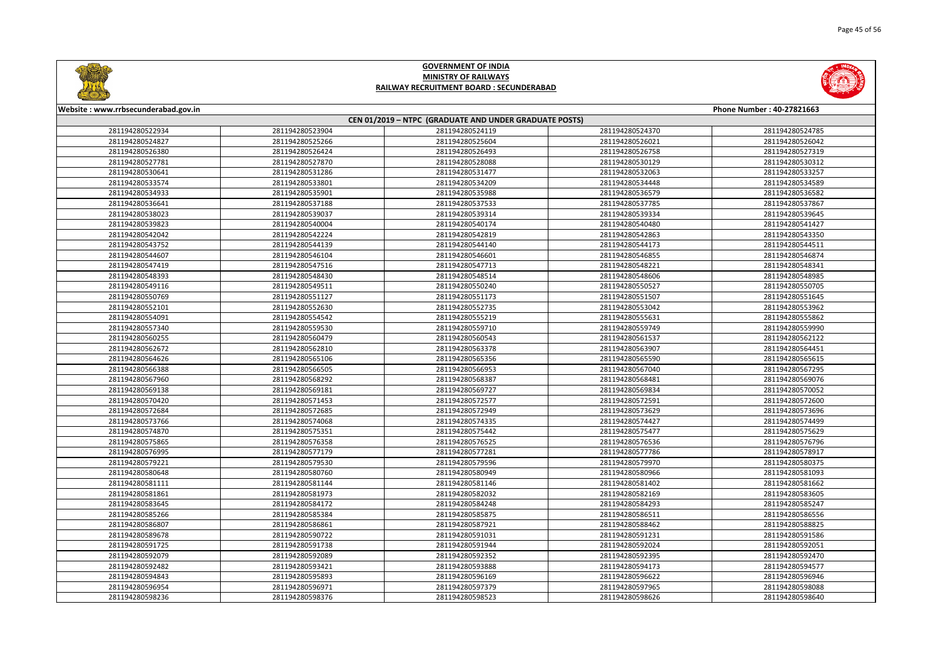



| Website: www.rrbsecunderabad.gov.in |                 |                                                        |                 | Phone Number: 40-27821663 |
|-------------------------------------|-----------------|--------------------------------------------------------|-----------------|---------------------------|
|                                     |                 | CEN 01/2019 - NTPC (GRADUATE AND UNDER GRADUATE POSTS) |                 |                           |
| 281194280522934                     | 281194280523904 | 281194280524119                                        | 281194280524370 | 281194280524785           |
| 281194280524827                     | 281194280525266 | 281194280525604                                        | 281194280526021 | 281194280526042           |
| 281194280526380                     | 281194280526424 | 281194280526493                                        | 281194280526758 | 281194280527319           |
| 281194280527781                     | 281194280527870 | 281194280528088                                        | 281194280530129 | 281194280530312           |
| 281194280530641                     | 281194280531286 | 281194280531477                                        | 281194280532063 | 281194280533257           |
| 281194280533574                     | 281194280533801 | 281194280534209                                        | 281194280534448 | 281194280534589           |
| 281194280534933                     | 281194280535901 | 281194280535988                                        | 281194280536579 | 281194280536582           |
| 281194280536641                     | 281194280537188 | 281194280537533                                        | 281194280537785 | 281194280537867           |
| 281194280538023                     | 281194280539037 | 281194280539314                                        | 281194280539334 | 281194280539645           |
| 281194280539823                     | 281194280540004 | 281194280540174                                        | 281194280540480 | 281194280541427           |
| 281194280542042                     | 281194280542224 | 281194280542819                                        | 281194280542863 | 281194280543350           |
| 281194280543752                     | 281194280544139 | 281194280544140                                        | 281194280544173 | 281194280544511           |
| 281194280544607                     | 281194280546104 | 281194280546601                                        | 281194280546855 | 281194280546874           |
| 281194280547419                     | 281194280547516 | 281194280547713                                        | 281194280548221 | 281194280548341           |
| 281194280548393                     | 281194280548430 | 281194280548514                                        | 281194280548606 | 281194280548985           |
| 281194280549116                     | 281194280549511 | 281194280550240                                        | 281194280550527 | 281194280550705           |
| 281194280550769                     | 281194280551127 | 281194280551173                                        | 281194280551507 | 281194280551645           |
| 281194280552101                     | 281194280552630 | 281194280552735                                        | 281194280553042 | 281194280553962           |
| 281194280554091                     | 281194280554542 | 281194280555219                                        | 281194280555631 | 281194280555862           |
| 281194280557340                     | 281194280559530 | 281194280559710                                        | 281194280559749 | 281194280559990           |
| 281194280560255                     | 281194280560479 | 281194280560543                                        | 281194280561537 | 281194280562122           |
| 281194280562672                     | 281194280562810 | 281194280563378                                        | 281194280563907 | 281194280564451           |
| 281194280564626                     | 281194280565106 | 281194280565356                                        | 281194280565590 | 281194280565615           |
| 281194280566388                     | 281194280566505 | 281194280566953                                        | 281194280567040 | 281194280567295           |
| 281194280567960                     | 281194280568292 | 281194280568387                                        | 281194280568481 | 281194280569076           |
| 281194280569138                     | 281194280569181 | 281194280569727                                        | 281194280569834 | 281194280570052           |
| 281194280570420                     | 281194280571453 | 281194280572577                                        | 281194280572591 | 281194280572600           |
| 281194280572684                     | 281194280572685 | 281194280572949                                        | 281194280573629 | 281194280573696           |
| 281194280573766                     | 281194280574068 | 281194280574335                                        | 281194280574427 | 281194280574499           |
| 281194280574870                     | 281194280575351 | 281194280575442                                        | 281194280575477 | 281194280575629           |
| 281194280575865                     | 281194280576358 | 281194280576525                                        | 281194280576536 | 281194280576796           |
| 281194280576995                     | 281194280577179 | 281194280577281                                        | 281194280577786 | 281194280578917           |
| 281194280579221                     | 281194280579530 | 281194280579596                                        | 281194280579970 | 281194280580375           |
| 281194280580648                     | 281194280580760 | 281194280580949                                        | 281194280580966 | 281194280581093           |
| 281194280581111                     | 281194280581144 | 281194280581146                                        | 281194280581402 | 281194280581662           |
| 281194280581861                     | 281194280581973 | 281194280582032                                        | 281194280582169 | 281194280583605           |
| 281194280583645                     | 281194280584172 | 281194280584248                                        | 281194280584293 | 281194280585247           |
| 281194280585266                     | 281194280585384 | 281194280585875                                        | 281194280586511 | 281194280586556           |
| 281194280586807                     | 281194280586861 | 281194280587921                                        | 281194280588462 | 281194280588825           |
| 281194280589678                     | 281194280590722 | 281194280591031                                        | 281194280591231 | 281194280591586           |
| 281194280591725                     | 281194280591738 | 281194280591944                                        | 281194280592024 | 281194280592051           |
| 281194280592079                     | 281194280592089 | 281194280592352                                        | 281194280592395 | 281194280592470           |
| 281194280592482                     | 281194280593421 | 281194280593888                                        | 281194280594173 | 281194280594577           |
| 281194280594843                     | 281194280595893 | 281194280596169                                        | 281194280596622 | 281194280596946           |
| 281194280596954                     | 281194280596971 | 281194280597379                                        | 281194280597965 | 281194280598088           |
| 281194280598236                     | 281194280598376 | 281194280598523                                        | 281194280598626 | 281194280598640           |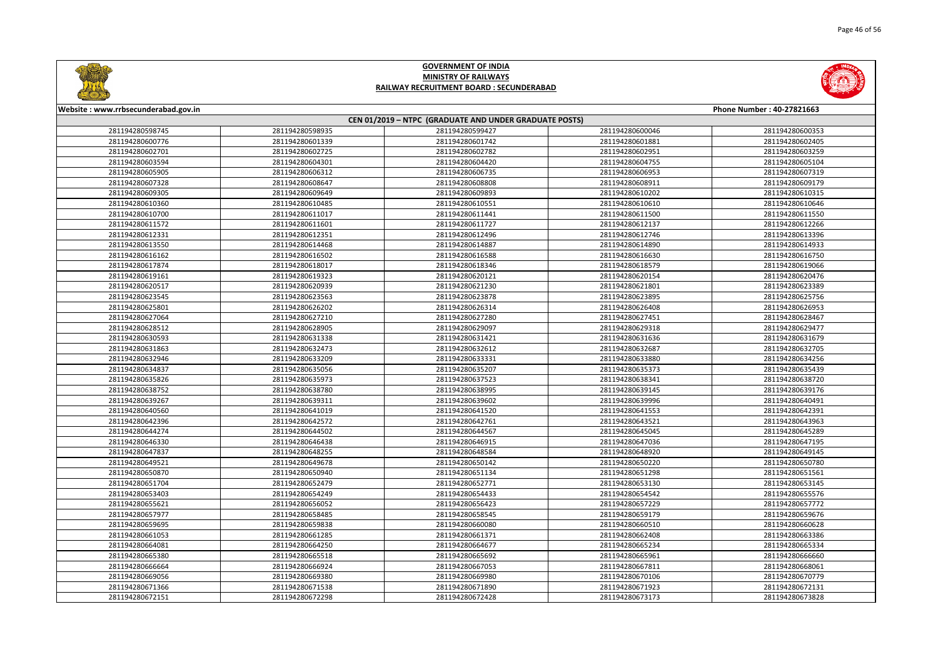

| Phone Number: 40-27821663 |                 |  |  |  |  |
|---------------------------|-----------------|--|--|--|--|
|                           |                 |  |  |  |  |
| 00046                     | 281194280600353 |  |  |  |  |
| 01881                     | 281194280602405 |  |  |  |  |
| 02951                     | 281194280603259 |  |  |  |  |
| 04755                     | 281194280605104 |  |  |  |  |
| 06953                     | 281194280607319 |  |  |  |  |
| 08911                     | 281194280609179 |  |  |  |  |
| 10202                     | 281194280610315 |  |  |  |  |
| 10610                     | 281194280610646 |  |  |  |  |
| 11500                     | 281194280611550 |  |  |  |  |
| 12137                     | 281194280612266 |  |  |  |  |
| 12746                     | 281194280613396 |  |  |  |  |
| 14890                     | 281194280614933 |  |  |  |  |
| 16630                     | 281194280616750 |  |  |  |  |
| 18579                     | 281194280619066 |  |  |  |  |
| 20154                     | 281194280620476 |  |  |  |  |
| 21801                     | 281194280623389 |  |  |  |  |
| 23895                     | 281194280625756 |  |  |  |  |
| 26408                     | 281194280626953 |  |  |  |  |
| 27451                     | 281194280628467 |  |  |  |  |
| 29318                     | 281194280629477 |  |  |  |  |
| 31636                     | 281194280631679 |  |  |  |  |
| 32687                     | 281194280632705 |  |  |  |  |
| 33880                     | 281194280634256 |  |  |  |  |
| 35373                     | 281194280635439 |  |  |  |  |
| 38341                     | 281194280638720 |  |  |  |  |
| 39145                     | 281194280639176 |  |  |  |  |
| 39996                     | 281194280640491 |  |  |  |  |
| 41553                     | 281194280642391 |  |  |  |  |
| 43521                     | 281194280643963 |  |  |  |  |
| 45045                     | 281194280645289 |  |  |  |  |
| 47036                     | 281194280647195 |  |  |  |  |
| 18920                     | 281194280649145 |  |  |  |  |
| 50220                     | 281194280650780 |  |  |  |  |
| 51298                     | 281194280651561 |  |  |  |  |
| 53130                     | 281194280653145 |  |  |  |  |
| 54542                     | 281194280655576 |  |  |  |  |
| 57229                     | 281194280657772 |  |  |  |  |
| 59179                     | 281194280659676 |  |  |  |  |
| 50510                     | 281194280660628 |  |  |  |  |
| 52408                     | 281194280663386 |  |  |  |  |
| 55234                     | 281194280665334 |  |  |  |  |
| 55961                     | 281194280666660 |  |  |  |  |
| 57811                     | 281194280668061 |  |  |  |  |
| 70106                     | 281194280670779 |  |  |  |  |
| 71923                     | 281194280672131 |  |  |  |  |
| 73173                     | 281194280673828 |  |  |  |  |



#### **Website : www.rrbsecunderabad.gov.in CEN 01/2019 – NTPC (GRADUATE AND UNDER GRADUATE POSTS)** 281194280598935 281194280599427 281194280600046 281194280600353 281194280601339 281194280601742 281194280601881 281194280602405 281194280602725 281194280602782 281194280602951 281194280603259 281194280604301 281194280604420 281194280604755 281194280605104 281194280606312 281194280606735 281194280606953 281194280607319 281194280608647 281194280608808 281194280608911 281194280609179 281194280609649 281194280609893 281194280610202 281194280610315 281194280610485 281194280610551 281194280610610 281194280610646 281194280611017 281194280611441 281194280611500 281194280611550 281194280611601 281194280611727 281194280612137 281194280612266 281194280612351 281194280612496 281194280612746 281194280613396 281194280614468 281194280614887 281194280614890 281194280614933 281194280616502 281194280616588 281194280616630 281194280616750 281194280618017 281194280618346 281194280618579 281194280619066 281194280619323 281194280620121 281194280620154 281194280620476 281194280620939 281194280621230 281194280621801 281194280623389 281194280623563 281194280623878 281194280623895 281194280625756 281194280626202 281194280626314 281194280626408 281194280626953 281194280627210 281194280627280 281194280627451 281194280628467 281194280628905 281194280629097 281194280629318 281194280629477 281194280631338 281194280631421 281194280631636 281194280631679 281194280632473 281194280632612 281194280632687 281194280632705 281194280633209 281194280633331 281194280633880 281194280634256 281194280635056 281194280635207 281194280635373 281194280635439 281194280635973 281194280637523 281194280638341 281194280638720 281194280638780 281194280638995 281194280639145 281194280639176 281194280639311 281194280639602 281194280639996 281194280640491 281194280641019 281194280641520 281194280641553 281194280642391 281194280642572 281194280642761 281194280643521 281194280643963 281194280644502 281194280644567 281194280645045 281194280645289 281194280646438 281194280646915 281194280647036 281194280647195 281194280648255 281194280648584 281194280648920 281194280649145 281194280649678 281194280650142 281194280650220 281194280650780 281194280650940 281194280651134 281194280651298 281194280651561 281194280652479 281194280652771 281194280653130 281194280653145 281194280654249 281194280654433 281194280654542 281194280655576 281194280656052 281194280656423 281194280657229 281194280657772 281194280658485 281194280658545 281194280659179 281194280659676 281194280659838 281194280660080 281194280660510 281194280660628 281194280661285 281194280661371 281194280662408 281194280663386 281194280664250 281194280664677 281194280665234 281194280665334 281194280665518 281194280665692 281194280665961 281194280666660 281194280666924 281194280667053 281194280667811 281194280668061 281194280669380 281194280669980 281194280670106 281194280670779 281194280671538 281194280671890 281194280671923 281194280672131 281194280672298 281194280672428 281194280673173 281194280673828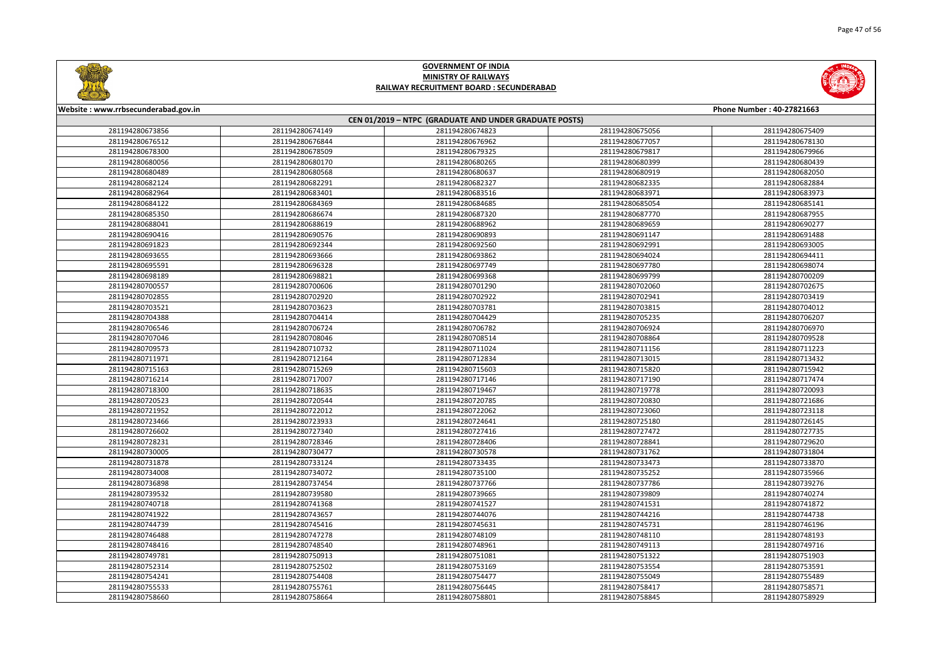



| Website: www.rrbsecunderabad.gov.in |                 |                                                        |                 | Phone Number: 40-27821663 |
|-------------------------------------|-----------------|--------------------------------------------------------|-----------------|---------------------------|
|                                     |                 | CEN 01/2019 - NTPC (GRADUATE AND UNDER GRADUATE POSTS) |                 |                           |
| 281194280673856                     | 281194280674149 | 281194280674823                                        | 281194280675056 | 281194280675409           |
| 281194280676512                     | 281194280676844 | 281194280676962                                        | 281194280677057 | 281194280678130           |
| 281194280678300                     | 281194280678509 | 281194280679325                                        | 281194280679817 | 281194280679966           |
| 281194280680056                     | 281194280680170 | 281194280680265                                        | 281194280680399 | 281194280680439           |
| 281194280680489                     | 281194280680568 | 281194280680637                                        | 281194280680919 | 281194280682050           |
| 281194280682124                     | 281194280682291 | 281194280682327                                        | 281194280682335 | 281194280682884           |
| 281194280682964                     | 281194280683401 | 281194280683516                                        | 281194280683971 | 281194280683973           |
| 281194280684122                     | 281194280684369 | 281194280684685                                        | 281194280685054 | 281194280685141           |
| 281194280685350                     | 281194280686674 | 281194280687320                                        | 281194280687770 | 281194280687955           |
| 281194280688041                     | 281194280688619 | 281194280688962                                        | 281194280689659 | 281194280690277           |
| 281194280690416                     | 281194280690576 | 281194280690893                                        | 281194280691147 | 281194280691488           |
| 281194280691823                     | 281194280692344 | 281194280692560                                        | 281194280692991 | 281194280693005           |
| 281194280693655                     | 281194280693666 | 281194280693862                                        | 281194280694024 | 281194280694411           |
| 281194280695591                     | 281194280696328 | 281194280697749                                        | 281194280697780 | 281194280698074           |
| 281194280698189                     | 281194280698821 | 281194280699368                                        | 281194280699799 | 281194280700209           |
| 281194280700557                     | 281194280700606 | 281194280701290                                        | 281194280702060 | 281194280702675           |
| 281194280702855                     | 281194280702920 | 281194280702922                                        | 281194280702941 | 281194280703419           |
| 281194280703521                     | 281194280703623 | 281194280703781                                        | 281194280703815 | 281194280704012           |
| 281194280704388                     | 281194280704414 | 281194280704429                                        | 281194280705235 | 281194280706207           |
| 281194280706546                     | 281194280706724 | 281194280706782                                        | 281194280706924 | 281194280706970           |
| 281194280707046                     | 281194280708046 | 281194280708514                                        | 281194280708864 | 281194280709528           |
| 281194280709573                     | 281194280710732 | 281194280711024                                        | 281194280711156 | 281194280711223           |
| 281194280711971                     | 281194280712164 | 281194280712834                                        | 281194280713015 | 281194280713432           |
| 281194280715163                     | 281194280715269 | 281194280715603                                        | 281194280715820 | 281194280715942           |
| 281194280716214                     | 281194280717007 | 281194280717146                                        | 281194280717190 | 281194280717474           |
| 281194280718300                     | 281194280718635 | 281194280719467                                        | 281194280719778 | 281194280720093           |
| 281194280720523                     | 281194280720544 | 281194280720785                                        | 281194280720830 | 281194280721686           |
| 281194280721952                     | 281194280722012 | 281194280722062                                        | 281194280723060 | 281194280723118           |
| 281194280723466                     | 281194280723933 | 281194280724641                                        | 281194280725180 | 281194280726145           |
| 281194280726602                     | 281194280727340 | 281194280727416                                        | 281194280727472 | 281194280727735           |
| 281194280728231                     | 281194280728346 | 281194280728406                                        | 281194280728841 | 281194280729620           |
| 281194280730005                     | 281194280730477 | 281194280730578                                        | 281194280731762 | 281194280731804           |
| 281194280731878                     | 281194280733124 | 281194280733435                                        | 281194280733473 | 281194280733870           |
| 281194280734008                     | 281194280734072 | 281194280735100                                        | 281194280735252 | 281194280735966           |
| 281194280736898                     | 281194280737454 | 281194280737766                                        | 281194280737786 | 281194280739276           |
| 281194280739532                     | 281194280739580 | 281194280739665                                        | 281194280739809 | 281194280740274           |
| 281194280740718                     | 281194280741368 | 281194280741527                                        | 281194280741531 | 281194280741872           |
| 281194280741922                     | 281194280743657 | 281194280744076                                        | 281194280744216 | 281194280744738           |
| 281194280744739                     | 281194280745416 | 281194280745631                                        | 281194280745731 | 281194280746196           |
| 281194280746488                     | 281194280747278 | 281194280748109                                        | 281194280748110 | 281194280748193           |
| 281194280748416                     | 281194280748540 | 281194280748961                                        | 281194280749113 | 281194280749716           |
| 281194280749781                     | 281194280750913 | 281194280751081                                        | 281194280751322 | 281194280751903           |
| 281194280752314                     | 281194280752502 | 281194280753169                                        | 281194280753554 | 281194280753591           |
| 281194280754241                     | 281194280754408 | 281194280754477                                        | 281194280755049 | 281194280755489           |
| 281194280755533                     | 281194280755761 | 281194280756445                                        | 281194280758417 | 281194280758571           |
| 281194280758660                     | 281194280758664 | 281194280758801                                        | 281194280758845 | 281194280758929           |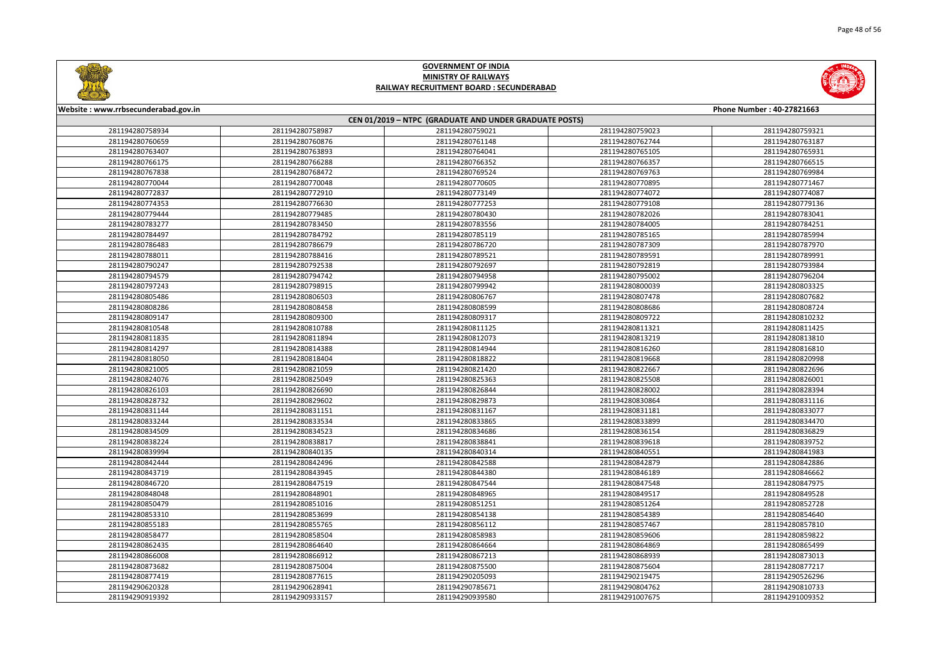

|       | Phone Number: 40-27821663 |
|-------|---------------------------|
|       |                           |
| 59023 | 281194280759321           |
| 62744 | 281194280763187           |
| 65105 | 281194280765931           |
| 66357 | 281194280766515           |
| 69763 | 281194280769984           |
| 70895 | 281194280771467           |
| 74072 | 281194280774087           |
| 79108 | 281194280779136           |
| 82026 | 281194280783041           |
| 84005 | 281194280784251           |
| 85165 | 281194280785994           |
| 87309 | 281194280787970           |
| 89591 | 281194280789991           |
| 92819 | 281194280793984           |
| 95002 | 281194280796204           |
| 00039 | 281194280803325           |
| 07478 | 281194280807682           |
| 08686 | 281194280808724           |
| 09722 | 281194280810232           |
| 11321 | 281194280811425           |
| 13219 | 281194280813810           |
| 16260 | 281194280816810           |
| 19668 | 281194280820998           |
| 22667 | 281194280822696           |
| 25508 | 281194280826001           |
| 28002 | 281194280828394           |
| 30864 | 281194280831116           |
| 31181 | 281194280833077           |
| 33899 | 281194280834470           |
| 36154 | 281194280836829           |
| 39618 | 281194280839752           |
| 40551 | 281194280841983           |
| 42879 | 281194280842886           |
| 46189 | 281194280846662           |
| 47548 | 281194280847975           |
| 49517 | 281194280849528           |
| 51264 | 281194280852728           |
| 54389 | 281194280854640           |
| 57467 | 281194280857810           |
| 59606 | 281194280859822           |
| 64869 | 281194280865499           |
| 68939 | 281194280873013           |
| 75604 | 281194280877217           |
| 19475 | 281194290526296           |
| 04762 | 281194290810733           |
| 07675 | 281194291009352           |



#### **Website : www.rrbsecunderabad.gov.in CEN 01/2019 – NTPC (GRADUATE AND UNDER GRADUATE POSTS)** 281194280758987 281194280759021 281194280759023 281194280759321 281194280760876 281194280761148 281194280762744 281194280763187 281194280763893 281194280764041 281194280765105 281194280765931 281194280766288 281194280766352 281194280766357 281194280766515 281194280768472 281194280769524 281194280769763 281194280769984 281194280770048 281194280770605 281194280770895 281194280771467 281194280772910 281194280773149 281194280774072 281194280774087 281194280776630 281194280777253 281194280779108 281194280779136 281194280779485 281194280780430 281194280782026 281194280783041 281194280783450 281194280783556 281194280784005 281194280784251 281194280784792 281194280785119 281194280785165 281194280785994 281194280786679 281194280786720 281194280787309 281194280787970 281194280788416 281194280789521 281194280789591 281194280789991 281194280792538 281194280792697 281194280792819 281194280793984 281194280794742 281194280794958 281194280795002 281194280796204 281194280798915 281194280799942 281194280800039 281194280803325 281194280806503 281194280806767 281194280807478 281194280807682 281194280808458 281194280808599 281194280808686 281194280808724 281194280809300 281194280809317 281194280809722 281194280810232 281194280810788 281194280811125 281194280811321 281194280811425 281194280811894 281194280812073 281194280813219 281194280813810 281194280814388 281194280814944 281194280816260 281194280816810 281194280818404 281194280818822 281194280819668 281194280820998 281194280821059 281194280821420 281194280822667 281194280822696 281194280825049 281194280825363 281194280825508 281194280826001 281194280826690 281194280826844 281194280828002 281194280828394 281194280829602 281194280829873 281194280830864 281194280831116 281194280831151 281194280831167 281194280831181 281194280833077 281194280833534 281194280833865 281194280833899 281194280834470 281194280834523 281194280834686 281194280836154 281194280836829 281194280838817 281194280838841 281194280839618 281194280839752 281194280840135 281194280840314 281194280840551 281194280841983 281194280842496 281194280842588 281194280842879 281194280842886 281194280843945 281194280844380 281194280846189 281194280846662 281194280847519 281194280847544 281194280847548 281194280847975 281194280848901 281194280848965 281194280849517 281194280849528 281194280851016 281194280851251 281194280851264 281194280852728 281194280853699 281194280854138 281194280854389 281194280854640 281194280855765 281194280856112 281194280857467 281194280857810 281194280858504 281194280858983 281194280859606 281194280859822 281194280864640 281194280864664 281194280864869 281194280865499 281194280866912 281194280867213 281194280868939 281194280873013 281194280875004 281194280875500 281194280875604 281194280877217 281194280877615 281194290205093 281194290219475 281194290526296 281194290628941 281194290785671 281194290804762 281194290810733 281194290933157 281194290939580 281194291007675 281194291009352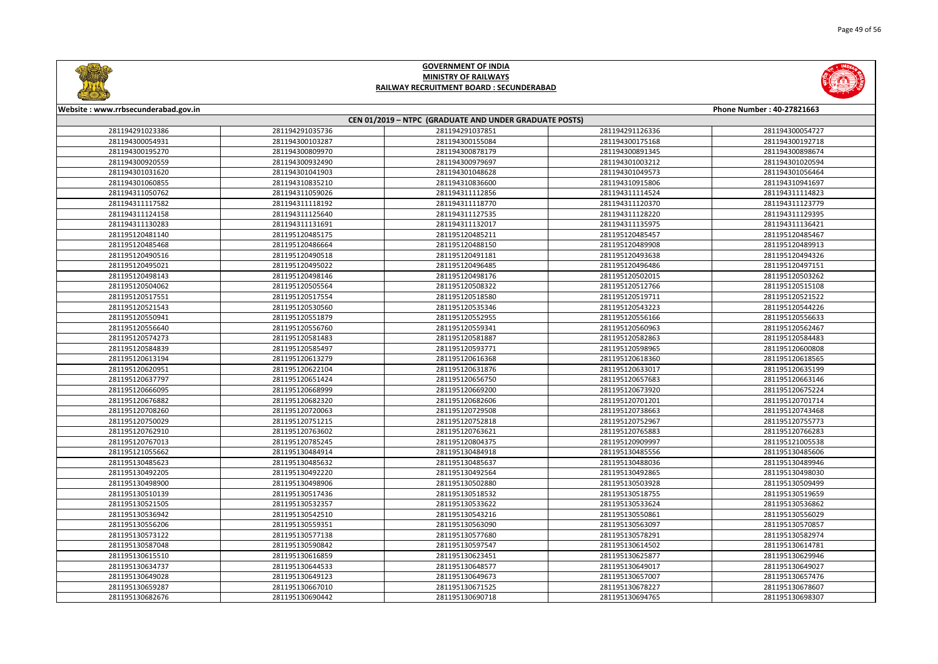



| Website: www.rrbsecunderabad.gov.in<br>Phone Number: 40-27821663<br>CEN 01/2019 - NTPC (GRADUATE AND UNDER GRADUATE POSTS) |                 |                 |                 |                 |
|----------------------------------------------------------------------------------------------------------------------------|-----------------|-----------------|-----------------|-----------------|
|                                                                                                                            |                 |                 |                 |                 |
| 281194300054931                                                                                                            | 281194300103287 | 281194300155084 | 281194300175168 | 281194300192718 |
| 281194300195270                                                                                                            | 281194300809970 | 281194300878179 | 281194300891345 | 281194300898674 |
| 281194300920559                                                                                                            | 281194300932490 | 281194300979697 | 281194301003212 | 281194301020594 |
| 281194301031620                                                                                                            | 281194301041903 | 281194301048628 | 281194301049573 | 281194301056464 |
| 281194301060855                                                                                                            | 281194310835210 | 281194310836600 | 281194310915806 | 281194310941697 |
| 281194311050762                                                                                                            | 281194311059026 | 281194311112856 | 281194311114524 | 281194311114823 |
| 281194311117582                                                                                                            | 281194311118192 | 281194311118770 | 281194311120370 | 281194311123779 |
| 281194311124158                                                                                                            | 281194311125640 | 281194311127535 | 281194311128220 | 281194311129395 |
| 281194311130283                                                                                                            | 281194311131691 | 281194311132017 | 281194311135975 | 281194311136421 |
| 281195120481140                                                                                                            | 281195120485175 | 281195120485211 | 281195120485457 | 281195120485467 |
| 281195120485468                                                                                                            | 281195120486664 | 281195120488150 | 281195120489908 | 281195120489913 |
| 281195120490516                                                                                                            | 281195120490518 | 281195120491181 | 281195120493638 | 281195120494326 |
| 281195120495021                                                                                                            | 281195120495022 | 281195120496485 | 281195120496486 | 281195120497151 |
| 281195120498143                                                                                                            | 281195120498146 | 281195120498176 | 281195120502015 | 281195120503262 |
| 281195120504062                                                                                                            | 281195120505564 | 281195120508322 | 281195120512766 | 281195120515108 |
| 281195120517551                                                                                                            | 281195120517554 | 281195120518580 | 281195120519711 | 281195120521522 |
| 281195120521543                                                                                                            | 281195120530560 | 281195120535346 | 281195120543223 | 281195120544226 |
| 281195120550941                                                                                                            | 281195120551879 | 281195120552955 | 281195120556166 | 281195120556633 |
| 281195120556640                                                                                                            | 281195120556760 | 281195120559341 | 281195120560963 | 281195120562467 |
| 281195120574273                                                                                                            | 281195120581483 | 281195120581887 | 281195120582863 | 281195120584483 |
| 281195120584839                                                                                                            | 281195120585497 | 281195120593771 | 281195120598965 | 281195120600808 |
| 281195120613194                                                                                                            | 281195120613279 | 281195120616368 | 281195120618360 | 281195120618565 |
| 281195120620951                                                                                                            | 281195120622104 | 281195120631876 | 281195120633017 | 281195120635199 |
| 281195120637797                                                                                                            | 281195120651424 | 281195120656750 | 281195120657683 | 281195120663146 |
| 281195120666095                                                                                                            | 281195120668999 | 281195120669200 | 281195120673920 | 281195120675224 |
| 281195120676882                                                                                                            | 281195120682320 | 281195120682606 | 281195120701201 | 281195120701714 |
| 281195120708260                                                                                                            | 281195120720063 | 281195120729508 | 281195120738663 | 281195120743468 |
| 281195120750029                                                                                                            | 281195120751215 | 281195120752818 | 281195120752967 | 281195120755773 |
| 281195120762910                                                                                                            | 281195120763602 | 281195120763621 | 281195120765883 | 281195120766283 |
| 281195120767013                                                                                                            | 281195120785245 | 281195120804375 | 281195120909997 | 281195121005538 |
| 281195121055662                                                                                                            | 281195130484914 | 281195130484918 | 281195130485556 | 281195130485606 |
| 281195130485623                                                                                                            | 281195130485632 | 281195130485637 | 281195130488036 | 281195130489946 |
| 281195130492205                                                                                                            | 281195130492220 | 281195130492564 | 281195130492865 | 281195130498030 |
| 281195130498900                                                                                                            | 281195130498906 | 281195130502880 | 281195130503928 | 281195130509499 |
| 281195130510139                                                                                                            | 281195130517436 | 281195130518532 | 281195130518755 | 281195130519659 |
| 281195130521505                                                                                                            | 281195130532357 | 281195130533622 | 281195130533624 | 281195130536862 |
| 281195130536942                                                                                                            | 281195130542510 | 281195130543216 | 281195130550861 | 281195130556029 |
| 281195130556206                                                                                                            | 281195130559351 | 281195130563090 | 281195130563097 | 281195130570857 |
| 281195130573122                                                                                                            | 281195130577138 | 281195130577680 | 281195130578291 | 281195130582974 |
| 281195130587048                                                                                                            | 281195130590842 | 281195130597547 | 281195130614502 | 281195130614781 |
| 281195130615510                                                                                                            | 281195130616859 | 281195130623451 | 281195130625877 | 281195130629946 |
| 281195130634737                                                                                                            | 281195130644533 | 281195130648577 | 281195130649017 | 281195130649027 |
| 281195130649028                                                                                                            | 281195130649123 | 281195130649673 | 281195130657007 | 281195130657476 |
| 281195130659287                                                                                                            | 281195130667010 | 281195130671525 | 281195130678227 | 281195130678607 |
| 281195130682676                                                                                                            | 281195130690442 | 281195130690718 | 281195130694765 | 281195130698307 |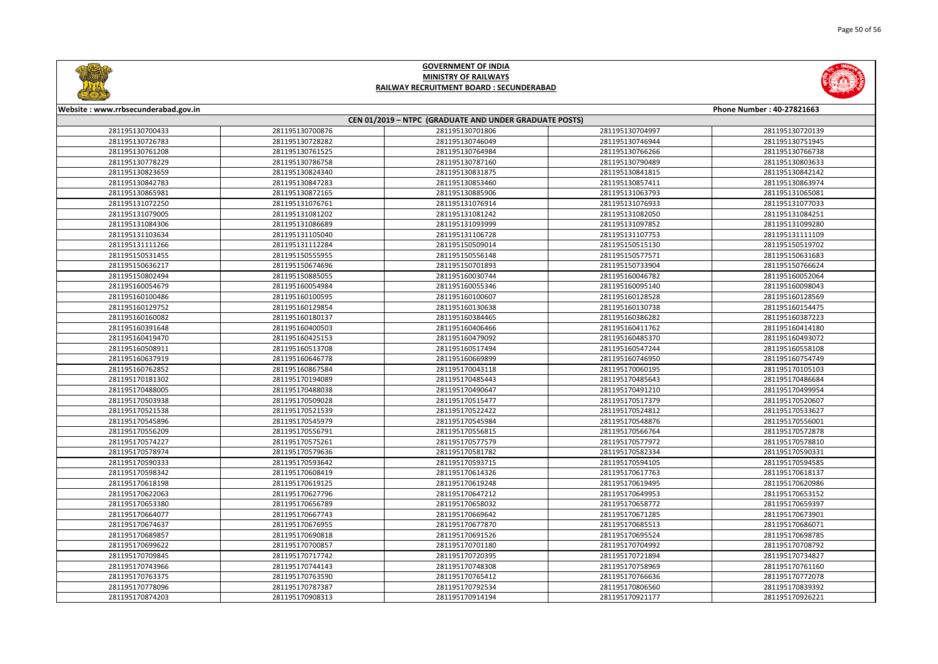



| Website: www.rrbsecunderabad.gov.in<br>Phone Number: 40-27821663<br>CEN 01/2019 - NTPC (GRADUATE AND UNDER GRADUATE POSTS) |                 |                 |                 |                 |
|----------------------------------------------------------------------------------------------------------------------------|-----------------|-----------------|-----------------|-----------------|
|                                                                                                                            |                 |                 |                 |                 |
| 281195130726783                                                                                                            | 281195130728282 | 281195130746049 | 281195130746944 | 281195130751945 |
| 281195130761208                                                                                                            | 281195130761525 | 281195130764984 | 281195130766266 | 281195130766738 |
| 281195130778229                                                                                                            | 281195130786758 | 281195130787160 | 281195130790489 | 281195130803633 |
| 281195130823659                                                                                                            | 281195130824340 | 281195130831875 | 281195130841815 | 281195130842142 |
| 281195130842783                                                                                                            | 281195130847283 | 281195130853460 | 281195130857411 | 281195130863974 |
| 281195130865981                                                                                                            | 281195130872165 | 281195130885906 | 281195131063793 | 281195131065081 |
| 281195131072250                                                                                                            | 281195131076761 | 281195131076914 | 281195131076933 | 281195131077033 |
| 281195131079005                                                                                                            | 281195131081202 | 281195131081242 | 281195131082050 | 281195131084251 |
| 281195131084306                                                                                                            | 281195131086689 | 281195131093999 | 281195131097852 | 281195131099280 |
| 281195131103634                                                                                                            | 281195131105040 | 281195131106728 | 281195131107753 | 281195131111109 |
| 281195131111266                                                                                                            | 281195131112284 | 281195150509014 | 281195150515130 | 281195150519702 |
| 281195150531455                                                                                                            | 281195150555955 | 281195150556148 | 281195150577571 | 281195150631683 |
| 281195150636217                                                                                                            | 281195150674696 | 281195150701893 | 281195150733904 | 281195150766624 |
| 281195150802494                                                                                                            | 281195150885055 | 281195160030744 | 281195160046782 | 281195160052064 |
| 281195160054679                                                                                                            | 281195160054984 | 281195160055346 | 281195160095140 | 281195160098043 |
| 281195160100486                                                                                                            | 281195160100595 | 281195160100607 | 281195160128528 | 281195160128569 |
| 281195160129752                                                                                                            | 281195160129854 | 281195160130638 | 281195160130738 | 281195160154475 |
| 281195160160082                                                                                                            | 281195160180137 | 281195160384465 | 281195160386282 | 281195160387223 |
| 281195160391648                                                                                                            | 281195160400503 | 281195160406466 | 281195160411762 | 281195160414180 |
| 281195160419470                                                                                                            | 281195160425153 | 281195160479092 | 281195160485370 | 281195160493072 |
| 281195160508911                                                                                                            | 281195160513708 | 281195160517494 | 281195160547244 | 281195160558108 |
| 281195160637919                                                                                                            | 281195160646778 | 281195160669899 | 281195160746950 | 281195160754749 |
| 281195160762852                                                                                                            | 281195160867584 | 281195170043118 | 281195170060195 | 281195170105103 |
| 281195170181302                                                                                                            | 281195170194089 | 281195170485443 | 281195170485643 | 281195170486684 |
| 281195170488005                                                                                                            | 281195170488038 | 281195170490647 | 281195170491210 | 281195170499954 |
| 281195170503938                                                                                                            | 281195170509028 | 281195170515477 | 281195170517379 | 281195170520607 |
| 281195170521538                                                                                                            | 281195170521539 | 281195170522422 | 281195170524812 | 281195170533627 |
| 281195170545896                                                                                                            | 281195170545979 | 281195170545984 | 281195170548876 | 281195170556001 |
| 281195170556209                                                                                                            | 281195170556791 | 281195170556815 | 281195170566764 | 281195170572878 |
| 281195170574227                                                                                                            | 281195170575261 | 281195170577579 | 281195170577972 | 281195170578810 |
| 281195170578974                                                                                                            | 281195170579636 | 281195170581782 | 281195170582334 | 281195170590331 |
| 281195170590333                                                                                                            | 281195170593642 | 281195170593715 | 281195170594105 | 281195170594585 |
| 281195170598342                                                                                                            | 281195170608419 | 281195170614326 | 281195170617763 | 281195170618137 |
| 281195170618198                                                                                                            | 281195170619125 | 281195170619248 | 281195170619495 | 281195170620986 |
| 281195170622063                                                                                                            | 281195170627796 | 281195170647212 | 281195170649953 | 281195170653152 |
| 281195170653380                                                                                                            | 281195170656789 | 281195170658032 | 281195170658772 | 281195170659397 |
| 281195170664077                                                                                                            | 281195170667743 | 281195170669642 | 281195170671285 | 281195170673901 |
| 281195170674637                                                                                                            | 281195170676955 | 281195170677870 | 281195170685513 | 281195170686071 |
| 281195170689857                                                                                                            | 281195170690818 | 281195170691526 | 281195170695524 | 281195170698785 |
| 281195170699622                                                                                                            | 281195170700857 | 281195170701180 | 281195170704992 | 281195170708792 |
| 281195170709845                                                                                                            | 281195170717742 | 281195170720395 | 281195170721894 | 281195170734827 |
| 281195170743966                                                                                                            | 281195170744143 | 281195170748308 | 281195170758969 | 281195170761160 |
| 281195170763375                                                                                                            | 281195170763590 | 281195170765412 | 281195170766636 | 281195170772078 |
| 281195170778096                                                                                                            | 281195170787387 | 281195170792534 | 281195170806560 | 281195170839392 |
| 281195170874203                                                                                                            | 281195170908313 | 281195170914194 | 281195170921177 | 281195170926221 |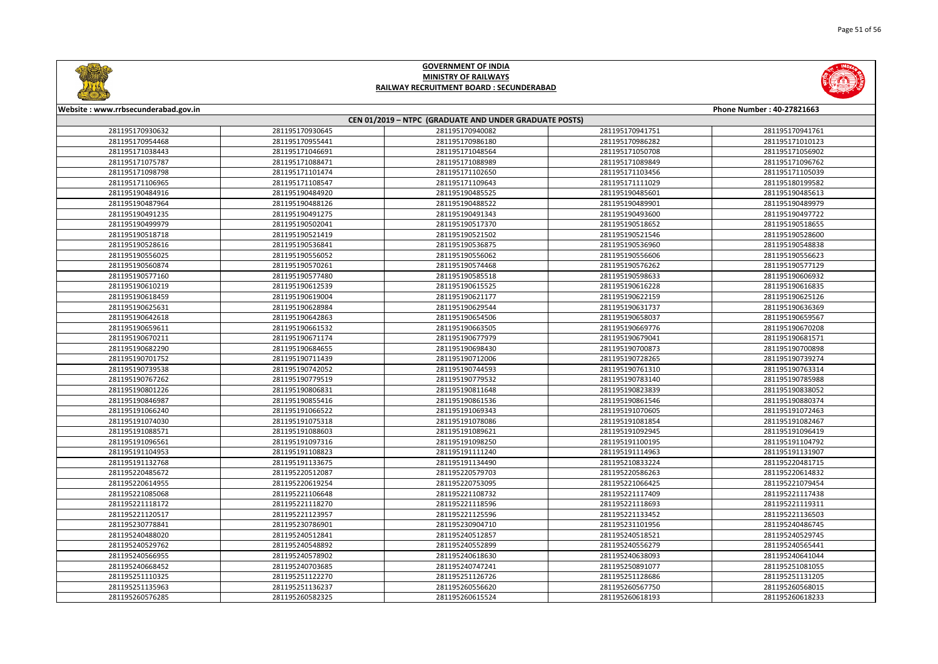



| Website: www.rrbsecunderabad.gov.in<br>Phone Number: 40-27821663<br>CEN 01/2019 - NTPC (GRADUATE AND UNDER GRADUATE POSTS) |                 |                 |                 |                 |
|----------------------------------------------------------------------------------------------------------------------------|-----------------|-----------------|-----------------|-----------------|
|                                                                                                                            |                 |                 |                 |                 |
| 281195170954468                                                                                                            | 281195170955441 | 281195170986180 | 281195170986282 | 281195171010123 |
| 281195171038443                                                                                                            | 281195171046691 | 281195171048564 | 281195171050708 | 281195171056902 |
| 281195171075787                                                                                                            | 281195171088471 | 281195171088989 | 281195171089849 | 281195171096762 |
| 281195171098798                                                                                                            | 281195171101474 | 281195171102650 | 281195171103456 | 281195171105039 |
| 281195171106965                                                                                                            | 281195171108547 | 281195171109643 | 281195171111029 | 281195180199582 |
| 281195190484916                                                                                                            | 281195190484920 | 281195190485525 | 281195190485601 | 281195190485613 |
| 281195190487964                                                                                                            | 281195190488126 | 281195190488522 | 281195190489901 | 281195190489979 |
| 281195190491235                                                                                                            | 281195190491275 | 281195190491343 | 281195190493600 | 281195190497722 |
| 281195190499979                                                                                                            | 281195190502041 | 281195190517370 | 281195190518652 | 281195190518655 |
| 281195190518718                                                                                                            | 281195190521419 | 281195190521502 | 281195190521546 | 281195190528600 |
| 281195190528616                                                                                                            | 281195190536841 | 281195190536875 | 281195190536960 | 281195190548838 |
| 281195190556025                                                                                                            | 281195190556052 | 281195190556062 | 281195190556606 | 281195190556623 |
| 281195190560874                                                                                                            | 281195190570261 | 281195190574468 | 281195190576262 | 281195190577129 |
| 281195190577160                                                                                                            | 281195190577480 | 281195190585518 | 281195190598633 | 281195190606932 |
| 281195190610219                                                                                                            | 281195190612539 | 281195190615525 | 281195190616228 | 281195190616835 |
| 281195190618459                                                                                                            | 281195190619004 | 281195190621177 | 281195190622159 | 281195190625126 |
| 281195190625631                                                                                                            | 281195190628984 | 281195190629544 | 281195190631737 | 281195190636369 |
| 281195190642618                                                                                                            | 281195190642863 | 281195190654506 | 281195190658037 | 281195190659567 |
| 281195190659611                                                                                                            | 281195190661532 | 281195190663505 | 281195190669776 | 281195190670208 |
| 281195190670211                                                                                                            | 281195190671174 | 281195190677979 | 281195190679041 | 281195190681571 |
| 281195190682290                                                                                                            | 281195190684655 | 281195190698430 | 281195190700873 | 281195190700898 |
| 281195190701752                                                                                                            | 281195190711439 | 281195190712006 | 281195190728265 | 281195190739274 |
| 281195190739538                                                                                                            | 281195190742052 | 281195190744593 | 281195190761310 | 281195190763314 |
| 281195190767262                                                                                                            | 281195190779519 | 281195190779532 | 281195190783140 | 281195190785988 |
| 281195190801226                                                                                                            | 281195190806831 | 281195190811648 | 281195190823839 | 281195190838052 |
| 281195190846987                                                                                                            | 281195190855416 | 281195190861536 | 281195190861546 | 281195190880374 |
| 281195191066240                                                                                                            | 281195191066522 | 281195191069343 | 281195191070605 | 281195191072463 |
| 281195191074030                                                                                                            | 281195191075318 | 281195191078086 | 281195191081854 | 281195191082467 |
| 281195191088571                                                                                                            | 281195191088603 | 281195191089621 | 281195191092945 | 281195191096419 |
| 281195191096561                                                                                                            | 281195191097316 | 281195191098250 | 281195191100195 | 281195191104792 |
| 281195191104953                                                                                                            | 281195191108823 | 281195191111240 | 281195191114963 | 281195191131907 |
| 281195191132768                                                                                                            | 281195191133675 | 281195191134490 | 281195210833224 | 281195220481715 |
| 281195220485672                                                                                                            | 281195220512087 | 281195220579703 | 281195220586263 | 281195220614832 |
| 281195220614955                                                                                                            | 281195220619254 | 281195220753095 | 281195221066425 | 281195221079454 |
| 281195221085068                                                                                                            | 281195221106648 | 281195221108732 | 281195221117409 | 281195221117438 |
| 281195221118172                                                                                                            | 281195221118270 | 281195221118596 | 281195221118693 | 281195221119311 |
| 281195221120517                                                                                                            | 281195221123957 | 281195221125596 | 281195221133452 | 281195221136503 |
| 281195230778841                                                                                                            | 281195230786901 | 281195230904710 | 281195231101956 | 281195240486745 |
| 281195240488020                                                                                                            | 281195240512841 | 281195240512857 | 281195240518521 | 281195240529745 |
| 281195240529762                                                                                                            | 281195240548892 | 281195240552899 | 281195240556279 | 281195240565441 |
| 281195240566955                                                                                                            | 281195240578902 | 281195240618630 | 281195240638093 | 281195240641044 |
| 281195240668452                                                                                                            | 281195240703685 | 281195240747241 | 281195250891077 | 281195251081055 |
| 281195251110325                                                                                                            | 281195251122270 | 281195251126726 | 281195251128686 | 281195251131205 |
| 281195251135963                                                                                                            | 281195251136237 | 281195260556620 | 281195260567750 | 281195260568015 |
| 281195260576285                                                                                                            | 281195260582325 | 281195260615524 | 281195260618193 | 281195260618233 |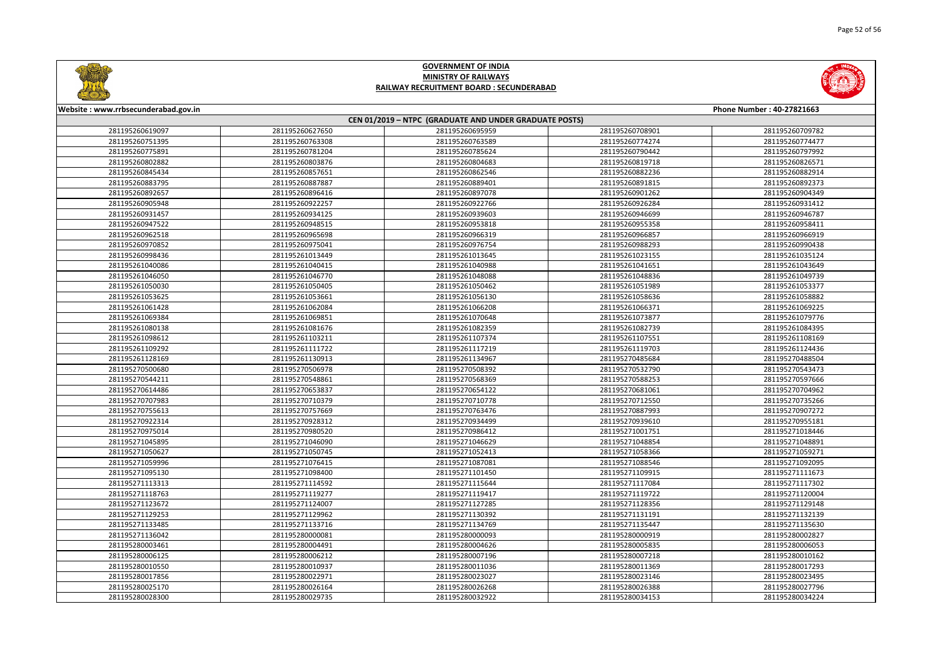

|                | Phone Number: 40-27821663 |
|----------------|---------------------------|
| 08901          | 281195260709782           |
| 74274          | 281195260774477           |
| 90442          | 281195260797992           |
| 19718          |                           |
| 32236          | 281195260826571           |
| 91815          | 281195260882914           |
|                | 281195260892373           |
| 01262          | 281195260904349           |
| 26284          | 281195260931412           |
| 16699          | 281195260946787           |
| 55358<br>56857 | 281195260958411           |
|                | 281195260966919           |
| 38293          | 281195260990438           |
| 23155          | 281195261035124           |
| 11651          | 281195261043649           |
| 48836          | 281195261049739           |
| 51989          | 281195261053377           |
| 58636          | 281195261058882           |
| 56371          | 281195261069225           |
| 73877          | 281195261079776           |
| 32739          | 281195261084395           |
| 07551          | 281195261108169           |
| 19703          | 281195261124436           |
| 35684          | 281195270488504           |
| 32790          | 281195270543473           |
| 38253          | 281195270597666           |
| 31061          | 281195270704962           |
| 12550          | 281195270735266           |
| 37993          | 281195270907272           |
| 39610          | 281195270955181           |
| 01751          | 281195271018446           |
| 18854          | 281195271048891           |
| 58366          | 281195271059271           |
| 38546          | 281195271092095           |
| 09915          | 281195271111673           |
| 17084          | 281195271117302           |
| 19722          | 281195271120004           |
| 28356          | 281195271129148           |
| 31191          | 281195271132139           |
| 35447          | 281195271135630           |
| 00919          | 281195280002827           |
| 05835          | 281195280006053           |
| 07218          | 281195280010162           |
| 11369          | 281195280017293           |
| 23146          | 281195280023495           |
| 26388          | 281195280027796           |
| 34153          | 281195280034224           |



#### **Website : www.rrbsecunderabad.gov.in CEN 01/2019 – NTPC (GRADUATE AND UNDER GRADUATE POSTS)** 281195260627650 281195260695959 281195260708901 281195260709782 281195260763308 281195260763589 281195260774274 281195260774477 281195260781204 281195260785624 281195260790442 281195260797992 281195260803876 281195260804683 281195260819718 281195260826571 281195260857651 281195260862546 281195260882236 281195260882914 281195260887887 281195260889401 281195260891815 281195260892373 281195260896416 281195260897078 281195260901262 281195260904349 281195260922257 281195260922766 281195260926284 281195260931412 281195260934125 281195260939603 281195260946699 281195260946787 281195260948515 281195260953818 281195260955358 281195260958411 281195260965698 281195260966319 281195260966857 281195260966919 281195260975041 281195260976754 281195260988293 281195260990438 281195261013449 281195261013645 281195261023155 281195261035124 281195261040415 281195261040988 281195261041651 281195261043649 281195261046770 281195261048088 281195261048836 281195261049739 281195261050405 281195261050462 281195261051989 281195261053377 281195261053661 281195261056130 281195261058636 281195261058882 281195261062084 281195261066208 281195261066371 281195261069225 281195261069851 281195261070648 281195261073877 281195261079776 281195261081676 281195261082359 281195261082739 281195261084395 281195261103211 281195261107374 281195261107551 281195261108169 281195261111722 281195261117219 281195261119703 281195261124436 281195261130913 281195261134967 281195270485684 281195270488504 281195270506978 281195270508392 281195270532790 281195270543473 281195270548861 281195270568369 281195270588253 281195270597666 281195270653837 281195270654122 281195270681061 281195270704962 281195270710379 281195270710778 281195270712550 281195270735266 281195270757669 281195270763476 281195270887993 281195270907272 281195270928312 281195270934499 281195270939610 281195270955181 281195270980520 281195270986412 281195271001751 281195271018446 281195271046090 281195271046629 281195271048854 281195271048891 281195271050745 281195271052413 281195271058366 281195271059271 281195271076415 281195271087081 281195271088546 281195271092095 281195271098400 281195271101450 281195271109915 281195271111673 281195271114592 281195271115644 281195271117084 281195271117302 281195271119277 281195271119417 281195271119722 281195271120004 281195271124007 281195271127285 281195271128356 281195271129148 281195271129962 281195271130392 281195271131191 281195271132139 281195271133716 281195271134769 281195271135447 281195271135630 281195280000081 281195280000093 281195280000919 281195280002827 281195280004491 281195280004626 281195280005835 281195280006053 281195280006212 281195280007196 281195280007218 281195280010162 281195280010937 281195280011036 281195280011369 281195280017293 281195280022971 281195280023027 281195280023146 281195280023495 281195280026164 281195280026268 281195280026388 281195280027796 281195280029735 281195280032922 281195280034153 281195280034224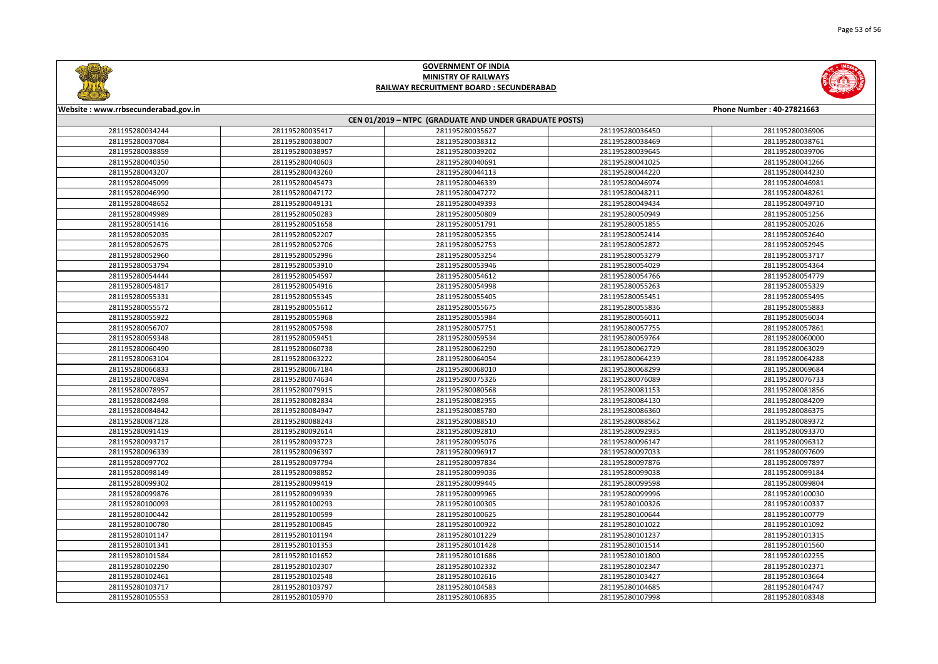



| Website: www.rrbsecunderabad.gov.in<br>Phone Number: 40-27821663<br>CEN 01/2019 - NTPC (GRADUATE AND UNDER GRADUATE POSTS) |                 |                 |                 |                 |
|----------------------------------------------------------------------------------------------------------------------------|-----------------|-----------------|-----------------|-----------------|
|                                                                                                                            |                 |                 |                 |                 |
| 281195280037084                                                                                                            | 281195280038007 | 281195280038312 | 281195280038469 | 281195280038761 |
| 281195280038859                                                                                                            | 281195280038957 | 281195280039202 | 281195280039645 | 281195280039706 |
| 281195280040350                                                                                                            | 281195280040603 | 281195280040691 | 281195280041025 | 281195280041266 |
| 281195280043207                                                                                                            | 281195280043260 | 281195280044113 | 281195280044220 | 281195280044230 |
| 281195280045099                                                                                                            | 281195280045473 | 281195280046339 | 281195280046974 | 281195280046981 |
| 281195280046990                                                                                                            | 281195280047172 | 281195280047272 | 281195280048211 | 281195280048261 |
| 281195280048652                                                                                                            | 281195280049131 | 281195280049393 | 281195280049434 | 281195280049710 |
| 281195280049989                                                                                                            | 281195280050283 | 281195280050809 | 281195280050949 | 281195280051256 |
| 281195280051416                                                                                                            | 281195280051658 | 281195280051791 | 281195280051855 | 281195280052026 |
| 281195280052035                                                                                                            | 281195280052207 | 281195280052355 | 281195280052414 | 281195280052640 |
| 281195280052675                                                                                                            | 281195280052706 | 281195280052753 | 281195280052872 | 281195280052945 |
| 281195280052960                                                                                                            | 281195280052996 | 281195280053254 | 281195280053279 | 281195280053717 |
| 281195280053794                                                                                                            | 281195280053910 | 281195280053946 | 281195280054029 | 281195280054364 |
| 281195280054444                                                                                                            | 281195280054597 | 281195280054612 | 281195280054766 | 281195280054779 |
| 281195280054817                                                                                                            | 281195280054916 | 281195280054998 | 281195280055263 | 281195280055329 |
| 281195280055331                                                                                                            | 281195280055345 | 281195280055405 | 281195280055451 | 281195280055495 |
| 281195280055572                                                                                                            | 281195280055612 | 281195280055675 | 281195280055836 | 281195280055883 |
| 281195280055922                                                                                                            | 281195280055968 | 281195280055984 | 281195280056011 | 281195280056034 |
| 281195280056707                                                                                                            | 281195280057598 | 281195280057751 | 281195280057755 | 281195280057861 |
| 281195280059348                                                                                                            | 281195280059451 | 281195280059534 | 281195280059764 | 281195280060000 |
| 281195280060490                                                                                                            | 281195280060738 | 281195280062290 | 281195280062729 | 281195280063029 |
| 281195280063104                                                                                                            | 281195280063222 | 281195280064054 | 281195280064239 | 281195280064288 |
| 281195280066833                                                                                                            | 281195280067184 | 281195280068010 | 281195280068299 | 281195280069684 |
| 281195280070894                                                                                                            | 281195280074634 | 281195280075326 | 281195280076089 | 281195280076733 |
| 281195280078957                                                                                                            | 281195280079915 | 281195280080568 | 281195280081153 | 281195280081856 |
| 281195280082498                                                                                                            | 281195280082834 | 281195280082955 | 281195280084130 | 281195280084209 |
| 281195280084842                                                                                                            | 281195280084947 | 281195280085780 | 281195280086360 | 281195280086375 |
| 281195280087128                                                                                                            | 281195280088243 | 281195280088510 | 281195280088562 | 281195280089372 |
| 281195280091419                                                                                                            | 281195280092614 | 281195280092810 | 281195280092935 | 281195280093370 |
| 281195280093717                                                                                                            | 281195280093723 | 281195280095076 | 281195280096147 | 281195280096312 |
| 281195280096339                                                                                                            | 281195280096397 | 281195280096917 | 281195280097033 | 281195280097609 |
| 281195280097702                                                                                                            | 281195280097794 | 281195280097834 | 281195280097876 | 281195280097897 |
| 281195280098149                                                                                                            | 281195280098852 | 281195280099036 | 281195280099038 | 281195280099184 |
| 281195280099302                                                                                                            | 281195280099419 | 281195280099445 | 281195280099598 | 281195280099804 |
| 281195280099876                                                                                                            | 281195280099939 | 281195280099965 | 281195280099996 | 281195280100030 |
| 281195280100093                                                                                                            | 281195280100293 | 281195280100305 | 281195280100326 | 281195280100337 |
| 281195280100442                                                                                                            | 281195280100599 | 281195280100625 | 281195280100644 | 281195280100779 |
| 281195280100780                                                                                                            | 281195280100845 | 281195280100922 | 281195280101022 | 281195280101092 |
| 281195280101147                                                                                                            | 281195280101194 | 281195280101229 | 281195280101237 | 281195280101315 |
| 281195280101341                                                                                                            | 281195280101353 | 281195280101428 | 281195280101514 | 281195280101560 |
| 281195280101584                                                                                                            | 281195280101652 | 281195280101686 | 281195280101800 | 281195280102255 |
| 281195280102290                                                                                                            | 281195280102307 | 281195280102332 | 281195280102347 | 281195280102371 |
| 281195280102461                                                                                                            | 281195280102548 | 281195280102616 | 281195280103427 | 281195280103664 |
| 281195280103717                                                                                                            | 281195280103797 | 281195280104583 | 281195280104685 | 281195280104747 |
| 281195280105553                                                                                                            | 281195280105970 | 281195280106835 | 281195280107998 | 281195280108348 |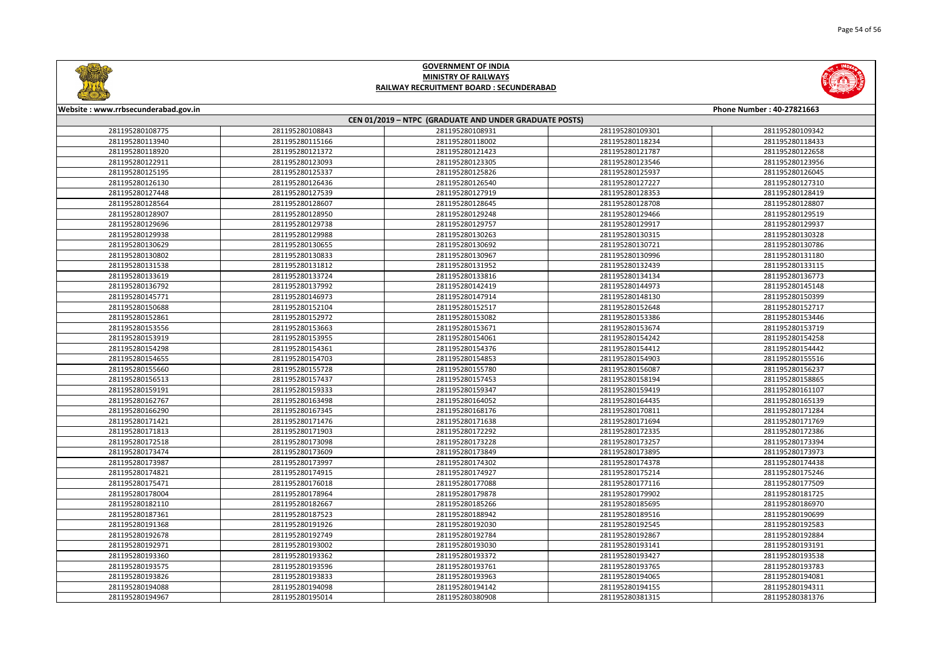



| Website: www.rrbsecunderabad.gov.in<br>Phone Number: 40-27821663 |                 |                                                        |                 |                 |
|------------------------------------------------------------------|-----------------|--------------------------------------------------------|-----------------|-----------------|
|                                                                  |                 | CEN 01/2019 - NTPC (GRADUATE AND UNDER GRADUATE POSTS) |                 |                 |
| 281195280108775                                                  | 281195280108843 | 281195280108931                                        | 281195280109301 | 281195280109342 |
| 281195280113940                                                  | 281195280115166 | 281195280118002                                        | 281195280118234 | 281195280118433 |
| 281195280118920                                                  | 281195280121372 | 281195280121423                                        | 281195280121787 | 281195280122658 |
| 281195280122911                                                  | 281195280123093 | 281195280123305                                        | 281195280123546 | 281195280123956 |
| 281195280125195                                                  | 281195280125337 | 281195280125826                                        | 281195280125937 | 281195280126045 |
| 281195280126130                                                  | 281195280126436 | 281195280126540                                        | 281195280127227 | 281195280127310 |
| 281195280127448                                                  | 281195280127539 | 281195280127919                                        | 281195280128353 | 281195280128419 |
| 281195280128564                                                  | 281195280128607 | 281195280128645                                        | 281195280128708 | 281195280128807 |
| 281195280128907                                                  | 281195280128950 | 281195280129248                                        | 281195280129466 | 281195280129519 |
| 281195280129696                                                  | 281195280129738 | 281195280129757                                        | 281195280129917 | 281195280129937 |
| 281195280129938                                                  | 281195280129988 | 281195280130263                                        | 281195280130315 | 281195280130328 |
| 281195280130629                                                  | 281195280130655 | 281195280130692                                        | 281195280130721 | 281195280130786 |
| 281195280130802                                                  | 281195280130833 | 281195280130967                                        | 281195280130996 | 281195280131180 |
| 281195280131538                                                  | 281195280131812 | 281195280131952                                        | 281195280132439 | 281195280133115 |
| 281195280133619                                                  | 281195280133724 | 281195280133816                                        | 281195280134134 | 281195280136773 |
| 281195280136792                                                  | 281195280137992 | 281195280142419                                        | 281195280144973 | 281195280145148 |
| 281195280145771                                                  | 281195280146973 | 281195280147914                                        | 281195280148130 | 281195280150399 |
| 281195280150688                                                  | 281195280152104 | 281195280152517                                        | 281195280152648 | 281195280152717 |
| 281195280152861                                                  | 281195280152972 | 281195280153082                                        | 281195280153386 | 281195280153446 |
| 281195280153556                                                  | 281195280153663 | 281195280153671                                        | 281195280153674 | 281195280153719 |
| 281195280153919                                                  | 281195280153955 | 281195280154061                                        | 281195280154242 | 281195280154258 |
| 281195280154298                                                  | 281195280154361 | 281195280154376                                        | 281195280154412 | 281195280154442 |
| 281195280154655                                                  | 281195280154703 | 281195280154853                                        | 281195280154903 | 281195280155516 |
| 281195280155660                                                  | 281195280155728 | 281195280155780                                        | 281195280156087 | 281195280156237 |
| 281195280156513                                                  | 281195280157437 | 281195280157453                                        | 281195280158194 | 281195280158865 |
| 281195280159191                                                  | 281195280159333 | 281195280159347                                        | 281195280159419 | 281195280161107 |
| 281195280162767                                                  | 281195280163498 | 281195280164052                                        | 281195280164435 | 281195280165139 |
| 281195280166290                                                  | 281195280167345 | 281195280168176                                        | 281195280170811 | 281195280171284 |
| 281195280171421                                                  | 281195280171476 | 281195280171638                                        | 281195280171694 | 281195280171769 |
| 281195280171813                                                  | 281195280171903 | 281195280172292                                        | 281195280172335 | 281195280172386 |
| 281195280172518                                                  | 281195280173098 | 281195280173228                                        | 281195280173257 | 281195280173394 |
| 281195280173474                                                  | 281195280173609 | 281195280173849                                        | 281195280173895 | 281195280173973 |
| 281195280173987                                                  | 281195280173997 | 281195280174302                                        | 281195280174378 | 281195280174438 |
| 281195280174821                                                  | 281195280174915 | 281195280174927                                        | 281195280175214 | 281195280175246 |
| 281195280175471                                                  | 281195280176018 | 281195280177088                                        | 281195280177116 | 281195280177509 |
| 281195280178004                                                  | 281195280178964 | 281195280179878                                        | 281195280179902 | 281195280181725 |
| 281195280182110                                                  | 281195280182667 | 281195280185266                                        | 281195280185695 | 281195280186970 |
| 281195280187361                                                  | 281195280187523 | 281195280188942                                        | 281195280189516 | 281195280190699 |
| 281195280191368                                                  | 281195280191926 | 281195280192030                                        | 281195280192545 | 281195280192583 |
| 281195280192678                                                  | 281195280192749 | 281195280192784                                        | 281195280192867 | 281195280192884 |
| 281195280192971                                                  | 281195280193002 | 281195280193030                                        | 281195280193141 | 281195280193191 |
| 281195280193360                                                  | 281195280193362 | 281195280193372                                        | 281195280193427 | 281195280193538 |
| 281195280193575                                                  | 281195280193596 | 281195280193761                                        | 281195280193765 | 281195280193783 |
| 281195280193826                                                  | 281195280193833 | 281195280193963                                        | 281195280194065 | 281195280194081 |
| 281195280194088                                                  | 281195280194098 | 281195280194142                                        | 281195280194155 | 281195280194311 |
| 281195280194967                                                  | 281195280195014 | 281195280380908                                        | 281195280381315 | 281195280381376 |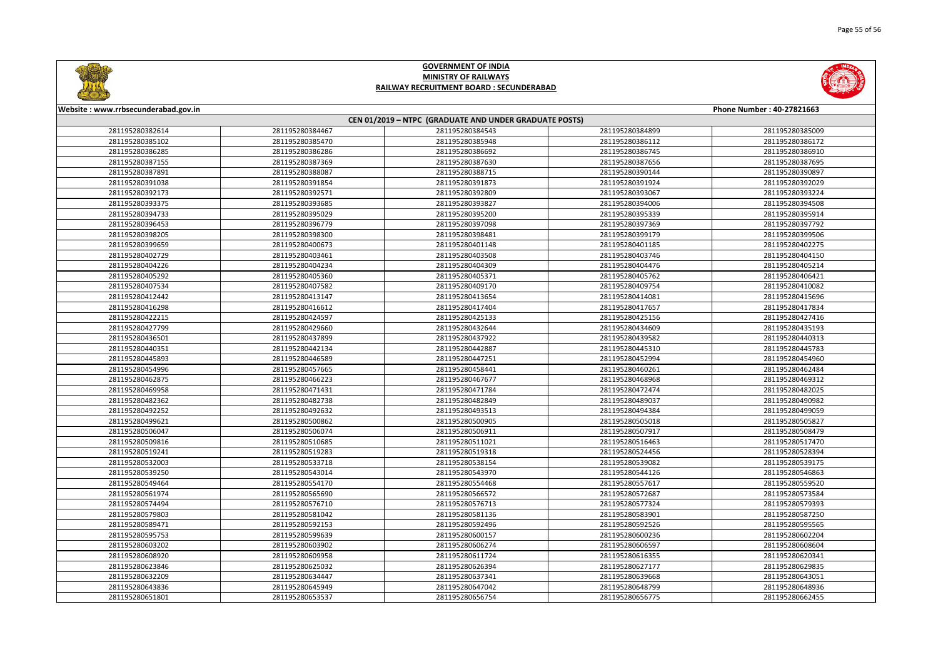

| <b>Phone Number: 40-27821663</b> |                 |  |  |  |
|----------------------------------|-----------------|--|--|--|
|                                  |                 |  |  |  |
| 34899                            | 281195280385009 |  |  |  |
| 36112                            | 281195280386172 |  |  |  |
| 36745                            | 281195280386910 |  |  |  |
| 37656                            | 281195280387695 |  |  |  |
| 90144                            | 281195280390897 |  |  |  |
| 91924                            | 281195280392029 |  |  |  |
| 93067                            | 281195280393224 |  |  |  |
| 94006                            | 281195280394508 |  |  |  |
| 95339                            | 281195280395914 |  |  |  |
| 97369                            | 281195280397792 |  |  |  |
| 99179                            | 281195280399506 |  |  |  |
| 01185                            | 281195280402275 |  |  |  |
| 03746                            | 281195280404150 |  |  |  |
| 04476                            | 281195280405214 |  |  |  |
| 05762                            | 281195280406421 |  |  |  |
| 09754                            | 281195280410082 |  |  |  |
| 14081                            | 281195280415696 |  |  |  |
| 17657                            | 281195280417834 |  |  |  |
| 25156                            | 281195280427416 |  |  |  |
| 34609                            | 281195280435193 |  |  |  |
| 39582                            | 281195280440313 |  |  |  |
| 45310                            | 281195280445783 |  |  |  |
| 52994                            | 281195280454960 |  |  |  |
| 50261                            | 281195280462484 |  |  |  |
| 58968                            | 281195280469312 |  |  |  |
| 72474                            | 281195280482025 |  |  |  |
| 39037                            | 281195280490982 |  |  |  |
| 94384                            | 281195280499059 |  |  |  |
| 05018                            | 281195280505827 |  |  |  |
| )7917                            | 281195280508479 |  |  |  |
| 16463                            | 281195280517470 |  |  |  |
| 24456                            | 281195280528394 |  |  |  |
| 39082                            | 281195280539175 |  |  |  |
| 44126                            | 281195280546863 |  |  |  |
| 57617                            | 281195280559520 |  |  |  |
| 72687                            | 281195280573584 |  |  |  |
| 77324                            | 281195280579393 |  |  |  |
| 33901                            | 281195280587250 |  |  |  |
| 92526                            | 281195280595565 |  |  |  |
| 00236                            | 281195280602204 |  |  |  |
| 06597                            | 281195280608604 |  |  |  |
| 16355                            | 281195280620341 |  |  |  |
| 27177                            | 281195280629835 |  |  |  |
| 39668                            | 281195280643051 |  |  |  |
| 18799                            | 281195280648936 |  |  |  |
| 56775                            | 281195280662455 |  |  |  |



#### **Website : www.rrbsecunderabad.gov.in CEN 01/2019 – NTPC (GRADUATE AND UNDER GRADUATE POSTS)** 281195280384467 281195280384543 281195280384899 281195280385009 281195280385470 281195280385948 281195280386112 281195280386172 281195280386286 281195280386692 281195280386745 281195280386910 281195280387369 281195280387630 281195280387656 281195280387695 281195280388087 281195280388715 281195280390144 281195280390897 281195280391854 281195280391873 281195280391924 281195280392029 281195280392571 281195280392809 281195280393067 281195280393224 281195280393685 281195280393827 281195280394006 281195280394508 281195280395029 281195280395200 281195280395339 281195280395914 281195280396779 281195280397098 281195280397369 281195280397792 281195280398300 281195280398481 281195280399179 281195280399506 281195280400673 281195280401148 281195280401185 281195280402275 281195280403461 281195280403508 281195280403746 281195280404150 281195280404234 281195280404309 281195280404476 281195280405214 281195280405360 281195280405371 281195280405762 281195280406421 281195280407582 281195280409170 281195280409754 281195280410082 281195280413147 281195280413654 281195280414081 281195280415696 281195280416612 281195280417404 281195280417657 281195280417834 281195280424597 281195280425133 281195280425156 281195280427416 281195280429660 281195280432644 281195280434609 281195280435193 281195280437899 281195280437922 281195280439582 281195280440313 281195280442134 281195280442887 281195280445310 281195280445783 281195280446589 281195280447251 281195280452994 281195280454960 281195280457665 281195280458441 281195280460261 281195280462484 281195280466223 281195280467677 281195280468968 281195280469312 281195280471431 281195280471784 281195280472474 281195280482025 281195280482738 281195280482849 281195280489037 281195280490982 281195280492632 281195280493513 281195280494384 281195280499059 281195280500862 281195280500905 281195280505018 281195280505827 281195280506074 281195280506911 281195280507917 281195280508479 281195280510685 281195280511021 281195280516463 281195280517470 281195280519283 281195280519318 281195280524456 281195280528394 281195280533718 281195280538154 281195280539082 281195280539175 281195280543014 281195280543970 281195280544126 281195280546863 281195280554170 281195280554468 281195280557617 281195280559520 281195280565690 281195280566572 281195280572687 281195280573584 281195280576710 281195280576713 281195280577324 281195280579393 281195280581042 281195280581136 281195280583901 281195280587250 281195280592153 281195280592496 281195280592526 281195280595565 281195280599639 281195280600157 281195280600236 281195280602204 281195280603902 281195280606274 281195280606597 281195280608604 281195280609958 281195280611724 281195280616355 281195280620341 281195280625032 281195280626394 281195280627177 281195280629835 281195280634447 281195280637341 281195280639668 281195280643051 281195280645949 281195280647042 281195280648799 281195280648936 281195280653537 281195280656754 281195280656775 281195280662455